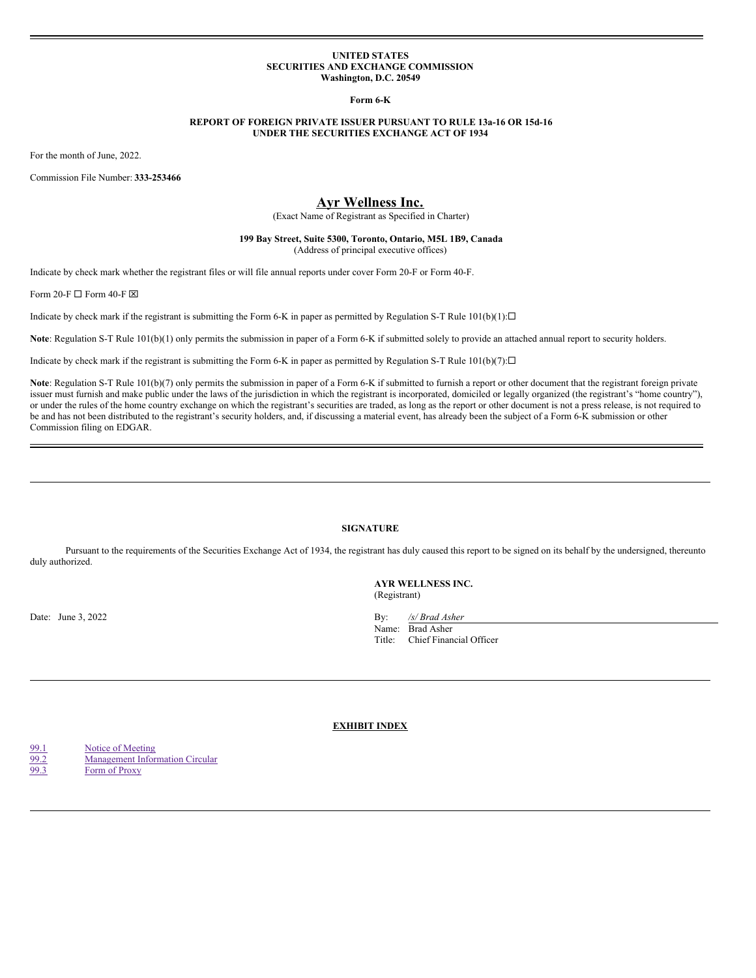#### **UNITED STATES SECURITIES AND EXCHANGE COMMISSION Washington, D.C. 20549**

**Form 6-K**

## **REPORT OF FOREIGN PRIVATE ISSUER PURSUANT TO RULE 13a-16 OR 15d-16 UNDER THE SECURITIES EXCHANGE ACT OF 1934**

For the month of June, 2022.

Commission File Number: **333-253466**

# **Ayr Wellness Inc.**

(Exact Name of Registrant as Specified in Charter)

## **199 Bay Street, Suite 5300, Toronto, Ontario, M5L 1B9, Canada** (Address of principal executive offices)

Indicate by check mark whether the registrant files or will file annual reports under cover Form 20-F or Form 40-F.

Form 20-F  $\Box$  Form 40-F  $\boxtimes$ 

Indicate by check mark if the registrant is submitting the Form 6-K in paper as permitted by Regulation S-T Rule  $101(b)(1): \Box$ 

Note: Regulation S-T Rule 101(b)(1) only permits the submission in paper of a Form 6-K if submitted solely to provide an attached annual report to security holders.

Indicate by check mark if the registrant is submitting the Form 6-K in paper as permitted by Regulation S-T Rule  $101(b)(7): \Box$ 

Note: Regulation S-T Rule 101(b)(7) only permits the submission in paper of a Form 6-K if submitted to furnish a report or other document that the registrant foreign private issuer must furnish and make public under the laws of the jurisdiction in which the registrant is incorporated, domiciled or legally organized (the registrant's "home country"), or under the rules of the home country exchange on which the registrant's securities are traded, as long as the report or other document is not a press release, is not required to be and has not been distributed to the registrant's security holders, and, if discussing a material event, has already been the subject of a Form 6-K submission or other Commission filing on EDGAR.

# **SIGNATURE**

Pursuant to the requirements of the Securities Exchange Act of 1934, the registrant has duly caused this report to be signed on its behalf by the undersigned, thereunto duly authorized.

**AYR WELLNESS INC.** (Registrant)

Date: June 3, 2022 **By:** */s/ Brad Asher* **By:** */s/ Brad Asher* 

Name: Brad Asher Title: Chief Financial Officer

**EXHIBIT INDEX**

[99.1](#page-1-0) Notice of [Meeting](#page-1-0) [99.2](#page-17-0) [Management](#page-17-0) Information Circular

[99.3](#page-34-0) Form of [Proxy](#page-34-0)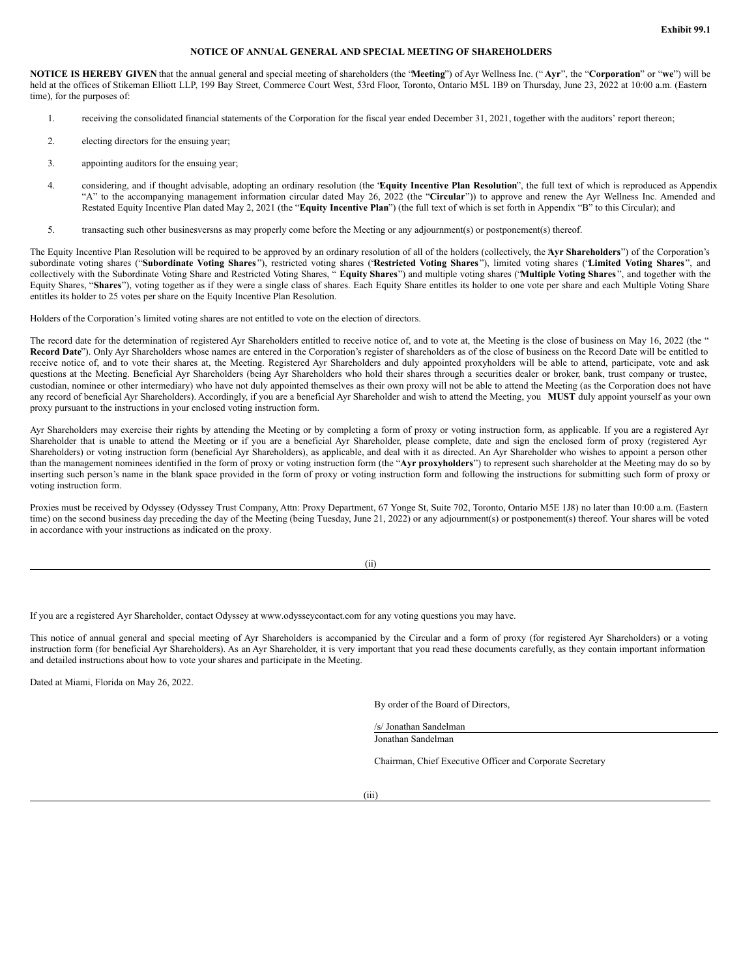## **NOTICE OF ANNUAL GENERAL AND SPECIAL MEETING OF SHAREHOLDERS**

<span id="page-1-0"></span>**NOTICE IS HEREBY GIVEN** that the annual general and special meeting of shareholders (the "**Meeting**") of Ayr Wellness Inc. (" **Ayr**", the "**Corporation**" or "**we**") will be held at the offices of Stikeman Elliott LLP, 199 Bay Street, Commerce Court West, 53rd Floor, Toronto, Ontario M5L 1B9 on Thursday, June 23, 2022 at 10:00 a.m. (Eastern time), for the purposes of:

- 1. receiving the consolidated financial statements of the Corporation for the fiscal year ended December 31, 2021, together with the auditors' report thereon;
- 2. electing directors for the ensuing year;
- 3. appointing auditors for the ensuing year;
- 4. considering, and if thought advisable, adopting an ordinary resolution (the "**Equity Incentive Plan Resolution**", the full text of which is reproduced as Appendix "A" to the accompanying management information circular dated May 26, 2022 (the "**Circular**")) to approve and renew the Ayr Wellness Inc. Amended and Restated Equity Incentive Plan dated May 2, 2021 (the "**Equity Incentive Plan**") (the full text of which is set forth in Appendix "B" to this Circular); and
- 5. transacting such other businesversns as may properly come before the Meeting or any adjournment(s) or postponement(s) thereof.

The Equity Incentive Plan Resolution will be required to be approved by an ordinary resolution of all of the holders (collectively, the **A**" **yr Shareholders**") of the Corporation's subordinate voting shares ("Subordinate Voting Shares"), restricted voting shares ('Restricted Voting Shares"), limited voting shares ("Limited Voting Shares", and collectively with the Subordinate Voting Share and Restricted Voting Shares, " **Equity Shares**") and multiple voting shares ("**Multiple Voting Shares** ", and together with the Equity Shares, "**Shares**"), voting together as if they were a single class of shares. Each Equity Share entitles its holder to one vote per share and each Multiple Voting Share entitles its holder to 25 votes per share on the Equity Incentive Plan Resolution.

Holders of the Corporation's limited voting shares are not entitled to vote on the election of directors.

The record date for the determination of registered Ayr Shareholders entitled to receive notice of, and to vote at, the Meeting is the close of business on May 16, 2022 (the " **Record Date**"). Only Ayr Shareholders whose names are entered in the Corporation's register of shareholders as of the close of business on the Record Date will be entitled to receive notice of, and to vote their shares at, the Meeting. Registered Ayr Shareholders and duly appointed proxyholders will be able to attend, participate, vote and ask questions at the Meeting. Beneficial Ayr Shareholders (being Ayr Shareholders who hold their shares through a securities dealer or broker, bank, trust company or trustee, custodian, nominee or other intermediary) who have not duly appointed themselves as their own proxy will not be able to attend the Meeting (as the Corporation does not have any record of beneficial Ayr Shareholders). Accordingly, if you are a beneficial Ayr Shareholder and wish to attend the Meeting, you **MUST** duly appoint yourself as your own proxy pursuant to the instructions in your enclosed voting instruction form.

Ayr Shareholders may exercise their rights by attending the Meeting or by completing a form of proxy or voting instruction form, as applicable. If you are a registered Ayr Shareholder that is unable to attend the Meeting or if you are a beneficial Ayr Shareholder, please complete, date and sign the enclosed form of proxy (registered Ayr Shareholders) or voting instruction form (beneficial Ayr Shareholders), as applicable, and deal with it as directed. An Ayr Shareholder who wishes to appoint a person other than the management nominees identified in the form of proxy or voting instruction form (the "**Ayr proxyholders**") to represent such shareholder at the Meeting may do so by inserting such person's name in the blank space provided in the form of proxy or voting instruction form and following the instructions for submitting such form of proxy or voting instruction form.

Proxies must be received by Odyssey (Odyssey Trust Company, Attn: Proxy Department, 67 Yonge St, Suite 702, Toronto, Ontario M5E 1J8) no later than 10:00 a.m. (Eastern time) on the second business day preceding the day of the Meeting (being Tuesday, June 21, 2022) or any adjournment(s) or postponement(s) thereof. Your shares will be voted in accordance with your instructions as indicated on the proxy.

If you are a registered Ayr Shareholder, contact Odyssey at www.odysseycontact.com for any voting questions you may have.

This notice of annual general and special meeting of Ayr Shareholders is accompanied by the Circular and a form of proxy (for registered Ayr Shareholders) or a voting instruction form (for beneficial Ayr Shareholders). As an Ayr Shareholder, it is very important that you read these documents carefully, as they contain important information and detailed instructions about how to vote your shares and participate in the Meeting.

Dated at Miami, Florida on May 26, 2022.

By order of the Board of Directors,

/s/ Jonathan Sandelman Jonathan Sandelman

Chairman, Chief Executive Officer and Corporate Secretary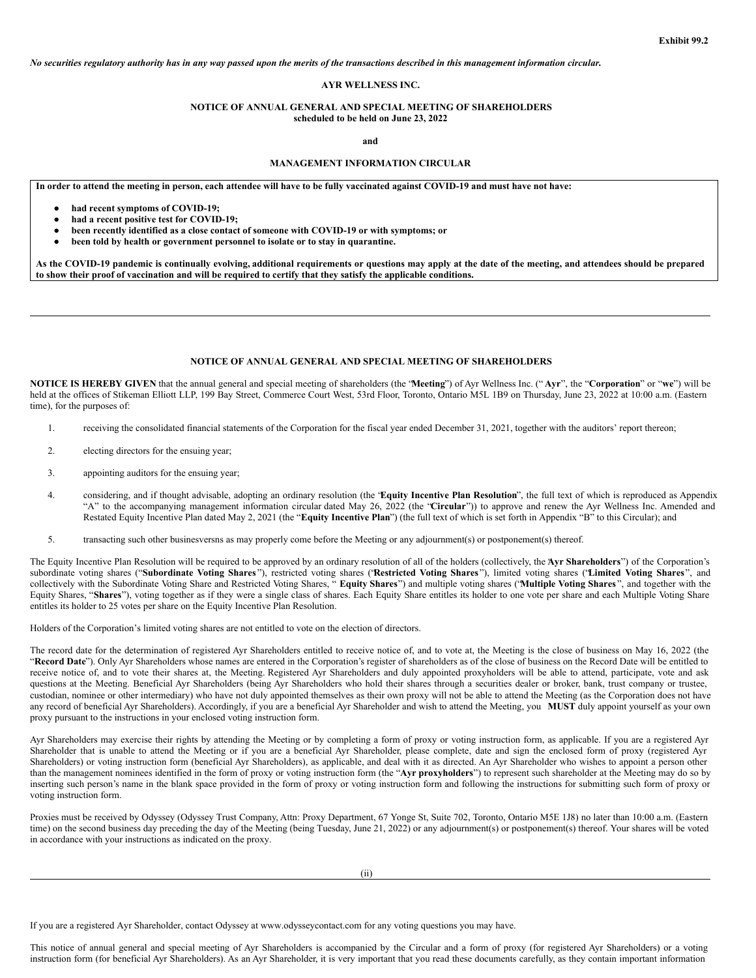No securities regulatory authority has in any way passed upon the merits of the transactions described in this management information circular.

## **AYR WELLNESS INC.**

## **NOTICE OF ANNUAL GENERAL AND SPECIAL MEETING OF SHAREHOLDERS scheduled to be held on June 23, 2022**

**and**

# **MANAGEMENT INFORMATION CIRCULAR**

In order to attend the meeting in person, each attendee will have to be fully vaccinated against COVID-19 and must have not have:

- **had recent symptoms of COVID-19;**
- **had a recent positive test for COVID-19;**
- **been recently identified as a close contact of someone with COVID-19 or with symptoms; or**
- **been told by health or government personnel to isolate or to stay in quarantine.**

As the COVID-19 pandemic is continually evolving, additional requirements or questions may apply at the date of the meeting, and attendees should be prepared to show their proof of vaccination and will be required to certify that they satisfy the applicable conditions.

#### **NOTICE OF ANNUAL GENERAL AND SPECIAL MEETING OF SHAREHOLDERS**

**NOTICE IS HEREBY GIVEN** that the annual general and special meeting of shareholders (the "**Meeting**") of Ayr Wellness Inc. (" **Ayr**", the "**Corporation**" or "**we**") will be held at the offices of Stikeman Elliott LLP, 199 Bay Street, Commerce Court West, 53rd Floor, Toronto, Ontario M5L 1B9 on Thursday, June 23, 2022 at 10:00 a.m. (Eastern time), for the purposes of:

- 1. receiving the consolidated financial statements of the Corporation for the fiscal year ended December 31, 2021, together with the auditors' report thereon;
- 2. electing directors for the ensuing year;
- 3. appointing auditors for the ensuing year;
- 4. considering, and if thought advisable, adopting an ordinary resolution (the "**Equity Incentive Plan Resolution**", the full text of which is reproduced as Appendix "A" to the accompanying management information circular dated May 26, 2022 (the "**Circular**")) to approve and renew the Ayr Wellness Inc. Amended and Restated Equity Incentive Plan dated May 2, 2021 (the "**Equity Incentive Plan**") (the full text of which is set forth in Appendix "B" to this Circular); and
- 5. transacting such other businesversns as may properly come before the Meeting or any adjournment(s) or postponement(s) thereof.

The Equity Incentive Plan Resolution will be required to be approved by an ordinary resolution of all of the holders (collectively, the **A**" **yr Shareholders**") of the Corporation's subordinate voting shares ("Subordinate Voting Shares"), restricted voting shares ('Restricted Voting Shares"), limited voting shares ("Limited Voting Shares", and collectively with the Subordinate Voting Share and Restricted Voting Shares, " **Equity Shares**") and multiple voting shares ("**Multiple Voting Shares** ", and together with the Equity Shares, "**Shares**"), voting together as if they were a single class of shares. Each Equity Share entitles its holder to one vote per share and each Multiple Voting Share entitles its holder to 25 votes per share on the Equity Incentive Plan Resolution.

Holders of the Corporation's limited voting shares are not entitled to vote on the election of directors.

The record date for the determination of registered Ayr Shareholders entitled to receive notice of, and to vote at, the Meeting is the close of business on May 16, 2022 (the "**Record Date**"). Only Ayr Shareholders whose names are entered in the Corporation's register of shareholders as of the close of business on the Record Date will be entitled to receive notice of, and to vote their shares at, the Meeting. Registered Ayr Shareholders and duly appointed proxyholders will be able to attend, participate, vote and ask questions at the Meeting. Beneficial Ayr Shareholders (being Ayr Shareholders who hold their shares through a securities dealer or broker, bank, trust company or trustee, custodian, nominee or other intermediary) who have not duly appointed themselves as their own proxy will not be able to attend the Meeting (as the Corporation does not have any record of beneficial Ayr Shareholders). Accordingly, if you are a beneficial Ayr Shareholder and wish to attend the Meeting, you **MUST** duly appoint yourself as your own proxy pursuant to the instructions in your enclosed voting instruction form.

Ayr Shareholders may exercise their rights by attending the Meeting or by completing a form of proxy or voting instruction form, as applicable. If you are a registered Ayr Shareholder that is unable to attend the Meeting or if you are a beneficial Ayr Shareholder, please complete, date and sign the enclosed form of proxy (registered Ayr Shareholders) or voting instruction form (beneficial Ayr Shareholders), as applicable, and deal with it as directed. An Ayr Shareholder who wishes to appoint a person other than the management nominees identified in the form of proxy or voting instruction form (the "**Ayr proxyholders**") to represent such shareholder at the Meeting may do so by inserting such person's name in the blank space provided in the form of proxy or voting instruction form and following the instructions for submitting such form of proxy or voting instruction form.

Proxies must be received by Odyssey (Odyssey Trust Company, Attn: Proxy Department, 67 Yonge St, Suite 702, Toronto, Ontario M5E 1J8) no later than 10:00 a.m. (Eastern time) on the second business day preceding the day of the Meeting (being Tuesday, June 21, 2022) or any adjournment(s) or postponement(s) thereof. Your shares will be voted in accordance with your instructions as indicated on the proxy.

If you are a registered Ayr Shareholder, contact Odyssey at www.odysseycontact.com for any voting questions you may have.

This notice of annual general and special meeting of Ayr Shareholders is accompanied by the Circular and a form of proxy (for registered Ayr Shareholders) or a voting instruction form (for beneficial Ayr Shareholders). As an Ayr Shareholder, it is very important that you read these documents carefully, as they contain important information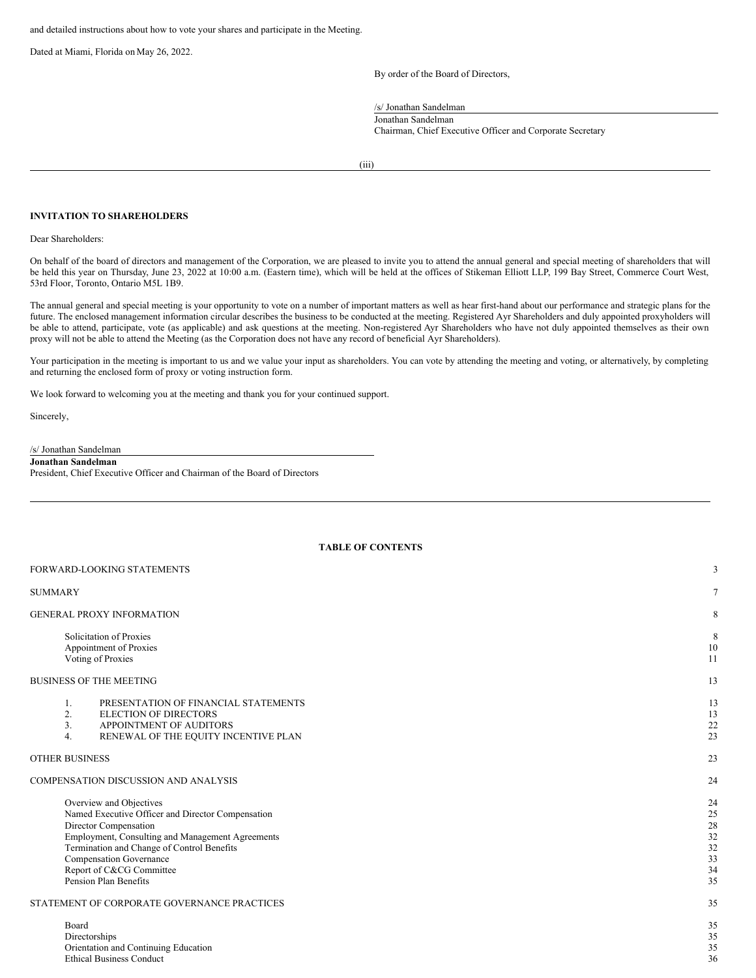and detailed instructions about how to vote your shares and participate in the Meeting.

Dated at Miami, Florida on May 26, 2022.

By order of the Board of Directors,

/s/ Jonathan Sandelman

Jonathan Sandelman Chairman, Chief Executive Officer and Corporate Secretary

(iii)

## **INVITATION TO SHAREHOLDERS**

Dear Shareholders:

On behalf of the board of directors and management of the Corporation, we are pleased to invite you to attend the annual general and special meeting of shareholders that will be held this year on Thursday, June 23, 2022 at 10:00 a.m. (Eastern time), which will be held at the offices of Stikeman Elliott LLP, 199 Bay Street, Commerce Court West, 53rd Floor, Toronto, Ontario M5L 1B9.

The annual general and special meeting is your opportunity to vote on a number of important matters as well as hear first-hand about our performance and strategic plans for the future. The enclosed management information circular describes the business to be conducted at the meeting. Registered Ayr Shareholders and duly appointed proxyholders will be able to attend, participate, vote (as applicable) and ask questions at the meeting. Non-registered Ayr Shareholders who have not duly appointed themselves as their own proxy will not be able to attend the Meeting (as the Corporation does not have any record of beneficial Ayr Shareholders).

Your participation in the meeting is important to us and we value your input as shareholders. You can vote by attending the meeting and voting, or alternatively, by completing and returning the enclosed form of proxy or voting instruction form.

**TABLE OF CONTENTS**

We look forward to welcoming you at the meeting and thank you for your continued support.

Sincerely,

## /s/ Jonathan Sandelman **Jonathan Sandelman**

President, Chief Executive Officer and Chairman of the Board of Directors

| FORWARD-LOOKING STATEMENTS                                                                                                                                                                                                                                                                     | 3                                            |
|------------------------------------------------------------------------------------------------------------------------------------------------------------------------------------------------------------------------------------------------------------------------------------------------|----------------------------------------------|
| SUMMARY                                                                                                                                                                                                                                                                                        | $\tau$                                       |
| <b>GENERAL PROXY INFORMATION</b>                                                                                                                                                                                                                                                               | 8                                            |
| Solicitation of Proxies<br>Appointment of Proxies<br>Voting of Proxies                                                                                                                                                                                                                         | 8<br>10<br>11                                |
| <b>BUSINESS OF THE MEETING</b>                                                                                                                                                                                                                                                                 | 13                                           |
| PRESENTATION OF FINANCIAL STATEMENTS<br>1.<br>2.<br><b>ELECTION OF DIRECTORS</b><br>3.<br>APPOINTMENT OF AUDITORS<br>RENEWAL OF THE EQUITY INCENTIVE PLAN<br>4.                                                                                                                                | 13<br>13<br>22<br>23                         |
| OTHER BUSINESS                                                                                                                                                                                                                                                                                 | 23                                           |
| COMPENSATION DISCUSSION AND ANALYSIS                                                                                                                                                                                                                                                           | 24                                           |
| Overview and Objectives<br>Named Executive Officer and Director Compensation<br>Director Compensation<br>Employment, Consulting and Management Agreements<br>Termination and Change of Control Benefits<br><b>Compensation Governance</b><br>Report of C&CG Committee<br>Pension Plan Benefits | 24<br>25<br>28<br>32<br>32<br>33<br>34<br>35 |
| STATEMENT OF CORPORATE GOVERNANCE PRACTICES                                                                                                                                                                                                                                                    | 35                                           |
| Board<br>Directorships<br>Orientation and Continuing Education<br><b>Ethical Business Conduct</b>                                                                                                                                                                                              | 35<br>35<br>35<br>36                         |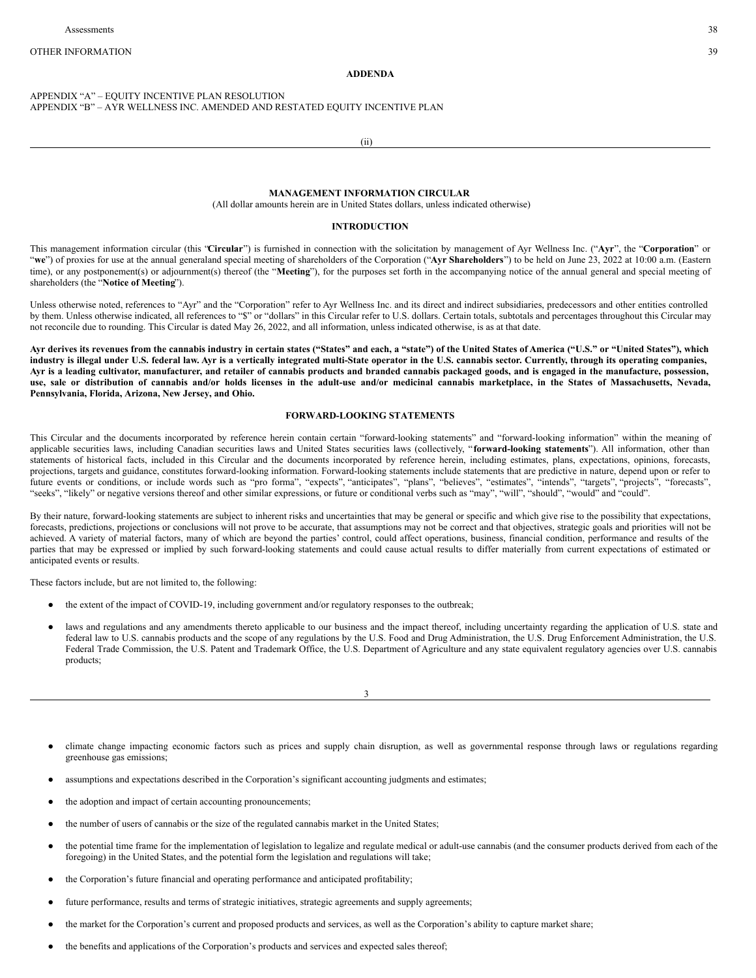#### **ADDENDA**

## APPENDIX "A" – EQUITY INCENTIVE PLAN RESOLUTION APPENDIX "B" – AYR WELLNESS INC. AMENDED AND RESTATED EQUITY INCENTIVE PLAN

(ii)

## **MANAGEMENT INFORMATION CIRCULAR**

(All dollar amounts herein are in United States dollars, unless indicated otherwise)

#### **INTRODUCTION**

This management information circular (this "**Circular**") is furnished in connection with the solicitation by management of Ayr Wellness Inc. ("**Ayr**", the "**Corporation**" or "we") of proxies for use at the annual generaland special meeting of shareholders of the Corporation ("Ayr Shareholders") to be held on June 23, 2022 at 10:00 a.m. (Eastern time), or any postponement(s) or adjournment(s) thereof (the "**Meeting**"), for the purposes set forth in the accompanying notice of the annual general and special meeting of shareholders (the "**Notice of Meeting**").

Unless otherwise noted, references to "Ayr" and the "Corporation" refer to Ayr Wellness Inc. and its direct and indirect subsidiaries, predecessors and other entities controlled by them. Unless otherwise indicated, all references to "\$" or "dollars" in this Circular refer to U.S. dollars. Certain totals, subtotals and percentages throughout this Circular may not reconcile due to rounding. This Circular is dated May 26, 2022, and all information, unless indicated otherwise, is as at that date.

Avr derives its revenues from the cannabis industry in certain states ("States" and each, a "state") of the United States of America ("U.S." or "United States"), which industry is illegal under U.S. federal law. Ayr is a vertically integrated multi-State operator in the U.S. cannabis sector. Currently, through its operating companies, Ayr is a leading cultivator, manufacturer, and retailer of cannabis products and branded cannabis packaged goods, and is engaged in the manufacture, possession, use, sale or distribution of cannabis and/or holds licenses in the adult-use and/or medicinal cannabis marketplace, in the States of Massachusetts, Nevada, **Pennsylvania, Florida, Arizona, New Jersey, and Ohio.**

## **FORWARD-LOOKING STATEMENTS**

This Circular and the documents incorporated by reference herein contain certain "forward-looking statements" and "forward-looking information" within the meaning of applicable securities laws, including Canadian securities laws and United States securities laws (collectively, "forward-looking statements"). All information, other than statements of historical facts, included in this Circular and the documents incorporated by reference herein, including estimates, plans, expectations, opinions, forecasts, projections, targets and guidance, constitutes forward-looking information. Forward-looking statements include statements that are predictive in nature, depend upon or refer to future events or conditions, or include words such as "pro forma", "expects", "anticipates", "plans", "believes", "estimates", "intends", "targets", "projects", "forecasts", "seeks", "likely" or negative versions thereof and other similar expressions, or future or conditional verbs such as "may", "will", "should", "would" and "could".

By their nature, forward-looking statements are subject to inherent risks and uncertainties that may be general or specific and which give rise to the possibility that expectations, forecasts, predictions, projections or conclusions will not prove to be accurate, that assumptions may not be correct and that objectives, strategic goals and priorities will not be achieved. A variety of material factors, many of which are beyond the parties' control, could affect operations, business, financial condition, performance and results of the parties that may be expressed or implied by such forward-looking statements and could cause actual results to differ materially from current expectations of estimated or anticipated events or results.

These factors include, but are not limited to, the following:

- the extent of the impact of COVID-19, including government and/or regulatory responses to the outbreak;
- laws and regulations and any amendments thereto applicable to our business and the impact thereof, including uncertainty regarding the application of U.S. state and federal law to U.S. cannabis products and the scope of any regulations by the U.S. Food and Drug Administration, the U.S. Drug Enforcement Administration, the U.S. Federal Trade Commission, the U.S. Patent and Trademark Office, the U.S. Department of Agriculture and any state equivalent regulatory agencies over U.S. cannabis products;

3

- climate change impacting economic factors such as prices and supply chain disruption, as well as governmental response through laws or regulations regarding greenhouse gas emissions;
- assumptions and expectations described in the Corporation's significant accounting judgments and estimates;
- the adoption and impact of certain accounting pronouncements;
- the number of users of cannabis or the size of the regulated cannabis market in the United States;
- the potential time frame for the implementation of legislation to legalize and regulate medical or adult-use cannabis (and the consumer products derived from each of the foregoing) in the United States, and the potential form the legislation and regulations will take;
- the Corporation's future financial and operating performance and anticipated profitability;
- future performance, results and terms of strategic initiatives, strategic agreements and supply agreements;
- the market for the Corporation's current and proposed products and services, as well as the Corporation's ability to capture market share;
- the benefits and applications of the Corporation's products and services and expected sales thereof;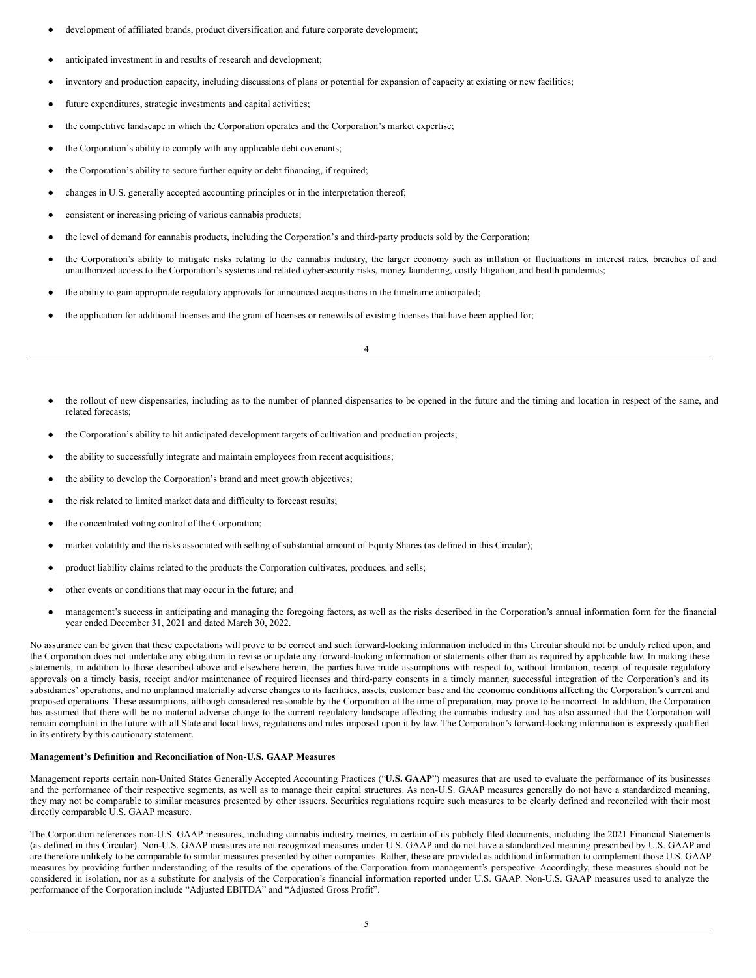- development of affiliated brands, product diversification and future corporate development;
- anticipated investment in and results of research and development;
- inventory and production capacity, including discussions of plans or potential for expansion of capacity at existing or new facilities;
- future expenditures, strategic investments and capital activities;
- the competitive landscape in which the Corporation operates and the Corporation's market expertise;
- the Corporation's ability to comply with any applicable debt covenants;
- the Corporation's ability to secure further equity or debt financing, if required;
- changes in U.S. generally accepted accounting principles or in the interpretation thereof;
- consistent or increasing pricing of various cannabis products;
- the level of demand for cannabis products, including the Corporation's and third-party products sold by the Corporation;
- the Corporation's ability to mitigate risks relating to the cannabis industry, the larger economy such as inflation or fluctuations in interest rates, breaches of and unauthorized access to the Corporation's systems and related cybersecurity risks, money laundering, costly litigation, and health pandemics;
- the ability to gain appropriate regulatory approvals for announced acquisitions in the timeframe anticipated;
- the application for additional licenses and the grant of licenses or renewals of existing licenses that have been applied for;

4

- the rollout of new dispensaries, including as to the number of planned dispensaries to be opened in the future and the timing and location in respect of the same, and related forecasts;
- the Corporation's ability to hit anticipated development targets of cultivation and production projects;
- the ability to successfully integrate and maintain employees from recent acquisitions;
- the ability to develop the Corporation's brand and meet growth objectives;
- the risk related to limited market data and difficulty to forecast results;
- the concentrated voting control of the Corporation;
- market volatility and the risks associated with selling of substantial amount of Equity Shares (as defined in this Circular);
- product liability claims related to the products the Corporation cultivates, produces, and sells;
- other events or conditions that may occur in the future; and
- management's success in anticipating and managing the foregoing factors, as well as the risks described in the Corporation's annual information form for the financial year ended December 31, 2021 and dated March 30, 2022.

No assurance can be given that these expectations will prove to be correct and such forward-looking information included in this Circular should not be unduly relied upon, and the Corporation does not undertake any obligation to revise or update any forward-looking information or statements other than as required by applicable law. In making these statements, in addition to those described above and elsewhere herein, the parties have made assumptions with respect to, without limitation, receipt of requisite regulatory approvals on a timely basis, receipt and/or maintenance of required licenses and third-party consents in a timely manner, successful integration of the Corporation's and its subsidiaries' operations, and no unplanned materially adverse changes to its facilities, assets, customer base and the economic conditions affecting the Corporation's current and proposed operations. These assumptions, although considered reasonable by the Corporation at the time of preparation, may prove to be incorrect. In addition, the Corporation has assumed that there will be no material adverse change to the current regulatory landscape affecting the cannabis industry and has also assumed that the Corporation will remain compliant in the future with all State and local laws, regulations and rules imposed upon it by law. The Corporation's forward-looking information is expressly qualified in its entirety by this cautionary statement.

## **Management's Definition and Reconciliation of Non-U.S. GAAP Measures**

Management reports certain non-United States Generally Accepted Accounting Practices ("**U.S. GAAP**") measures that are used to evaluate the performance of its businesses and the performance of their respective segments, as well as to manage their capital structures. As non-U.S. GAAP measures generally do not have a standardized meaning, they may not be comparable to similar measures presented by other issuers. Securities regulations require such measures to be clearly defined and reconciled with their most directly comparable U.S. GAAP measure.

The Corporation references non-U.S. GAAP measures, including cannabis industry metrics, in certain of its publicly filed documents, including the 2021 Financial Statements (as defined in this Circular). Non-U.S. GAAP measures are not recognized measures under U.S. GAAP and do not have a standardized meaning prescribed by U.S. GAAP and are therefore unlikely to be comparable to similar measures presented by other companies. Rather, these are provided as additional information to complement those U.S. GAAP measures by providing further understanding of the results of the operations of the Corporation from management's perspective. Accordingly, these measures should not be considered in isolation, nor as a substitute for analysis of the Corporation's financial information reported under U.S. GAAP. Non-U.S. GAAP measures used to analyze the performance of the Corporation include "Adjusted EBITDA" and "Adjusted Gross Profit".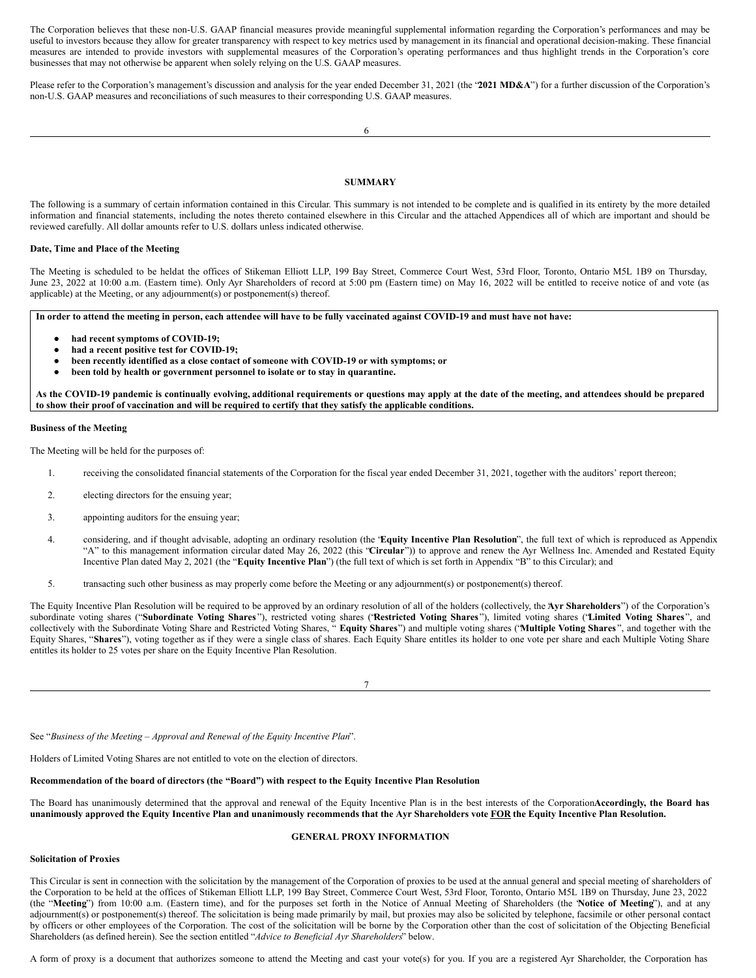The Corporation believes that these non-U.S. GAAP financial measures provide meaningful supplemental information regarding the Corporation's performances and may be useful to investors because they allow for greater transparency with respect to key metrics used by management in its financial and operational decision-making. These financial measures are intended to provide investors with supplemental measures of the Corporation's operating performances and thus highlight trends in the Corporation's core businesses that may not otherwise be apparent when solely relying on the U.S. GAAP measures.

Please refer to the Corporation's management's discussion and analysis for the year ended December 31, 2021 (the "**2021 MD&A**") for a further discussion of the Corporation's non-U.S. GAAP measures and reconciliations of such measures to their corresponding U.S. GAAP measures.

## **SUMMARY**

The following is a summary of certain information contained in this Circular. This summary is not intended to be complete and is qualified in its entirety by the more detailed information and financial statements, including the notes thereto contained elsewhere in this Circular and the attached Appendices all of which are important and should be reviewed carefully. All dollar amounts refer to U.S. dollars unless indicated otherwise.

### **Date, Time and Place of the Meeting**

The Meeting is scheduled to be heldat the offices of Stikeman Elliott LLP, 199 Bay Street, Commerce Court West, 53rd Floor, Toronto, Ontario M5L 1B9 on Thursday, June 23, 2022 at 10:00 a.m. (Eastern time). Only Ayr Shareholders of record at 5:00 pm (Eastern time) on May 16, 2022 will be entitled to receive notice of and vote (as applicable) at the Meeting, or any adjournment(s) or postponement(s) thereof.

In order to attend the meeting in person, each attendee will have to be fully vaccinated against COVID-19 and must have not have:

- **had recent symptoms of COVID-19;**
- **had a recent positive test for COVID-19;**
- **been recently identified as a close contact of someone with COVID-19 or with symptoms; or**
- **been told by health or government personnel to isolate or to stay in quarantine.**

As the COVID-19 pandemic is continually evolving, additional requirements or questions may apply at the date of the meeting, and attendees should be prepared to show their proof of vaccination and will be required to certify that they satisfy the applicable conditions.

#### **Business of the Meeting**

The Meeting will be held for the purposes of:

- 1. receiving the consolidated financial statements of the Corporation for the fiscal year ended December 31, 2021, together with the auditors' report thereon;
- 2. electing directors for the ensuing year;
- 3. appointing auditors for the ensuing year;
- 4. considering, and if thought advisable, adopting an ordinary resolution (the "**Equity Incentive Plan Resolution**", the full text of which is reproduced as Appendix "A" to this management information circular dated May 26, 2022 (this "**Circular**")) to approve and renew the Ayr Wellness Inc. Amended and Restated Equity Incentive Plan dated May 2, 2021 (the "**Equity Incentive Plan**") (the full text of which is set forth in Appendix "B" to this Circular); and
- 5. transacting such other business as may properly come before the Meeting or any adjournment(s) or postponement(s) thereof.

The Equity Incentive Plan Resolution will be required to be approved by an ordinary resolution of all of the holders (collectively, the **A**" **yr Shareholders**") of the Corporation's subordinate voting shares ("Subordinate Voting Shares"), restricted voting shares ('Restricted Voting Shares"), limited voting shares ('Limited Voting Shares", and collectively with the Subordinate Voting Share and Restricted Voting Shares, " **Equity Shares**") and multiple voting shares ("**Multiple Voting Shares** ", and together with the Equity Shares, "**Shares**"), voting together as if they were a single class of shares. Each Equity Share entitles its holder to one vote per share and each Multiple Voting Share entitles its holder to 25 votes per share on the Equity Incentive Plan Resolution.

7

See "*Business of the Meeting – Approval and Renewal of the Equity Incentive Plan*".

Holders of Limited Voting Shares are not entitled to vote on the election of directors.

#### **Recommendation of the board of directors (the "Board") with respect to the Equity Incentive Plan Resolution**

The Board has unanimously determined that the approval and renewal of the Equity Incentive Plan is in the best interests of the Corporation**A**. **ccordingly, the Board has** unanimously approved the Equity Incentive Plan and unanimously recommends that the Ayr Shareholders vote FOR the Equity Incentive Plan Resolution.

## **GENERAL PROXY INFORMATION**

## **Solicitation of Proxies**

This Circular is sent in connection with the solicitation by the management of the Corporation of proxies to be used at the annual general and special meeting of shareholders of the Corporation to be held at the offices of Stikeman Elliott LLP, 199 Bay Street, Commerce Court West, 53rd Floor, Toronto, Ontario M5L 1B9 on Thursday, June 23, 2022 (the "**Meeting**") from 10:00 a.m. (Eastern time), and for the purposes set forth in the Notice of Annual Meeting of Shareholders (the "**Notice of Meeting**"), and at any adjournment(s) or postponement(s) thereof. The solicitation is being made primarily by mail, but proxies may also be solicited by telephone, facsimile or other personal contact by officers or other employees of the Corporation. The cost of the solicitation will be borne by the Corporation other than the cost of solicitation of the Objecting Beneficial Shareholders (as defined herein). See the section entitled "*Advice to Beneficial Ayr Shareholders*" below.

A form of proxy is a document that authorizes someone to attend the Meeting and cast your vote(s) for you. If you are a registered Ayr Shareholder, the Corporation has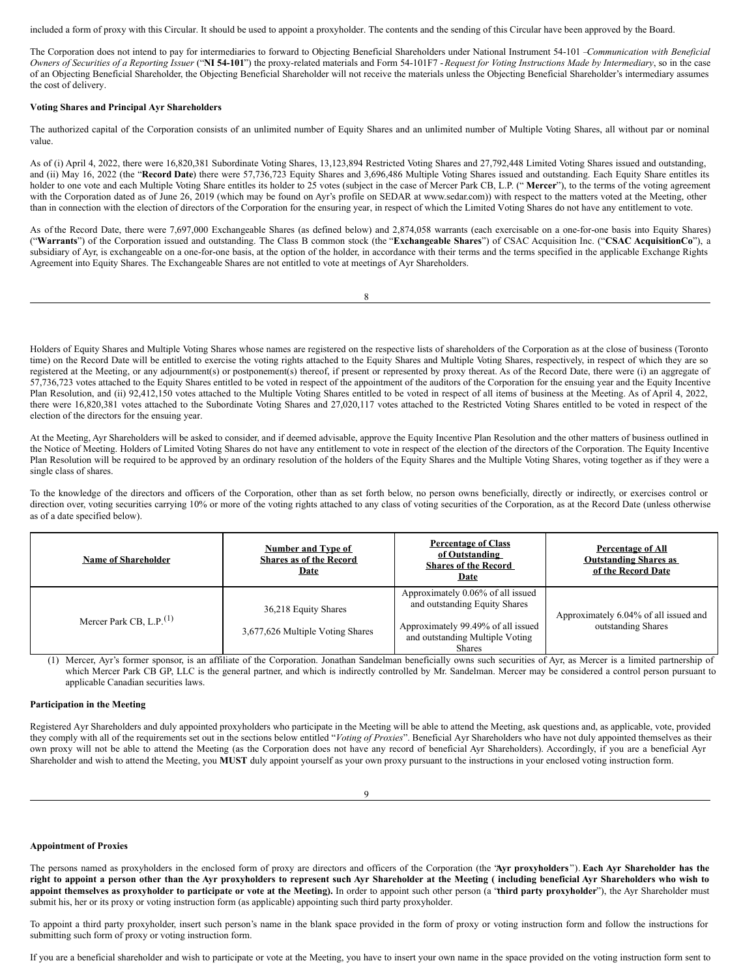included a form of proxy with this Circular. It should be used to appoint a proxyholder. The contents and the sending of this Circular have been approved by the Board.

The Corporation does not intend to pay for intermediaries to forward to Objecting Beneficial Shareholders under National Instrument 54-101 –*Communication with Beneficial* Owners of Securities of a Reporting Issuer ("NI 54-101") the proxy-related materials and Form 54-101F7 - Request for Voting Instructions Made by Intermediary, so in the case of an Objecting Beneficial Shareholder, the Objecting Beneficial Shareholder will not receive the materials unless the Objecting Beneficial Shareholder's intermediary assumes the cost of delivery.

## **Voting Shares and Principal Ayr Shareholders**

The authorized capital of the Corporation consists of an unlimited number of Equity Shares and an unlimited number of Multiple Voting Shares, all without par or nominal value.

As of (i) April 4, 2022, there were 16,820,381 Subordinate Voting Shares, 13,123,894 Restricted Voting Shares and 27,792,448 Limited Voting Shares issued and outstanding, and (ii) May 16, 2022 (the "**Record Date**) there were 57,736,723 Equity Shares and 3,696,486 Multiple Voting Shares issued and outstanding. Each Equity Share entitles its holder to one vote and each Multiple Voting Share entitles its holder to 25 votes (subject in the case of Mercer Park CB, L.P. ("Mercer"), to the terms of the voting agreement with the Corporation dated as of June 26, 2019 (which may be found on Ayr's profile on SEDAR at www.sedar.com)) with respect to the matters voted at the Meeting, other than in connection with the election of directors of the Corporation for the ensuring year, in respect of which the Limited Voting Shares do not have any entitlement to vote.

As of the Record Date, there were 7,697,000 Exchangeable Shares (as defined below) and 2,874,058 warrants (each exercisable on a one-for-one basis into Equity Shares) ("**Warrants**") of the Corporation issued and outstanding. The Class B common stock (the "**Exchangeable Shares**") of CSAC Acquisition Inc. ("**CSAC AcquisitionCo**"), a subsidiary of Ayr, is exchangeable on a one-for-one basis, at the option of the holder, in accordance with their terms and the terms specified in the applicable Exchange Rights Agreement into Equity Shares. The Exchangeable Shares are not entitled to vote at meetings of Ayr Shareholders.

8

Holders of Equity Shares and Multiple Voting Shares whose names are registered on the respective lists of shareholders of the Corporation as at the close of business (Toronto time) on the Record Date will be entitled to exercise the voting rights attached to the Equity Shares and Multiple Voting Shares, respectively, in respect of which they are so registered at the Meeting, or any adjournment(s) or postponement(s) thereof, if present or represented by proxy thereat. As of the Record Date, there were (i) an aggregate of 57,736,723 votes attached to the Equity Shares entitled to be voted in respect of the appointment of the auditors of the Corporation for the ensuing year and the Equity Incentive Plan Resolution, and (ii) 92,412,150 votes attached to the Multiple Voting Shares entitled to be voted in respect of all items of business at the Meeting. As of April 4, 2022, there were 16,820,381 votes attached to the Subordinate Voting Shares and 27,020,117 votes attached to the Restricted Voting Shares entitled to be voted in respect of the election of the directors for the ensuing year.

At the Meeting, Ayr Shareholders will be asked to consider, and if deemed advisable, approve the Equity Incentive Plan Resolution and the other matters of business outlined in the Notice of Meeting. Holders of Limited Voting Shares do not have any entitlement to vote in respect of the election of the directors of the Corporation. The Equity Incentive Plan Resolution will be required to be approved by an ordinary resolution of the holders of the Equity Shares and the Multiple Voting Shares, voting together as if they were a single class of shares.

To the knowledge of the directors and officers of the Corporation, other than as set forth below, no person owns beneficially, directly or indirectly, or exercises control or direction over, voting securities carrying 10% or more of the voting rights attached to any class of voting securities of the Corporation, as at the Record Date (unless otherwise as of a date specified below).

| <b>Name of Shareholder</b>    | Number and Type of<br><b>Shares as of the Record</b><br><u>Date</u> | <b>Percentage of Class</b><br>of Outstanding<br><b>Shares of the Record</b><br>Date                                                                          | <b>Percentage of All</b><br><b>Outstanding Shares as</b><br>of the Record Date |
|-------------------------------|---------------------------------------------------------------------|--------------------------------------------------------------------------------------------------------------------------------------------------------------|--------------------------------------------------------------------------------|
| Mercer Park CB, L.P. $^{(1)}$ | 36,218 Equity Shares<br>3,677,626 Multiple Voting Shares            | Approximately 0.06% of all issued<br>and outstanding Equity Shares<br>Approximately 99.49% of all issued<br>and outstanding Multiple Voting<br><b>Shares</b> | Approximately 6.04% of all issued and<br>outstanding Shares                    |

(1) Mercer, Ayr's former sponsor, is an affiliate of the Corporation. Jonathan Sandelman beneficially owns such securities of Ayr, as Mercer is a limited partnership of which Mercer Park CB GP, LLC is the general partner, and which is indirectly controlled by Mr. Sandelman. Mercer may be considered a control person pursuant to applicable Canadian securities laws.

## **Participation in the Meeting**

Registered Ayr Shareholders and duly appointed proxyholders who participate in the Meeting will be able to attend the Meeting, ask questions and, as applicable, vote, provided they comply with all of the requirements set out in the sections below entitled "*Voting of Proxies*". Beneficial Ayr Shareholders who have not duly appointed themselves as their own proxy will not be able to attend the Meeting (as the Corporation does not have any record of beneficial Ayr Shareholders). Accordingly, if you are a beneficial Ayr Shareholder and wish to attend the Meeting, you **MUST** duly appoint yourself as your own proxy pursuant to the instructions in your enclosed voting instruction form.

#### **Appointment of Proxies**

The persons named as proxyholders in the enclosed form of proxy are directors and officers of the Corporation (the "**Ayr proxyholders** "). **Each Ayr Shareholder has the** right to appoint a person other than the Ayr proxyholders to represent such Ayr Shareholder at the Meeting (including beneficial Ayr Shareholders who wish to appoint themselves as proxyholder to participate or vote at the Meeting). In order to appoint such other person (a "third party proxyholder"), the Ayr Shareholder must submit his, her or its proxy or voting instruction form (as applicable) appointing such third party proxyholder.

To appoint a third party proxyholder, insert such person's name in the blank space provided in the form of proxy or voting instruction form and follow the instructions for submitting such form of proxy or voting instruction form.

If you are a beneficial shareholder and wish to participate or vote at the Meeting, you have to insert your own name in the space provided on the voting instruction form sent to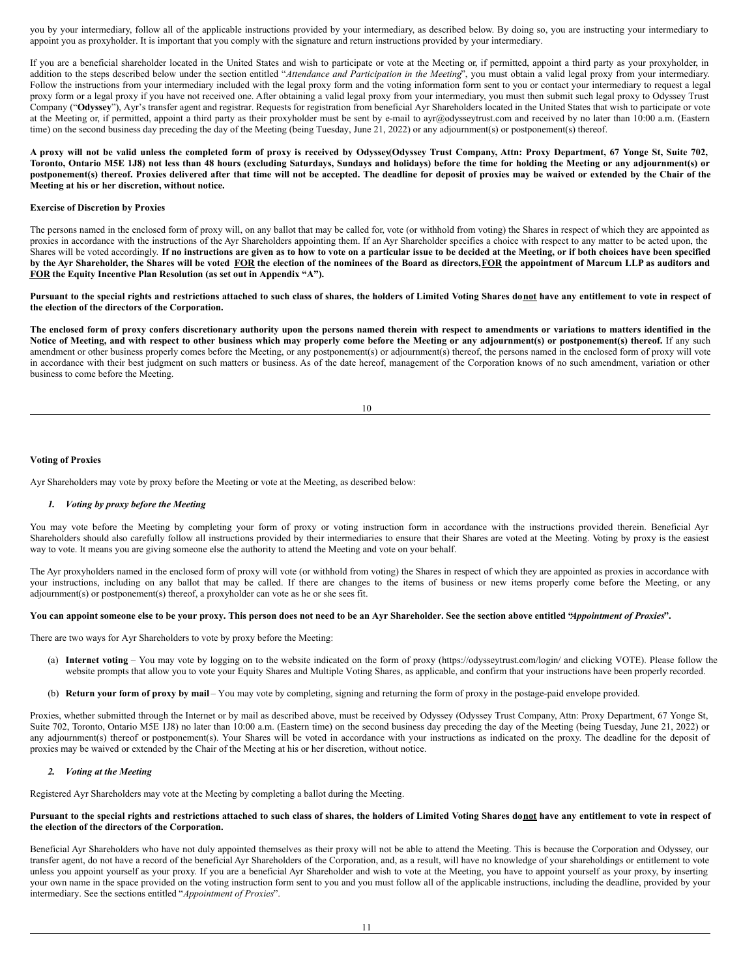you by your intermediary, follow all of the applicable instructions provided by your intermediary, as described below. By doing so, you are instructing your intermediary to appoint you as proxyholder. It is important that you comply with the signature and return instructions provided by your intermediary.

If you are a beneficial shareholder located in the United States and wish to participate or vote at the Meeting or, if permitted, appoint a third party as your proxyholder, in addition to the steps described below under the section entitled "*Attendance and Participation in the Meeting*", you must obtain a valid legal proxy from your intermediary. Follow the instructions from your intermediary included with the legal proxy form and the voting information form sent to you or contact your intermediary to request a legal proxy form or a legal proxy if you have not received one. After obtaining a valid legal proxy from your intermediary, you must then submit such legal proxy to Odyssey Trust Company ("**Odyssey**"), Ayr's transfer agent and registrar. Requests for registration from beneficial Ayr Shareholders located in the United States that wish to participate or vote at the Meeting or, if permitted, appoint a third party as their proxyholder must be sent by e-mail to ayr@odysseytrust.com and received by no later than 10:00 a.m. (Eastern time) on the second business day preceding the day of the Meeting (being Tuesday, June 21, 2022) or any adjournment(s) or postponement(s) thereof.

A proxy will not be valid unless the completed form of proxy is received by Odyssey(Odyssey Trust Company, Attn: Proxy Department, 67 Yonge St, Suite 702, Toronto, Ontario M5E 1J8) not less than 48 hours (excluding Saturdays, Sundays and holidays) before the time for holding the Meeting or any adjournment(s) or postponement(s) thereof. Proxies delivered after that time will not be accepted. The deadline for deposit of proxies may be waived or extended by the Chair of the **Meeting at his or her discretion, without notice.**

### **Exercise of Discretion by Proxies**

The persons named in the enclosed form of proxy will, on any ballot that may be called for, vote (or withhold from voting) the Shares in respect of which they are appointed as proxies in accordance with the instructions of the Ayr Shareholders appointing them. If an Ayr Shareholder specifies a choice with respect to any matter to be acted upon, the Shares will be voted accordingly. If no instructions are given as to how to vote on a particular issue to be decided at the Meeting, or if both choices have been specified by the Ayr Shareholder, the Shares will be voted FOR the election of the nominees of the Board as directors, FOR the appointment of Marcum LLP as auditors and **FOR the Equity Incentive Plan Resolution (as set out in Appendix "A").**

Pursuant to the special rights and restrictions attached to such class of shares, the holders of Limited Voting Shares donot have any entitlement to vote in respect of **the election of the directors of the Corporation.**

The enclosed form of proxy confers discretionary authority upon the persons named therein with respect to amendments or variations to matters identified in the Notice of Meeting, and with respect to other business which may properly come before the Meeting or any adjournment(s) or postponement(s) thereof. If any such amendment or other business properly comes before the Meeting, or any postponement(s) or adjournment(s) thereof, the persons named in the enclosed form of proxy will vote in accordance with their best judgment on such matters or business. As of the date hereof, management of the Corporation knows of no such amendment, variation or other business to come before the Meeting.

| ۰.<br>×<br>۰. |  |
|---------------|--|

## **Voting of Proxies**

Ayr Shareholders may vote by proxy before the Meeting or vote at the Meeting, as described below:

#### *1. Voting by proxy before the Meeting*

You may vote before the Meeting by completing your form of proxy or voting instruction form in accordance with the instructions provided therein. Beneficial Ayr Shareholders should also carefully follow all instructions provided by their intermediaries to ensure that their Shares are voted at the Meeting. Voting by proxy is the easiest way to vote. It means you are giving someone else the authority to attend the Meeting and vote on your behalf.

The Ayr proxyholders named in the enclosed form of proxy will vote (or withhold from voting) the Shares in respect of which they are appointed as proxies in accordance with your instructions, including on any ballot that may be called. If there are changes to the items of business or new items properly come before the Meeting, or any adjournment(s) or postponement(s) thereof, a proxyholder can vote as he or she sees fit.

### You can appoint someone else to be your proxy. This person does not need to be an Ayr Shareholder. See the section above entitled "Appointment of Proxies".

There are two ways for Ayr Shareholders to vote by proxy before the Meeting:

- (a) **Internet voting** You may vote by logging on to the website indicated on the form of proxy (https://odysseytrust.com/login/ and clicking VOTE). Please follow the website prompts that allow you to vote your Equity Shares and Multiple Voting Shares, as applicable, and confirm that your instructions have been properly recorded.
- (b) **Return your form of proxy by mail** You may vote by completing, signing and returning the form of proxy in the postage-paid envelope provided.

Proxies, whether submitted through the Internet or by mail as described above, must be received by Odyssey (Odyssey Trust Company, Attn: Proxy Department, 67 Yonge St, Suite 702, Toronto, Ontario M5E 1J8) no later than 10:00 a.m. (Eastern time) on the second business day preceding the day of the Meeting (being Tuesday, June 21, 2022) or any adjournment(s) thereof or postponement(s). Your Shares will be voted in accordance with your instructions as indicated on the proxy. The deadline for the deposit of proxies may be waived or extended by the Chair of the Meeting at his or her discretion, without notice.

## *2. Voting at the Meeting*

Registered Ayr Shareholders may vote at the Meeting by completing a ballot during the Meeting.

## Pursuant to the special rights and restrictions attached to such class of shares, the holders of Limited Voting Shares donot have any entitlement to vote in respect of **the election of the directors of the Corporation.**

Beneficial Ayr Shareholders who have not duly appointed themselves as their proxy will not be able to attend the Meeting. This is because the Corporation and Odyssey, our transfer agent, do not have a record of the beneficial Ayr Shareholders of the Corporation, and, as a result, will have no knowledge of your shareholdings or entitlement to vote unless you appoint yourself as your proxy. If you are a beneficial Ayr Shareholder and wish to vote at the Meeting, you have to appoint yourself as your proxy, by inserting your own name in the space provided on the voting instruction form sent to you and you must follow all of the applicable instructions, including the deadline, provided by your intermediary. See the sections entitled "*Appointment of Proxies*".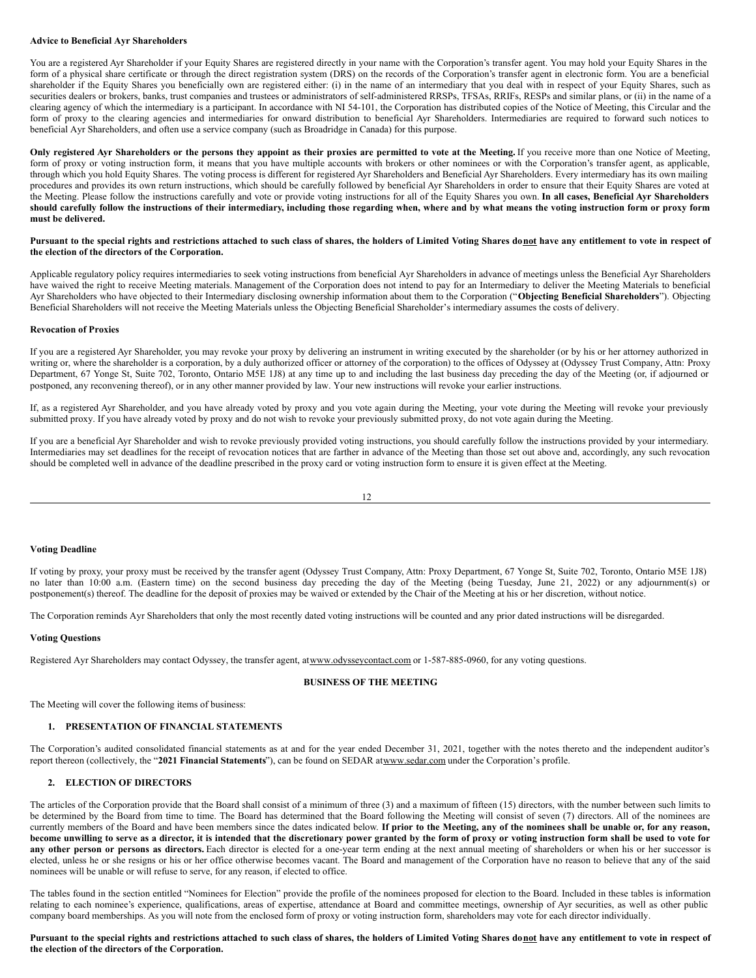#### **Advice to Beneficial Ayr Shareholders**

You are a registered Ayr Shareholder if your Equity Shares are registered directly in your name with the Corporation's transfer agent. You may hold your Equity Shares in the form of a physical share certificate or through the direct registration system (DRS) on the records of the Corporation's transfer agent in electronic form. You are a beneficial shareholder if the Equity Shares you beneficially own are registered either: (i) in the name of an intermediary that you deal with in respect of your Equity Shares, such as securities dealers or brokers, banks, trust companies and trustees or administrators of self-administered RRSPs, TFSAs, RRIFs, RESPs and similar plans, or (ii) in the name of a clearing agency of which the intermediary is a participant. In accordance with NI 54-101, the Corporation has distributed copies of the Notice of Meeting, this Circular and the form of proxy to the clearing agencies and intermediaries for onward distribution to beneficial Ayr Shareholders. Intermediaries are required to forward such notices to beneficial Ayr Shareholders, and often use a service company (such as Broadridge in Canada) for this purpose.

Only registered Ayr Shareholders or the persons they appoint as their proxies are permitted to vote at the Meeting. If you receive more than one Notice of Meeting, form of proxy or voting instruction form, it means that you have multiple accounts with brokers or other nominees or with the Corporation's transfer agent, as applicable, through which you hold Equity Shares. The voting process is different for registered Ayr Shareholders and Beneficial Ayr Shareholders. Every intermediary has its own mailing procedures and provides its own return instructions, which should be carefully followed by beneficial Ayr Shareholders in order to ensure that their Equity Shares are voted at the Meeting. Please follow the instructions carefully and vote or provide voting instructions for all of the Equity Shares you own. **In all cases, Beneficial Ayr Shareholders** should carefully follow the instructions of their intermediary, including those regarding when, where and by what means the voting instruction form or proxy form **must be delivered.**

## Pursuant to the special rights and restrictions attached to such class of shares, the holders of Limited Voting Shares donot have any entitlement to vote in respect of **the election of the directors of the Corporation.**

Applicable regulatory policy requires intermediaries to seek voting instructions from beneficial Ayr Shareholders in advance of meetings unless the Beneficial Ayr Shareholders have waived the right to receive Meeting materials. Management of the Corporation does not intend to pay for an Intermediary to deliver the Meeting Materials to beneficial Ayr Shareholders who have objected to their Intermediary disclosing ownership information about them to the Corporation ("**Objecting Beneficial Shareholders**"). Objecting Beneficial Shareholders will not receive the Meeting Materials unless the Objecting Beneficial Shareholder's intermediary assumes the costs of delivery.

## **Revocation of Proxies**

If you are a registered Ayr Shareholder, you may revoke your proxy by delivering an instrument in writing executed by the shareholder (or by his or her attorney authorized in writing or, where the shareholder is a corporation, by a duly authorized officer or attorney of the corporation) to the offices of Odyssey at (Odyssey Trust Company, Attn: Proxy Department, 67 Yonge St, Suite 702, Toronto, Ontario M5E 1J8) at any time up to and including the last business day preceding the day of the Meeting (or, if adjourned or postponed, any reconvening thereof), or in any other manner provided by law. Your new instructions will revoke your earlier instructions.

If, as a registered Ayr Shareholder, and you have already voted by proxy and you vote again during the Meeting, your vote during the Meeting will revoke your previously submitted proxy. If you have already voted by proxy and do not wish to revoke your previously submitted proxy, do not vote again during the Meeting.

If you are a beneficial Ayr Shareholder and wish to revoke previously provided voting instructions, you should carefully follow the instructions provided by your intermediary. Intermediaries may set deadlines for the receipt of revocation notices that are farther in advance of the Meeting than those set out above and, accordingly, any such revocation should be completed well in advance of the deadline prescribed in the proxy card or voting instruction form to ensure it is given effect at the Meeting.

12

## **Voting Deadline**

If voting by proxy, your proxy must be received by the transfer agent (Odyssey Trust Company, Attn: Proxy Department, 67 Yonge St, Suite 702, Toronto, Ontario M5E 1J8) no later than 10:00 a.m. (Eastern time) on the second business day preceding the day of the Meeting (being Tuesday, June 21, 2022) or any adjournment(s) or postponement(s) thereof. The deadline for the deposit of proxies may be waived or extended by the Chair of the Meeting at his or her discretion, without notice.

The Corporation reminds Ayr Shareholders that only the most recently dated voting instructions will be counted and any prior dated instructions will be disregarded.

#### **Voting Questions**

Registered Ayr Shareholders may contact Odyssey, the transfer agent, atwww.odysseycontact.com or 1-587-885-0960, for any voting questions.

### **BUSINESS OF THE MEETING**

The Meeting will cover the following items of business:

## **1. PRESENTATION OF FINANCIAL STATEMENTS**

The Corporation's audited consolidated financial statements as at and for the year ended December 31, 2021, together with the notes thereto and the independent auditor's report thereon (collectively, the "**2021 Financial Statements**"), can be found on SEDAR atwww.sedar.com under the Corporation's profile.

## **2. ELECTION OF DIRECTORS**

The articles of the Corporation provide that the Board shall consist of a minimum of three (3) and a maximum of fifteen (15) directors, with the number between such limits to be determined by the Board from time to time. The Board has determined that the Board following the Meeting will consist of seven (7) directors. All of the nominees are currently members of the Board and have been members since the dates indicated below. If prior to the Meeting, any of the nominees shall be unable or, for any reason, become unwilling to serve as a director, it is intended that the discretionary power granted by the form of proxy or voting instruction form shall be used to vote for **any other person or persons as directors.** Each director is elected for a one-year term ending at the next annual meeting of shareholders or when his or her successor is elected, unless he or she resigns or his or her office otherwise becomes vacant. The Board and management of the Corporation have no reason to believe that any of the said nominees will be unable or will refuse to serve, for any reason, if elected to office.

The tables found in the section entitled "Nominees for Election" provide the profile of the nominees proposed for election to the Board. Included in these tables is information relating to each nominee's experience, qualifications, areas of expertise, attendance at Board and committee meetings, ownership of Ayr securities, as well as other public company board memberships. As you will note from the enclosed form of proxy or voting instruction form, shareholders may vote for each director individually.

Pursuant to the special rights and restrictions attached to such class of shares, the holders of Limited Voting Shares donot have any entitlement to vote in respect of **the election of the directors of the Corporation.**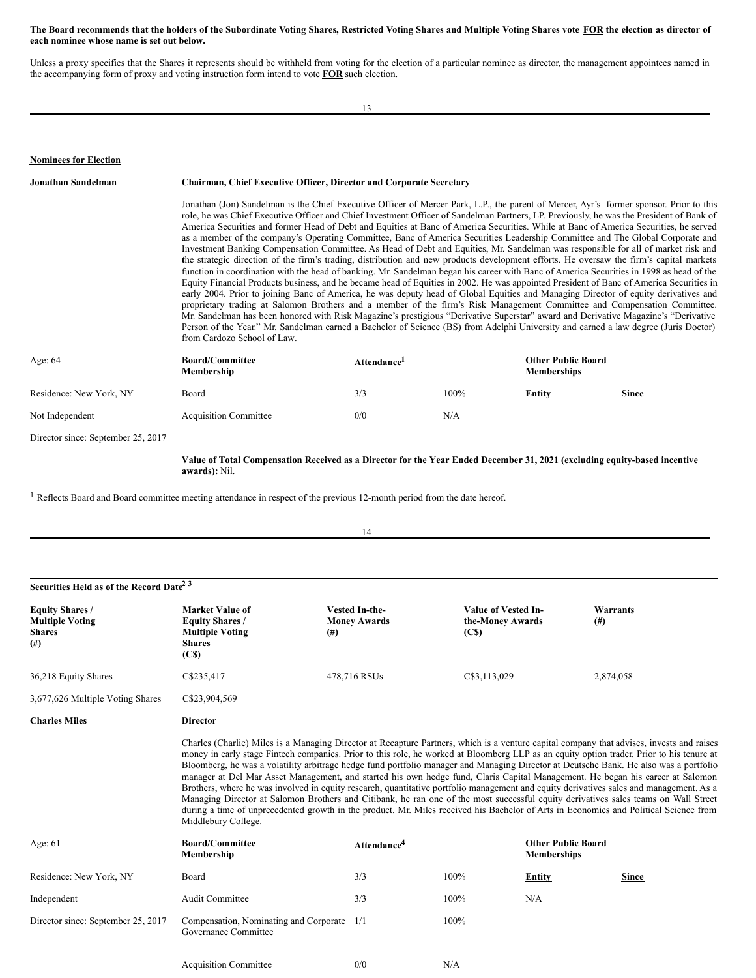## The Board recommends that the holders of the Subordinate Voting Shares, Restricted Voting Shares and Multiple Voting Shares vote FOR the election as director of **each nominee whose name is set out below.**

Unless a proxy specifies that the Shares it represents should be withheld from voting for the election of a particular nominee as director, the management appointees named in the accompanying form of proxy and voting instruction form intend to vote **FOR** such election.

13

# **Nominees for Election**

| Jonathan Sandelman                 | <b>Chairman, Chief Executive Officer, Director and Corporate Secretary</b><br>Jonathan (Jon) Sandelman is the Chief Executive Officer of Mercer Park, L.P., the parent of Mercer, Ayr's former sponsor. Prior to this<br>role, he was Chief Executive Officer and Chief Investment Officer of Sandelman Partners, LP. Previously, he was the President of Bank of<br>America Securities and former Head of Debt and Equities at Banc of America Securities. While at Banc of America Securities, he served<br>as a member of the company's Operating Committee, Banc of America Securities Leadership Committee and The Global Corporate and<br>Investment Banking Compensation Committee. As Head of Debt and Equities, Mr. Sandelman was responsible for all of market risk and<br>the strategic direction of the firm's trading, distribution and new products development efforts. He oversaw the firm's capital markets<br>function in coordination with the head of banking. Mr. Sandelman began his career with Banc of America Securities in 1998 as head of the<br>Equity Financial Products business, and he became head of Equities in 2002. He was appointed President of Banc of America Securities in<br>early 2004. Prior to joining Banc of America, he was deputy head of Global Equities and Managing Director of equity derivatives and<br>proprietary trading at Salomon Brothers and a member of the firm's Risk Management Committee and Compensation Committee.<br>Mr. Sandelman has been honored with Risk Magazine's prestigious "Derivative Superstar" award and Derivative Magazine's "Derivative<br>Person of the Year." Mr. Sandelman earned a Bachelor of Science (BS) from Adelphi University and earned a law degree (Juris Doctor)<br>from Cardozo School of Law. |                         |         |                                                 |       |
|------------------------------------|----------------------------------------------------------------------------------------------------------------------------------------------------------------------------------------------------------------------------------------------------------------------------------------------------------------------------------------------------------------------------------------------------------------------------------------------------------------------------------------------------------------------------------------------------------------------------------------------------------------------------------------------------------------------------------------------------------------------------------------------------------------------------------------------------------------------------------------------------------------------------------------------------------------------------------------------------------------------------------------------------------------------------------------------------------------------------------------------------------------------------------------------------------------------------------------------------------------------------------------------------------------------------------------------------------------------------------------------------------------------------------------------------------------------------------------------------------------------------------------------------------------------------------------------------------------------------------------------------------------------------------------------------------------------------------------------------------------------------------------------------------------------------------------------------|-------------------------|---------|-------------------------------------------------|-------|
|                                    |                                                                                                                                                                                                                                                                                                                                                                                                                                                                                                                                                                                                                                                                                                                                                                                                                                                                                                                                                                                                                                                                                                                                                                                                                                                                                                                                                                                                                                                                                                                                                                                                                                                                                                                                                                                                    |                         |         |                                                 |       |
| Age: 64                            | <b>Board/Committee</b><br>Membership                                                                                                                                                                                                                                                                                                                                                                                                                                                                                                                                                                                                                                                                                                                                                                                                                                                                                                                                                                                                                                                                                                                                                                                                                                                                                                                                                                                                                                                                                                                                                                                                                                                                                                                                                               | Attendance <sup>1</sup> |         | <b>Other Public Board</b><br><b>Memberships</b> |       |
| Residence: New York, NY            | Board                                                                                                                                                                                                                                                                                                                                                                                                                                                                                                                                                                                                                                                                                                                                                                                                                                                                                                                                                                                                                                                                                                                                                                                                                                                                                                                                                                                                                                                                                                                                                                                                                                                                                                                                                                                              | 3/3                     | $100\%$ | <b>Entity</b>                                   | Since |
| Not Independent                    | <b>Acquisition Committee</b>                                                                                                                                                                                                                                                                                                                                                                                                                                                                                                                                                                                                                                                                                                                                                                                                                                                                                                                                                                                                                                                                                                                                                                                                                                                                                                                                                                                                                                                                                                                                                                                                                                                                                                                                                                       | 0/0                     | N/A     |                                                 |       |
| Director since: September 25, 2017 |                                                                                                                                                                                                                                                                                                                                                                                                                                                                                                                                                                                                                                                                                                                                                                                                                                                                                                                                                                                                                                                                                                                                                                                                                                                                                                                                                                                                                                                                                                                                                                                                                                                                                                                                                                                                    |                         |         |                                                 |       |

Value of Total Compensation Received as a Director for the Year Ended December 31, 2021 (excluding equity-based incentive **awards):** Nil.

<u> 1980 - Johann Barn, mars eta bainar eta baina eta baina eta baina eta baina eta baina eta baina eta baina e</u>

<sup>1</sup> Reflects Board and Board committee meeting attendance in respect of the previous 12-month period from the date hereof.

| Securities Held as of the Record Date <sup>2 3</sup>                     |                                                                                                                                                                                                                                                                                                                                                                                                                                                                                                                                                                                                                                                                                                                                                                                                                                                                                                                                                                                                                     |                                       |                                                              |                                                 |                      |  |
|--------------------------------------------------------------------------|---------------------------------------------------------------------------------------------------------------------------------------------------------------------------------------------------------------------------------------------------------------------------------------------------------------------------------------------------------------------------------------------------------------------------------------------------------------------------------------------------------------------------------------------------------------------------------------------------------------------------------------------------------------------------------------------------------------------------------------------------------------------------------------------------------------------------------------------------------------------------------------------------------------------------------------------------------------------------------------------------------------------|---------------------------------------|--------------------------------------------------------------|-------------------------------------------------|----------------------|--|
| <b>Equity Shares /</b><br><b>Multiple Voting</b><br><b>Shares</b><br>(#) | <b>Market Value of</b><br><b>Equity Shares /</b><br><b>Multiple Voting</b><br>$^{(#)}$<br><b>Shares</b><br>(C <sub>s</sub> )                                                                                                                                                                                                                                                                                                                                                                                                                                                                                                                                                                                                                                                                                                                                                                                                                                                                                        | Vested In-the-<br><b>Money Awards</b> | Value of Vested In-<br>the-Money Awards<br>(C <sub>s</sub> ) |                                                 | Warrants<br>$^{(#)}$ |  |
| 36,218 Equity Shares                                                     | C\$235,417                                                                                                                                                                                                                                                                                                                                                                                                                                                                                                                                                                                                                                                                                                                                                                                                                                                                                                                                                                                                          | 478,716 RSUs                          | C\$3,113,029                                                 |                                                 | 2,874,058            |  |
| 3,677,626 Multiple Voting Shares                                         | C\$23,904,569                                                                                                                                                                                                                                                                                                                                                                                                                                                                                                                                                                                                                                                                                                                                                                                                                                                                                                                                                                                                       |                                       |                                                              |                                                 |                      |  |
| <b>Charles Miles</b>                                                     | <b>Director</b>                                                                                                                                                                                                                                                                                                                                                                                                                                                                                                                                                                                                                                                                                                                                                                                                                                                                                                                                                                                                     |                                       |                                                              |                                                 |                      |  |
|                                                                          | Charles (Charlie) Miles is a Managing Director at Recapture Partners, which is a venture capital company that advises, invests and raises<br>money in early stage Fintech companies. Prior to this role, he worked at Bloomberg LLP as an equity option trader. Prior to his tenure at<br>Bloomberg, he was a volatility arbitrage hedge fund portfolio manager and Managing Director at Deutsche Bank. He also was a portfolio<br>manager at Del Mar Asset Management, and started his own hedge fund, Claris Capital Management. He began his career at Salomon<br>Brothers, where he was involved in equity research, quantitative portfolio management and equity derivatives sales and management. As a<br>Managing Director at Salomon Brothers and Citibank, he ran one of the most successful equity derivatives sales teams on Wall Street<br>during a time of unprecedented growth in the product. Mr. Miles received his Bachelor of Arts in Economics and Political Science from<br>Middlebury College. |                                       |                                                              |                                                 |                      |  |
| Age: $61$                                                                | <b>Board/Committee</b><br>Membership                                                                                                                                                                                                                                                                                                                                                                                                                                                                                                                                                                                                                                                                                                                                                                                                                                                                                                                                                                                | Attendance <sup>4</sup>               |                                                              | <b>Other Public Board</b><br><b>Memberships</b> |                      |  |
| Residence: New York, NY                                                  | Board                                                                                                                                                                                                                                                                                                                                                                                                                                                                                                                                                                                                                                                                                                                                                                                                                                                                                                                                                                                                               | 3/3                                   | 100%                                                         | <b>Entity</b>                                   | <b>Since</b>         |  |
| Independent                                                              | <b>Audit Committee</b>                                                                                                                                                                                                                                                                                                                                                                                                                                                                                                                                                                                                                                                                                                                                                                                                                                                                                                                                                                                              | 3/3                                   | 100%                                                         | N/A                                             |                      |  |
| Director since: September 25, 2017                                       | Compensation, Nominating and Corporate<br>Governance Committee                                                                                                                                                                                                                                                                                                                                                                                                                                                                                                                                                                                                                                                                                                                                                                                                                                                                                                                                                      | 1/1                                   | 100%                                                         |                                                 |                      |  |
|                                                                          | <b>Acquisition Committee</b>                                                                                                                                                                                                                                                                                                                                                                                                                                                                                                                                                                                                                                                                                                                                                                                                                                                                                                                                                                                        | 0/0                                   | N/A                                                          |                                                 |                      |  |

14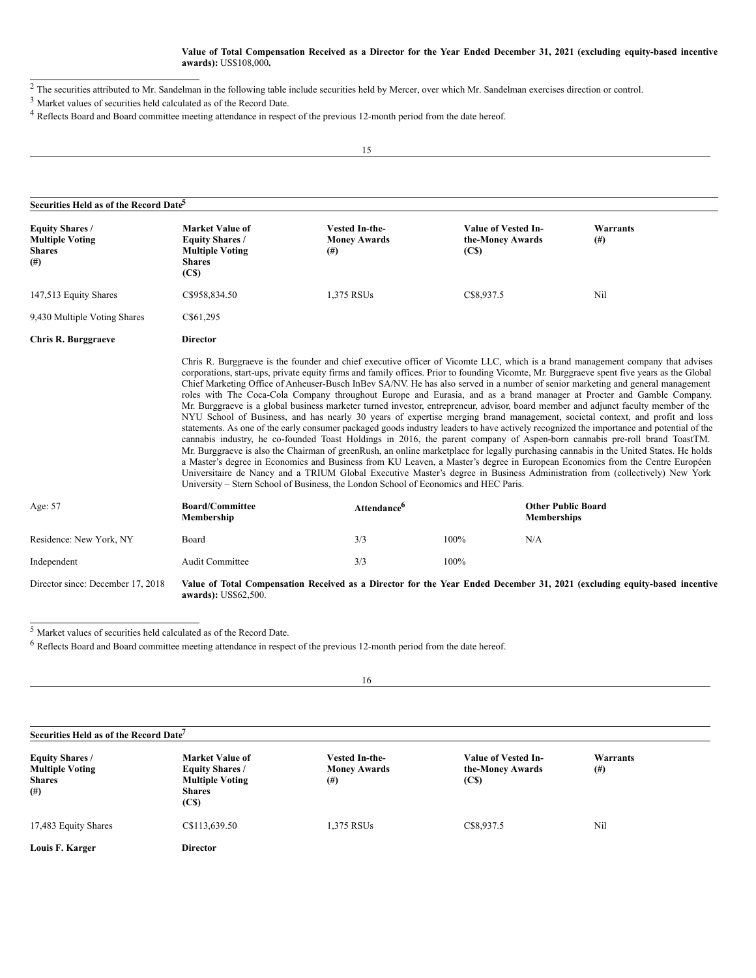## Value of Total Compensation Received as a Director for the Year Ended December 31, 2021 (excluding equity-based incentive **awards):** US\$108,000**.**

 $\overline{2}$  The securities attributed to Mr. Sandelman in the following table include securities held by Mercer, over which Mr. Sandelman exercises direction or control.

<sup>3</sup> Market values of securities held calculated as of the Record Date.

<sup>4</sup> Reflects Board and Board committee meeting attendance in respect of the previous 12-month period from the date hereof.

15

| Securities Held as of the Record Date <sup>5</sup>                             |                                                                                                                                                                                                                                                                                                                                                                                                                                                                                                                                                                                                                                                                                                                                                                                                                                                                                                                                                                                                                                                                                                                                                                                                                                                                                                                                                                                                                                                                                                                                                                                             |                                                   |                                                              |                                                                                                                           |  |  |
|--------------------------------------------------------------------------------|---------------------------------------------------------------------------------------------------------------------------------------------------------------------------------------------------------------------------------------------------------------------------------------------------------------------------------------------------------------------------------------------------------------------------------------------------------------------------------------------------------------------------------------------------------------------------------------------------------------------------------------------------------------------------------------------------------------------------------------------------------------------------------------------------------------------------------------------------------------------------------------------------------------------------------------------------------------------------------------------------------------------------------------------------------------------------------------------------------------------------------------------------------------------------------------------------------------------------------------------------------------------------------------------------------------------------------------------------------------------------------------------------------------------------------------------------------------------------------------------------------------------------------------------------------------------------------------------|---------------------------------------------------|--------------------------------------------------------------|---------------------------------------------------------------------------------------------------------------------------|--|--|
| <b>Equity Shares /</b><br><b>Multiple Voting</b><br><b>Shares</b><br>$($ # $)$ | <b>Market Value of</b><br><b>Equity Shares /</b><br><b>Multiple Voting</b><br><b>Shares</b><br>(C <sub>S</sub> )                                                                                                                                                                                                                                                                                                                                                                                                                                                                                                                                                                                                                                                                                                                                                                                                                                                                                                                                                                                                                                                                                                                                                                                                                                                                                                                                                                                                                                                                            | Vested In-the-<br><b>Money Awards</b><br>$^{(#)}$ | Value of Vested In-<br>the-Money Awards<br>(C <sub>s</sub> ) | Warrants<br>$^{(#)}$                                                                                                      |  |  |
| 147,513 Equity Shares                                                          | C\$958,834.50                                                                                                                                                                                                                                                                                                                                                                                                                                                                                                                                                                                                                                                                                                                                                                                                                                                                                                                                                                                                                                                                                                                                                                                                                                                                                                                                                                                                                                                                                                                                                                               | 1,375 RSUs                                        | C\$8,937.5                                                   | Nil                                                                                                                       |  |  |
| 9,430 Multiple Voting Shares                                                   | C\$61,295                                                                                                                                                                                                                                                                                                                                                                                                                                                                                                                                                                                                                                                                                                                                                                                                                                                                                                                                                                                                                                                                                                                                                                                                                                                                                                                                                                                                                                                                                                                                                                                   |                                                   |                                                              |                                                                                                                           |  |  |
| <b>Chris R. Burggraeve</b>                                                     | <b>Director</b>                                                                                                                                                                                                                                                                                                                                                                                                                                                                                                                                                                                                                                                                                                                                                                                                                                                                                                                                                                                                                                                                                                                                                                                                                                                                                                                                                                                                                                                                                                                                                                             |                                                   |                                                              |                                                                                                                           |  |  |
|                                                                                | Chris R. Burggraeve is the founder and chief executive officer of Vicomte LLC, which is a brand management company that advises<br>corporations, start-ups, private equity firms and family offices. Prior to founding Vicomte, Mr. Burggraeve spent five years as the Global<br>Chief Marketing Office of Anheuser-Busch InBev SA/NV. He has also served in a number of senior marketing and general management<br>roles with The Coca-Cola Company throughout Europe and Eurasia, and as a brand manager at Procter and Gamble Company.<br>Mr. Burggraeve is a global business marketer turned investor, entrepreneur, advisor, board member and adjunct faculty member of the<br>NYU School of Business, and has nearly 30 years of expertise merging brand management, societal context, and profit and loss<br>statements. As one of the early consumer packaged goods industry leaders to have actively recognized the importance and potential of the<br>cannabis industry, he co-founded Toast Holdings in 2016, the parent company of Aspen-born cannabis pre-roll brand ToastTM.<br>Mr. Burggraeve is also the Chairman of greenRush, an online marketplace for legally purchasing cannabis in the United States. He holds<br>a Master's degree in Economics and Business from KU Leaven, a Master's degree in European Economics from the Centre Européen<br>Universitaire de Nancy and a TRIUM Global Executive Master's degree in Business Administration from (collectively) New York<br>University – Stern School of Business, the London School of Economics and HEC Paris. |                                                   |                                                              |                                                                                                                           |  |  |
| Age: 57                                                                        | <b>Board/Committee</b><br>Membership                                                                                                                                                                                                                                                                                                                                                                                                                                                                                                                                                                                                                                                                                                                                                                                                                                                                                                                                                                                                                                                                                                                                                                                                                                                                                                                                                                                                                                                                                                                                                        | Attendance <sup>6</sup>                           |                                                              | <b>Other Public Board</b><br><b>Memberships</b>                                                                           |  |  |
| Residence: New York, NY                                                        | Board                                                                                                                                                                                                                                                                                                                                                                                                                                                                                                                                                                                                                                                                                                                                                                                                                                                                                                                                                                                                                                                                                                                                                                                                                                                                                                                                                                                                                                                                                                                                                                                       | 3/3                                               | 100%                                                         | N/A                                                                                                                       |  |  |
| Independent                                                                    | Audit Committee                                                                                                                                                                                                                                                                                                                                                                                                                                                                                                                                                                                                                                                                                                                                                                                                                                                                                                                                                                                                                                                                                                                                                                                                                                                                                                                                                                                                                                                                                                                                                                             | 3/3                                               | 100%                                                         |                                                                                                                           |  |  |
| Director since: December 17, 2018                                              | awards): US\$62,500.                                                                                                                                                                                                                                                                                                                                                                                                                                                                                                                                                                                                                                                                                                                                                                                                                                                                                                                                                                                                                                                                                                                                                                                                                                                                                                                                                                                                                                                                                                                                                                        |                                                   |                                                              | Value of Total Compensation Received as a Director for the Year Ended December 31, 2021 (excluding equity-based incentive |  |  |

 $\frac{1}{5}$  Market values of securities held calculated as of the Record Date.

<sup>6</sup> Reflects Board and Board committee meeting attendance in respect of the previous 12-month period from the date hereof.

| 16                                                                            |                                                                                                                  |                                                   |                                                              |                    |  |
|-------------------------------------------------------------------------------|------------------------------------------------------------------------------------------------------------------|---------------------------------------------------|--------------------------------------------------------------|--------------------|--|
| Securities Held as of the Record Date <sup>7</sup>                            |                                                                                                                  |                                                   |                                                              |                    |  |
| <b>Equity Shares /</b><br><b>Multiple Voting</b><br><b>Shares</b><br>$^{(#)}$ | <b>Market Value of</b><br><b>Equity Shares /</b><br><b>Multiple Voting</b><br><b>Shares</b><br>(C <sub>s</sub> ) | Vested In-the-<br><b>Money Awards</b><br>$^{(#)}$ | Value of Vested In-<br>the-Money Awards<br>(C <sub>s</sub> ) | Warrants<br>$(\#)$ |  |
| 17,483 Equity Shares                                                          | C\$113,639.50                                                                                                    | 1,375 RSUs                                        | C\$8,937.5                                                   | Nil                |  |
| Louis F. Karger                                                               | <b>Director</b>                                                                                                  |                                                   |                                                              |                    |  |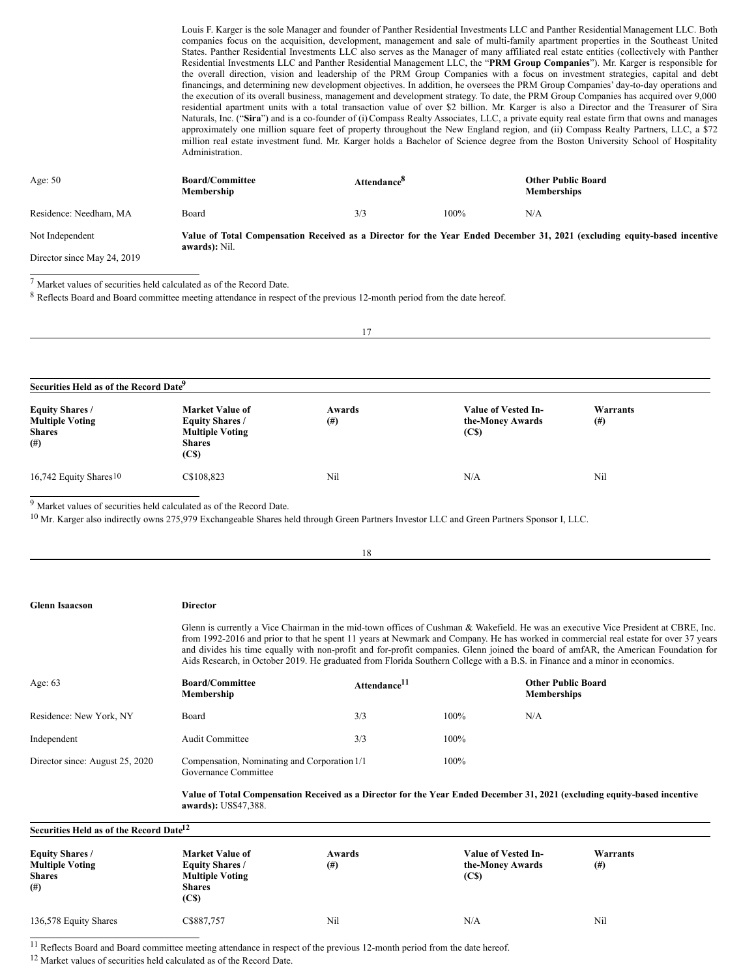Louis F. Karger is the sole Manager and founder of Panther Residential Investments LLC and Panther Residential Management LLC. Both companies focus on the acquisition, development, management and sale of multi-family apartment properties in the Southeast United States. Panther Residential Investments LLC also serves as the Manager of many affiliated real estate entities (collectively with Panther Residential Investments LLC and Panther Residential Management LLC, the "**PRM Group Companies**"). Mr. Karger is responsible for the overall direction, vision and leadership of the PRM Group Companies with a focus on investment strategies, capital and debt financings, and determining new development objectives. In addition, he oversees the PRM Group Companies' day-to-day operations and the execution of its overall business, management and development strategy. To date, the PRM Group Companies has acquired over 9,000 residential apartment units with a total transaction value of over \$2 billion. Mr. Karger is also a Director and the Treasurer of Sira Naturals, Inc. ("Sira") and is a co-founder of (i) Compass Realty Associates, LLC, a private equity real estate firm that owns and manages approximately one million square feet of property throughout the New England region, and (ii) Compass Realty Partners, LLC, a \$72 million real estate investment fund. Mr. Karger holds a Bachelor of Science degree from the Boston University School of Hospitality Administration.

| Age: $50$                   | <b>Board/Committee</b><br>Membership | Attendance <sup>8</sup> |      | <b>Other Public Board</b><br><b>Memberships</b>                                                                           |
|-----------------------------|--------------------------------------|-------------------------|------|---------------------------------------------------------------------------------------------------------------------------|
| Residence: Needham, MA      | Board                                | 3/3                     | 100% | N/A                                                                                                                       |
| Not Independent             | awards): Nil.                        |                         |      | Value of Total Compensation Received as a Director for the Year Ended December 31, 2021 (excluding equity-based incentive |
| Director since May 24, 2019 |                                      |                         |      |                                                                                                                           |

 $^7$  Market values of securities held calculated as of the Record Date.

<sup>8</sup> Reflects Board and Board committee meeting attendance in respect of the previous 12-month period from the date hereof.

| 17                                                                                                                                  |                                                                                                                  |              |                                                              |                    |  |
|-------------------------------------------------------------------------------------------------------------------------------------|------------------------------------------------------------------------------------------------------------------|--------------|--------------------------------------------------------------|--------------------|--|
|                                                                                                                                     |                                                                                                                  |              |                                                              |                    |  |
| Securities Held as of the Record Date <sup>9</sup><br><b>Equity Shares /</b><br><b>Multiple Voting</b><br><b>Shares</b><br>$^{(#)}$ | <b>Market Value of</b><br><b>Equity Shares /</b><br><b>Multiple Voting</b><br><b>Shares</b><br>(C <sub>s</sub> ) | Awards<br>#) | Value of Vested In-<br>the-Money Awards<br>(C <sub>s</sub> ) | Warrants<br>$(\#)$ |  |
| 16,742 Equity Shares <sup>10</sup>                                                                                                  | C\$108,823                                                                                                       | Nil          | N/A                                                          | Nil                |  |

18

<sup>9</sup> Market values of securities held calculated as of the Record Date.

<sup>10</sup> Mr. Karger also indirectly owns 275,979 Exchangeable Shares held through Green Partners Investor LLC and Green Partners Sponsor I, LLC.

| <b>Glenn Isaacson</b>                                                    | <b>Director</b>                                                                                                                                   |                          |                                                                     |                                                                                                                                                                                                                                                                                                                                                                                                                                                                                                                                                   |  |
|--------------------------------------------------------------------------|---------------------------------------------------------------------------------------------------------------------------------------------------|--------------------------|---------------------------------------------------------------------|---------------------------------------------------------------------------------------------------------------------------------------------------------------------------------------------------------------------------------------------------------------------------------------------------------------------------------------------------------------------------------------------------------------------------------------------------------------------------------------------------------------------------------------------------|--|
|                                                                          |                                                                                                                                                   |                          |                                                                     | Glenn is currently a Vice Chairman in the mid-town offices of Cushman & Wakefield. He was an executive Vice President at CBRE, Inc.<br>from 1992-2016 and prior to that he spent 11 years at Newmark and Company. He has worked in commercial real estate for over 37 years<br>and divides his time equally with non-profit and for-profit companies. Glenn joined the board of amfAR, the American Foundation for<br>Aids Research, in October 2019. He graduated from Florida Southern College with a B.S. in Finance and a minor in economics. |  |
| Age: $63$                                                                | <b>Board/Committee</b><br>Membership                                                                                                              | Attendance <sup>11</sup> |                                                                     | <b>Other Public Board</b><br><b>Memberships</b>                                                                                                                                                                                                                                                                                                                                                                                                                                                                                                   |  |
| Residence: New York, NY                                                  | Board                                                                                                                                             | 3/3                      | 100%<br>N/A                                                         |                                                                                                                                                                                                                                                                                                                                                                                                                                                                                                                                                   |  |
| Independent                                                              | <b>Audit Committee</b>                                                                                                                            | 3/3                      | 100%                                                                |                                                                                                                                                                                                                                                                                                                                                                                                                                                                                                                                                   |  |
| Director since: August 25, 2020                                          | Compensation, Nominating and Corporation 1/1<br>100%<br>Governance Committee                                                                      |                          |                                                                     |                                                                                                                                                                                                                                                                                                                                                                                                                                                                                                                                                   |  |
|                                                                          | Value of Total Compensation Received as a Director for the Year Ended December 31, 2021 (excluding equity-based incentive<br>awards): US\$47,388. |                          |                                                                     |                                                                                                                                                                                                                                                                                                                                                                                                                                                                                                                                                   |  |
| Securities Held as of the Record Date <sup>12</sup>                      |                                                                                                                                                   |                          |                                                                     |                                                                                                                                                                                                                                                                                                                                                                                                                                                                                                                                                   |  |
| <b>Equity Shares /</b><br><b>Multiple Voting</b><br><b>Shares</b><br>(#) | Market Value of<br><b>Equity Shares /</b><br><b>Multiple Voting</b><br><b>Shares</b><br>(C <sub>s</sub> )                                         | Awards<br>(# )           | <b>Value of Vested In-</b><br>the-Money Awards<br>(C <sub>s</sub> ) | Warrants<br>(# )                                                                                                                                                                                                                                                                                                                                                                                                                                                                                                                                  |  |
| 136,578 Equity Shares                                                    | C\$887,757                                                                                                                                        | Nil                      | N/A                                                                 | Nil                                                                                                                                                                                                                                                                                                                                                                                                                                                                                                                                               |  |

<sup>11</sup> Reflects Board and Board committee meeting attendance in respect of the previous 12-month period from the date hereof.

<sup>12</sup> Market values of securities held calculated as of the Record Date.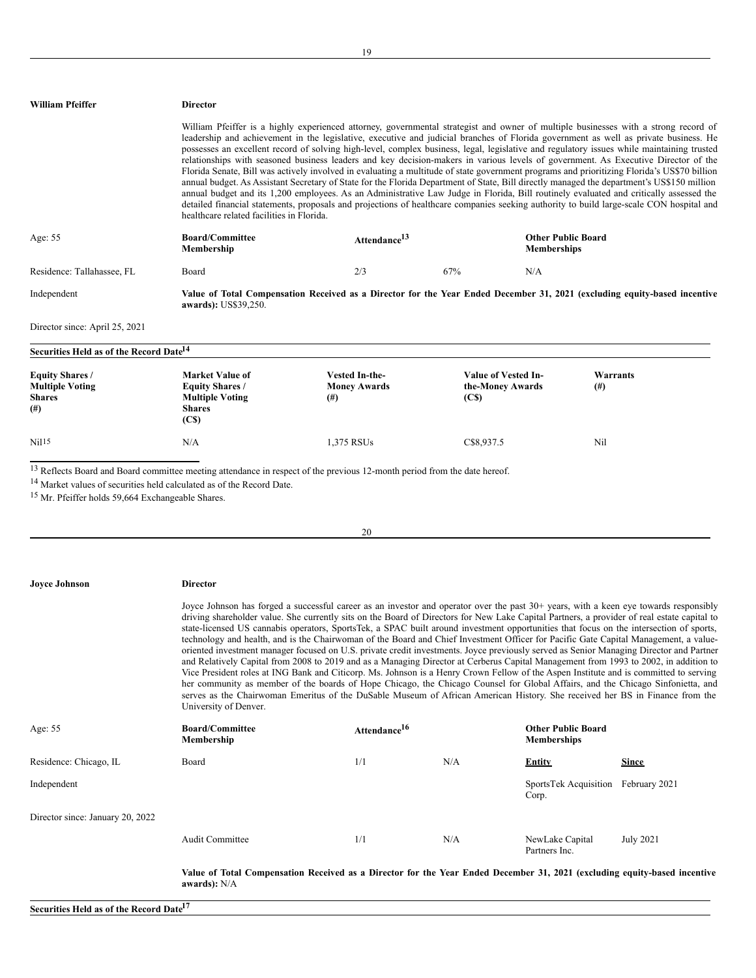| William Pfeiffer                                                  | <b>Director</b>                                                                                      |                                                                                                                                            |                                                  |                                                                                                                                                                                                                                                                                                                                                                                                                                                                                                                                                                                                                                                                                                                                                                                                                                                                                                                                                                                                                                                                                                                                                                                                                                                                        |
|-------------------------------------------------------------------|------------------------------------------------------------------------------------------------------|--------------------------------------------------------------------------------------------------------------------------------------------|--------------------------------------------------|------------------------------------------------------------------------------------------------------------------------------------------------------------------------------------------------------------------------------------------------------------------------------------------------------------------------------------------------------------------------------------------------------------------------------------------------------------------------------------------------------------------------------------------------------------------------------------------------------------------------------------------------------------------------------------------------------------------------------------------------------------------------------------------------------------------------------------------------------------------------------------------------------------------------------------------------------------------------------------------------------------------------------------------------------------------------------------------------------------------------------------------------------------------------------------------------------------------------------------------------------------------------|
|                                                                   | healthcare related facilities in Florida.                                                            |                                                                                                                                            |                                                  | William Pfeiffer is a highly experienced attorney, governmental strategist and owner of multiple businesses with a strong record of<br>leadership and achievement in the legislative, executive and judicial branches of Florida government as well as private business. He<br>possesses an excellent record of solving high-level, complex business, legal, legislative and regulatory issues while maintaining trusted<br>relationships with seasoned business leaders and key decision-makers in various levels of government. As Executive Director of the<br>Florida Senate, Bill was actively involved in evaluating a multitude of state government programs and prioritizing Florida's US\$70 billion<br>annual budget. As Assistant Secretary of State for the Florida Department of State, Bill directly managed the department's US\$150 million<br>annual budget and its 1,200 employees. As an Administrative Law Judge in Florida, Bill routinely evaluated and critically assessed the<br>detailed financial statements, proposals and projections of healthcare companies seeking authority to build large-scale CON hospital and                                                                                                                      |
| Age: 55                                                           | <b>Board/Committee</b><br>Membership                                                                 | Attendance <sup>13</sup>                                                                                                                   | <b>Memberships</b>                               | <b>Other Public Board</b>                                                                                                                                                                                                                                                                                                                                                                                                                                                                                                                                                                                                                                                                                                                                                                                                                                                                                                                                                                                                                                                                                                                                                                                                                                              |
| Residence: Tallahassee, FL                                        | Board                                                                                                | 2/3                                                                                                                                        | 67%<br>N/A                                       |                                                                                                                                                                                                                                                                                                                                                                                                                                                                                                                                                                                                                                                                                                                                                                                                                                                                                                                                                                                                                                                                                                                                                                                                                                                                        |
| Independent                                                       | awards): US\$39,250.                                                                                 |                                                                                                                                            |                                                  | Value of Total Compensation Received as a Director for the Year Ended December 31, 2021 (excluding equity-based incentive                                                                                                                                                                                                                                                                                                                                                                                                                                                                                                                                                                                                                                                                                                                                                                                                                                                                                                                                                                                                                                                                                                                                              |
| Director since: April 25, 2021                                    |                                                                                                      |                                                                                                                                            |                                                  |                                                                                                                                                                                                                                                                                                                                                                                                                                                                                                                                                                                                                                                                                                                                                                                                                                                                                                                                                                                                                                                                                                                                                                                                                                                                        |
| Securities Held as of the Record Date <sup>14</sup>               |                                                                                                      |                                                                                                                                            |                                                  |                                                                                                                                                                                                                                                                                                                                                                                                                                                                                                                                                                                                                                                                                                                                                                                                                                                                                                                                                                                                                                                                                                                                                                                                                                                                        |
| <b>Equity Shares /</b><br>Multiple Voting<br><b>Shares</b><br>(#) | <b>Market Value of</b><br><b>Equity Shares /</b><br><b>Multiple Voting</b><br><b>Shares</b><br>(C\$) | <b>Vested In-the-</b><br><b>Money Awards</b><br>$^{(#)}$                                                                                   | Value of Vested In-<br>the-Money Awards<br>(C\$) | Warrants<br>$^{(#)}$                                                                                                                                                                                                                                                                                                                                                                                                                                                                                                                                                                                                                                                                                                                                                                                                                                                                                                                                                                                                                                                                                                                                                                                                                                                   |
| Nil 15                                                            | N/A                                                                                                  | 1,375 RSUs                                                                                                                                 | C\$8,937.5                                       | Nil                                                                                                                                                                                                                                                                                                                                                                                                                                                                                                                                                                                                                                                                                                                                                                                                                                                                                                                                                                                                                                                                                                                                                                                                                                                                    |
| <sup>15</sup> Mr. Pfeiffer holds 59,664 Exchangeable Shares.      | <sup>14</sup> Market values of securities held calculated as of the Record Date.                     | <sup>13</sup> Reflects Board and Board committee meeting attendance in respect of the previous 12-month period from the date hereof.<br>20 |                                                  |                                                                                                                                                                                                                                                                                                                                                                                                                                                                                                                                                                                                                                                                                                                                                                                                                                                                                                                                                                                                                                                                                                                                                                                                                                                                        |
| <b>Joyce Johnson</b>                                              | <b>Director</b>                                                                                      |                                                                                                                                            |                                                  |                                                                                                                                                                                                                                                                                                                                                                                                                                                                                                                                                                                                                                                                                                                                                                                                                                                                                                                                                                                                                                                                                                                                                                                                                                                                        |
|                                                                   | University of Denver.                                                                                |                                                                                                                                            |                                                  | Joyce Johnson has forged a successful career as an investor and operator over the past 30+ years, with a keen eye towards responsibly<br>driving shareholder value. She currently sits on the Board of Directors for New Lake Capital Partners, a provider of real estate capital to<br>state-licensed US cannabis operators, SportsTek, a SPAC built around investment opportunities that focus on the intersection of sports,<br>technology and health, and is the Chairwoman of the Board and Chief Investment Officer for Pacific Gate Capital Management, a value-<br>oriented investment manager focused on U.S. private credit investments. Joyce previously served as Senior Managing Director and Partner<br>and Relatively Capital from 2008 to 2019 and as a Managing Director at Cerberus Capital Management from 1993 to 2002, in addition to<br>Vice President roles at ING Bank and Citicorp. Ms. Johnson is a Henry Crown Fellow of the Aspen Institute and is committed to serving<br>her community as member of the boards of Hope Chicago, the Chicago Counsel for Global Affairs, and the Chicago Sinfonietta, and<br>serves as the Chairwoman Emeritus of the DuSable Museum of African American History. She received her BS in Finance from the |
| Age: 55                                                           | <b>Board/Committee</b><br>Membership                                                                 | Attendance <sup>16</sup>                                                                                                                   | <b>Memberships</b>                               | <b>Other Public Board</b>                                                                                                                                                                                                                                                                                                                                                                                                                                                                                                                                                                                                                                                                                                                                                                                                                                                                                                                                                                                                                                                                                                                                                                                                                                              |
| Residence: Chicago, IL                                            | Board                                                                                                | 1/1                                                                                                                                        | N/A<br><b>Entity</b>                             | <b>Since</b>                                                                                                                                                                                                                                                                                                                                                                                                                                                                                                                                                                                                                                                                                                                                                                                                                                                                                                                                                                                                                                                                                                                                                                                                                                                           |

Independent SportsTek Acquisition February 2021

Director since: January 20, 2022

Audit Committee 1/1 N/A NewLake Capital

Partners Inc.

Corp.

July 2021

Value of Total Compensation Received as a Director for the Year Ended December 31, 2021 (excluding equity-based incentive **awards):** N/A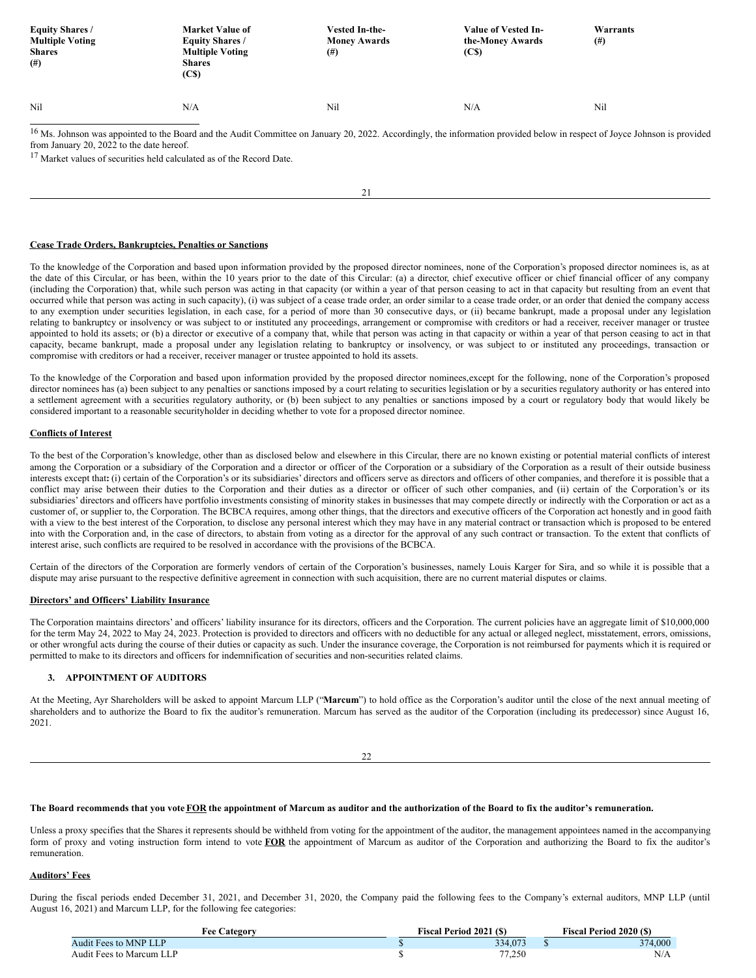| <b>Equity Shares /</b><br><b>Multiple Voting</b><br><b>Shares</b><br>$($ # $)$ | <b>Market Value of</b><br><b>Equity Shares /</b><br><b>Multiple Voting</b><br><b>Shares</b><br>(C <sub>s</sub> ) | Vested In-the-<br><b>Money Awards</b><br>(# ) | Value of Vested In-<br>the-Money Awards<br>(C <sub>s</sub> ) | Warrants<br>$^{(#)}$ |
|--------------------------------------------------------------------------------|------------------------------------------------------------------------------------------------------------------|-----------------------------------------------|--------------------------------------------------------------|----------------------|
| Nil                                                                            | N/A                                                                                                              | Nil                                           | N/A                                                          | Nil                  |

<sup>16</sup> Ms. Johnson was appointed to the Board and the Audit Committee on January 20, 2022. Accordingly, the information provided below in respect of Joyce Johnson is provided from January 20, 2022 to the date hereof.

<sup>17</sup> Market values of securities held calculated as of the Record Date.

21

## **Cease Trade Orders, Bankruptcies, Penalties or Sanctions**

To the knowledge of the Corporation and based upon information provided by the proposed director nominees, none of the Corporation's proposed director nominees is, as at the date of this Circular, or has been, within the 10 years prior to the date of this Circular: (a) a director, chief executive officer or chief financial officer of any company (including the Corporation) that, while such person was acting in that capacity (or within a year of that person ceasing to act in that capacity but resulting from an event that occurred while that person was acting in such capacity), (i) was subject of a cease trade order, an order similar to a cease trade order, or an order that denied the company access to any exemption under securities legislation, in each case, for a period of more than 30 consecutive days, or (ii) became bankrupt, made a proposal under any legislation relating to bankruptcy or insolvency or was subject to or instituted any proceedings, arrangement or compromise with creditors or had a receiver, receiver manager or trustee appointed to hold its assets; or (b) a director or executive of a company that, while that person was acting in that capacity or within a year of that person ceasing to act in that capacity, became bankrupt, made a proposal under any legislation relating to bankruptcy or insolvency, or was subject to or instituted any proceedings, transaction or compromise with creditors or had a receiver, receiver manager or trustee appointed to hold its assets.

To the knowledge of the Corporation and based upon information provided by the proposed director nominees, except for the following, none of the Corporation's proposed director nominees has (a) been subject to any penalties or sanctions imposed by a court relating to securities legislation or by a securities regulatory authority or has entered into a settlement agreement with a securities regulatory authority, or (b) been subject to any penalties or sanctions imposed by a court or regulatory body that would likely be considered important to a reasonable securityholder in deciding whether to vote for a proposed director nominee.

# **Conflicts of Interest**

To the best of the Corporation's knowledge, other than as disclosed below and elsewhere in this Circular, there are no known existing or potential material conflicts of interest among the Corporation or a subsidiary of the Corporation and a director or officer of the Corporation or a subsidiary of the Corporation as a result of their outside business interests except that**:** (i) certain of the Corporation's or its subsidiaries' directors and officers serve as directors and officers of other companies, and therefore it is possible that a conflict may arise between their duties to the Corporation and their duties as a director or officer of such other companies, and (ii) certain of the Corporation's or its subsidiaries' directors and officers have portfolio investments consisting of minority stakes in businesses that may compete directly or indirectly with the Corporation or act as a customer of, or supplier to, the Corporation. The BCBCA requires, among other things, that the directors and executive officers of the Corporation act honestly and in good faith with a view to the best interest of the Corporation, to disclose any personal interest which they may have in any material contract or transaction which is proposed to be entered into with the Corporation and, in the case of directors, to abstain from voting as a director for the approval of any such contract or transaction. To the extent that conflicts of interest arise, such conflicts are required to be resolved in accordance with the provisions of the BCBCA.

Certain of the directors of the Corporation are formerly vendors of certain of the Corporation's businesses, namely Louis Karger for Sira, and so while it is possible that a dispute may arise pursuant to the respective definitive agreement in connection with such acquisition, there are no current material disputes or claims.

#### **Directors' and Officers' Liability Insurance**

The Corporation maintains directors' and officers' liability insurance for its directors, officers and the Corporation. The current policies have an aggregate limit of \$10,000,000 for the term May 24, 2022 to May 24, 2023. Protection is provided to directors and officers with no deductible for any actual or alleged neglect, misstatement, errors, omissions, or other wrongful acts during the course of their duties or capacity as such. Under the insurance coverage, the Corporation is not reimbursed for payments which it is required or permitted to make to its directors and officers for indemnification of securities and non-securities related claims.

## **3. APPOINTMENT OF AUDITORS**

At the Meeting, Ayr Shareholders will be asked to appoint Marcum LLP ("**Marcum**") to hold office as the Corporation's auditor until the close of the next annual meeting of shareholders and to authorize the Board to fix the auditor's remuneration. Marcum has served as the auditor of the Corporation (including its predecessor) since August 16, 2021.

 $22$ 

## The Board recommends that you vote FOR the appointment of Marcum as auditor and the authorization of the Board to fix the auditor's remuneration.

Unless a proxy specifies that the Shares it represents should be withheld from voting for the appointment of the auditor, the management appointees named in the accompanying form of proxy and voting instruction form intend to vote **FOR** the appointment of Marcum as auditor of the Corporation and authorizing the Board to fix the auditor's remuneration.

## **Auditors' Fees**

During the fiscal periods ended December 31, 2021, and December 31, 2020, the Company paid the following fees to the Company's external auditors, MNP LLP (until August 16, 2021) and Marcum LLP, for the following fee categories:

| <b>Fee Category</b>      | <b>Fiscal Period 2021 (\$)</b> | <b>Fiscal Period 2020 (S)</b> |
|--------------------------|--------------------------------|-------------------------------|
| Audit Fees to MNP LLP    | 334,073                        | 374,000                       |
| Audit Fees to Marcum LLP | 77.250                         | N/A                           |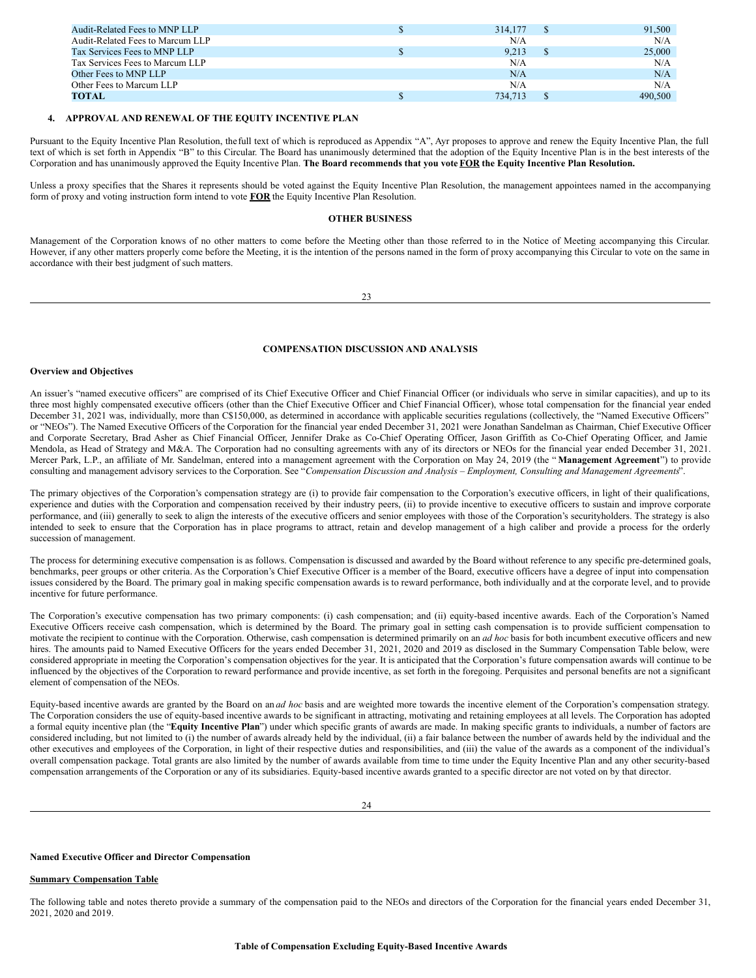| Audit-Related Fees to MNP LLP    | 314,177 | 91,500  |
|----------------------------------|---------|---------|
| Audit-Related Fees to Marcum LLP | N/A     | N/A     |
| Tax Services Fees to MNP LLP     | 9.213   | 25,000  |
| Tax Services Fees to Marcum LLP  | N/A     | N/A     |
| Other Fees to MNP LLP            | N/A     | N/A     |
| Other Fees to Marcum LLP         | N/A     | N/A     |
| TOTAL                            | 734.713 | 490,500 |

## **4. APPROVAL AND RENEWAL OF THE EQUITY INCENTIVE PLAN**

Pursuant to the Equity Incentive Plan Resolution, the full text of which is reproduced as Appendix "A", Ayr proposes to approve and renew the Equity Incentive Plan, the full text of which is set forth in Appendix "B" to this Circular. The Board has unanimously determined that the adoption of the Equity Incentive Plan is in the best interests of the Corporation and has unanimously approved the Equity Incentive Plan. The Board recommends that you vote FOR the Equity Incentive Plan Resolution.

Unless a proxy specifies that the Shares it represents should be voted against the Equity Incentive Plan Resolution, the management appointees named in the accompanying form of proxy and voting instruction form intend to vote **FOR** the Equity Incentive Plan Resolution.

# **OTHER BUSINESS**

Management of the Corporation knows of no other matters to come before the Meeting other than those referred to in the Notice of Meeting accompanying this Circular. However, if any other matters properly come before the Meeting, it is the intention of the persons named in the form of proxy accompanying this Circular to vote on the same in accordance with their best judgment of such matters.

 $23$ 

## **COMPENSATION DISCUSSION AND ANALYSIS**

## **Overview and Objectives**

An issuer's "named executive officers" are comprised of its Chief Executive Officer and Chief Financial Officer (or individuals who serve in similar capacities), and up to its three most highly compensated executive officers (other than the Chief Executive Officer and Chief Financial Officer), whose total compensation for the financial year ended December 31, 2021 was, individually, more than C\$150,000, as determined in accordance with applicable securities regulations (collectively, the "Named Executive Officers" or "NEOs"). The Named Executive Officers of the Corporation for the financial year ended December 31, 2021 were Jonathan Sandelman as Chairman, Chief Executive Officer and Corporate Secretary, Brad Asher as Chief Financial Officer, Jennifer Drake as Co-Chief Operating Officer, Jason Griffith as Co-Chief Operating Officer, and Jamie Mendola, as Head of Strategy and M&A. The Corporation had no consulting agreements with any of its directors or NEOs for the financial year ended December 31, 2021. Mercer Park, L.P., an affiliate of Mr. Sandelman, entered into a management agreement with the Corporation on May 24, 2019 (the " **Management Agreement**") to provide consulting and management advisory services to the Corporation. See "Compensation Discussion and Analysis – Employment, Consulting and Management Agreements".

The primary objectives of the Corporation's compensation strategy are (i) to provide fair compensation to the Corporation's executive officers, in light of their qualifications, experience and duties with the Corporation and compensation received by their industry peers, (ii) to provide incentive to executive officers to sustain and improve corporate performance, and (iii) generally to seek to align the interests of the executive officers and senior employees with those of the Corporation's securityholders. The strategy is also intended to seek to ensure that the Corporation has in place programs to attract, retain and develop management of a high caliber and provide a process for the orderly succession of management.

The process for determining executive compensation is as follows. Compensation is discussed and awarded by the Board without reference to any specific pre-determined goals, benchmarks, peer groups or other criteria. As the Corporation's Chief Executive Officer is a member of the Board, executive officers have a degree of input into compensation issues considered by the Board. The primary goal in making specific compensation awards is to reward performance, both individually and at the corporate level, and to provide incentive for future performance.

The Corporation's executive compensation has two primary components: (i) cash compensation; and (ii) equity-based incentive awards. Each of the Corporation's Named Executive Officers receive cash compensation, which is determined by the Board. The primary goal in setting cash compensation is to provide sufficient compensation to motivate the recipient to continue with the Corporation. Otherwise, cash compensation is determined primarily on an *ad hoc* basis for both incumbent executive officers and new hires. The amounts paid to Named Executive Officers for the years ended December 31, 2021, 2020 and 2019 as disclosed in the Summary Compensation Table below, were considered appropriate in meeting the Corporation's compensation objectives for the year. It is anticipated that the Corporation's future compensation awards will continue to be influenced by the objectives of the Corporation to reward performance and provide incentive, as set forth in the foregoing. Perquisites and personal benefits are not a significant element of compensation of the NEOs.

Equity-based incentive awards are granted by the Board on an *ad hoc* basis and are weighted more towards the incentive element of the Corporation's compensation strategy. The Corporation considers the use of equity-based incentive awards to be significant in attracting, motivating and retaining employees at all levels. The Corporation has adopted a formal equity incentive plan (the "**Equity Incentive Plan**") under which specific grants of awards are made. In making specific grants to individuals, a number of factors are considered including, but not limited to (i) the number of awards already held by the individual, (ii) a fair balance between the number of awards held by the individual and the other executives and employees of the Corporation, in light of their respective duties and responsibilities, and (iii) the value of the awards as a component of the individual's overall compensation package. Total grants are also limited by the number of awards available from time to time under the Equity Incentive Plan and any other security-based compensation arrangements of the Corporation or any of its subsidiaries. Equity-based incentive awards granted to a specific director are not voted on by that director.

## **Named Executive Officer and Director Compensation**

#### **Summary Compensation Table**

The following table and notes thereto provide a summary of the compensation paid to the NEOs and directors of the Corporation for the financial years ended December 31, 2021, 2020 and 2019.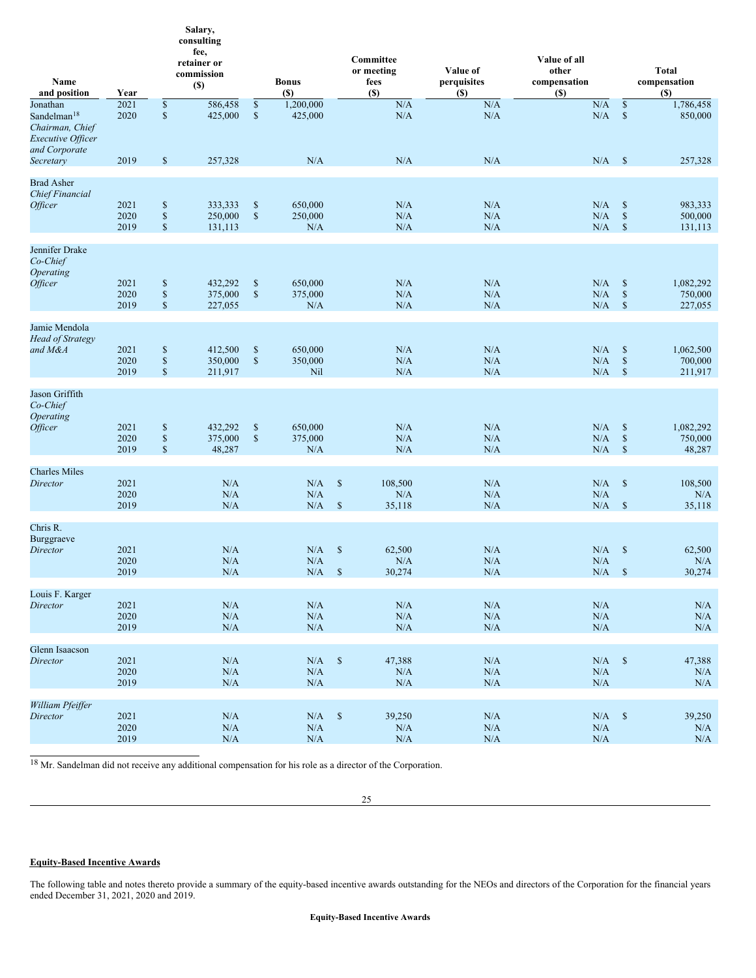| Name<br>and position                                                                                | Year                 |                                                                                                      | Salary,<br>consulting<br>fee,<br>retainer or<br>commission<br>$(\$)$ |                                           | <b>Bonus</b><br>(S)           |                               | Committee<br>or meeting<br>fees<br>$(S)$ | Value of<br>perquisites<br>(S) | Value of all<br>other<br>compensation<br>(S) |                                       | <b>Total</b><br>compensation<br><b>(\$)</b> |
|-----------------------------------------------------------------------------------------------------|----------------------|------------------------------------------------------------------------------------------------------|----------------------------------------------------------------------|-------------------------------------------|-------------------------------|-------------------------------|------------------------------------------|--------------------------------|----------------------------------------------|---------------------------------------|---------------------------------------------|
| Jonathan<br>Sandelman <sup>18</sup><br>Chairman, Chief<br><b>Executive Officer</b><br>and Corporate | 2021<br>2020         | $\mathbb{S}% _{t}\left( t\right) \equiv\mathbb{S}_{t}\left( t\right)$<br>$\mathbb{S}$                | 586,458<br>425,000                                                   | $\mathbb{S}$<br>$\mathbb{S}$              | 1,200,000<br>425,000          |                               | N/A<br>N/A                               | N/A<br>N/A                     | N/A<br>N/A                                   | $\mathbb{S}$<br>$\mathcal{S}$         | 1,786,458<br>850,000                        |
| Secretary                                                                                           | 2019                 | $\mathbb S$                                                                                          | 257,328                                                              |                                           | N/A                           |                               | N/A                                      | N/A                            | N/A                                          | $\mathcal{S}$                         | 257,328                                     |
| <b>Brad Asher</b><br><b>Chief Financial</b><br><i><b>Officer</b></i>                                | 2021<br>2020<br>2019 | $\mathbb S$<br>$\mathbb{S}% _{t}\left( t\right) \equiv\mathbb{S}_{t}\left( t\right)$<br>$\mathbb{S}$ | 333,333<br>250,000<br>131,113                                        | $\mathbb{S}$<br>$\mathbb{S}$              | 650,000<br>250,000<br>N/A     |                               | N/A<br>N/A<br>N/A                        | N/A<br>N/A<br>N/A              | N/A<br>N/A<br>N/A                            | $\mathbb{S}$<br>$\$$<br>$\mathcal{S}$ | 983,333<br>500,000<br>131,113               |
| Jennifer Drake<br>Co-Chief<br><b>Operating</b><br><i><b>Officer</b></i>                             | 2021<br>2020<br>2019 | $\mathbb S$<br>$\mathbb{S}% _{t}\left( t\right) \equiv\mathbb{S}_{t}\left( t\right)$<br>$\mathbb{S}$ | 432,292<br>375,000<br>227,055                                        | $\mathbb{S}$<br>$\mathbb{S}$              | 650,000<br>375,000<br>N/A     |                               | N/A<br>N/A<br>N/A                        | N/A<br>N/A<br>N/A              | N/A<br>N/A<br>N/A                            | $\mathbb{S}$<br>$\$$<br>$\mathcal{S}$ | 1,082,292<br>750,000<br>227,055             |
| Jamie Mendola<br><b>Head of Strategy</b><br>and M&A                                                 | 2021<br>2020<br>2019 | $\mathbb S$<br>$\mathbb{S}% _{t}\left( t\right) \equiv\mathbb{S}_{t}\left( t\right)$<br>$\mathbb{S}$ | 412,500<br>350,000<br>211,917                                        | $\boldsymbol{\mathsf{S}}$<br>$\mathbb{S}$ | 650,000<br>350,000<br>Nil     |                               | N/A<br>N/A<br>N/A                        | N/A<br>N/A<br>N/A              | N/A<br>N/A<br>N/A                            | $\mathbb{S}$<br>$\$$<br>$\mathcal{S}$ | 1,062,500<br>700,000<br>211,917             |
| Jason Griffith<br>Co-Chief<br><b>Operating</b><br><i><b>Officer</b></i>                             | 2021<br>2020<br>2019 | $\mathbb{S}$<br>$\mathbb{S}$<br>$\mathbb{S}$                                                         | 432,292<br>375,000<br>48,287                                         | $\mathbb{S}$<br>$\mathbb{S}$              | 650,000<br>375,000<br>N/A     |                               | N/A<br>N/A<br>N/A                        | N/A<br>N/A<br>N/A              | N/A<br>N/A<br>N/A                            | $\mathbb{S}$<br>$\$$<br>$\mathcal{S}$ | 1,082,292<br>750,000<br>48,287              |
| <b>Charles Miles</b><br>Director                                                                    | 2021<br>2020<br>2019 |                                                                                                      | N/A<br>N/A<br>N/A                                                    |                                           | N/A<br>N/A<br>N/A             | $\mathcal{S}$<br>$\mathbb{S}$ | 108,500<br>N/A<br>35,118                 | N/A<br>N/A<br>N/A              | N/A<br>N/A<br>N/A                            | $\mathcal{S}$<br>$\mathcal{S}$        | 108,500<br>N/A<br>35,118                    |
| Chris R.<br><b>Burggraeve</b><br><b>Director</b>                                                    | 2021<br>2020<br>2019 |                                                                                                      | N/A<br>N/A<br>N/A                                                    |                                           | N/A<br>N/A<br>N/A             | $\mathbb{S}$<br>$\mathsf{\$}$ | 62,500<br>N/A<br>30,274                  | N/A<br>N/A<br>N/A              | N/A<br>N/A<br>N/A                            | $\mathcal{S}$<br>$\mathsf{\$}$        | 62,500<br>N/A<br>30,274                     |
| Louis F. Karger<br><b>Director</b>                                                                  | 2021<br>2020<br>2019 |                                                                                                      | N/A<br>$\rm N/A$<br>N/A                                              |                                           | $\rm N/A$<br>$\rm N/A$<br>N/A |                               | N/A<br>$\rm N/A$<br>$\rm N/A$            | N/A<br>$\rm N/A$<br>$\rm N/A$  | $\rm N/A$<br>$\rm N/A$<br>N/A                |                                       | N/A<br>$\rm N/A$<br>$\rm N/A$               |
| Glenn Isaacson<br><b>Director</b>                                                                   | 2021<br>2020<br>2019 |                                                                                                      | N/A<br>N/A<br>N/A                                                    |                                           | $\rm N/A$<br>N/A<br>$\rm N/A$ | $\mathcal{S}$                 | 47,388<br>$\rm N/A$<br>N/A               | N/A<br>N/A<br>N/A              | $\rm N/A$<br>$\rm N/A$<br>$\rm N/A$          | $\mathcal{S}$                         | 47,388<br>N/A<br>$\rm N/A$                  |
| William Pfeiffer<br><b>Director</b>                                                                 | 2021<br>2020<br>2019 |                                                                                                      | N/A<br>$\rm N/A$<br>$\rm N/A$                                        |                                           | N/A<br>N/A<br>$\rm N/A$       | $\mathcal{S}$                 | 39,250<br>$\rm N/A$<br>$\rm N/A$         | N/A<br>$\rm N/A$<br>$\rm N/A$  | $N/A$ \$<br>N/A<br>N/A                       |                                       | 39,250<br>N/A<br>$\rm N/A$                  |

<sup>18</sup> Mr. Sandelman did not receive any additional compensation for his role as a director of the Corporation.

25

## **Equity-Based Incentive Awards**

The following table and notes thereto provide a summary of the equity-based incentive awards outstanding for the NEOs and directors of the Corporation for the financial years ended December 31, 2021, 2020 and 2019.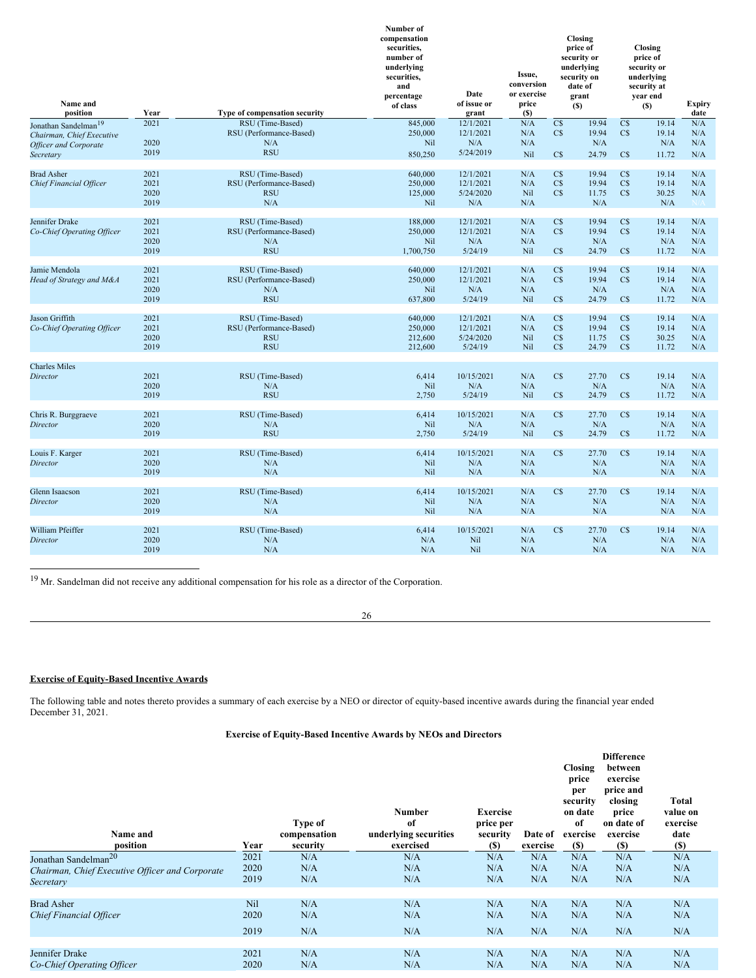<span id="page-17-0"></span>

| Name and<br>position             | Year | Type of compensation security | Number of<br>compensation<br>securities,<br>number of<br>underlying<br>securities,<br>and<br>percentage<br>of class | Date<br>of issue or<br>grant | Issue,<br>conversion<br>or exercise<br>price<br><b>(S)</b> |                        | Closing<br>price of<br>security or<br>underlying<br>security on<br>date of<br>grant<br>$(s)$ |                        | Closing<br>price of<br>security or<br>underlying<br>security at<br>year end<br>(S) | Expiry<br>date |
|----------------------------------|------|-------------------------------|---------------------------------------------------------------------------------------------------------------------|------------------------------|------------------------------------------------------------|------------------------|----------------------------------------------------------------------------------------------|------------------------|------------------------------------------------------------------------------------|----------------|
| Jonathan Sandelman <sup>19</sup> | 2021 | RSU (Time-Based)              | 845,000                                                                                                             | 12/1/2021                    | N/A                                                        | $\overline{\text{CS}}$ | 19.94                                                                                        | $\overline{\text{CS}}$ | 19.14                                                                              | N/A            |
| Chairman, Chief Executive        |      | RSU (Performance-Based)       | 250,000                                                                                                             | 12/1/2021                    | N/A                                                        | C <sub>S</sub>         | 19.94                                                                                        | C <sub>S</sub>         | 19.14                                                                              | N/A            |
| <b>Officer and Corporate</b>     | 2020 | N/A                           | Nil                                                                                                                 | N/A                          | N/A                                                        |                        | N/A                                                                                          |                        | N/A                                                                                | N/A            |
| Secretary                        | 2019 | <b>RSU</b>                    | 850,250                                                                                                             | 5/24/2019                    | Nil                                                        | $\mathbf{C}\mathbf{S}$ | 24.79                                                                                        | $\mathbf{C}\mathbf{S}$ | 11.72                                                                              | N/A            |
|                                  |      |                               |                                                                                                                     |                              |                                                            |                        |                                                                                              |                        |                                                                                    |                |
| <b>Brad Asher</b>                | 2021 | RSU (Time-Based)              | 640,000                                                                                                             | 12/1/2021                    | N/A                                                        | C\$                    | 19.94                                                                                        | C\$                    | 19.14                                                                              | N/A            |
| Chief Financial Officer          | 2021 | RSU (Performance-Based)       | 250,000                                                                                                             | 12/1/2021                    | N/A                                                        | C <sub>S</sub>         | 19.94                                                                                        | C <sub>S</sub>         | 19.14                                                                              | N/A            |
|                                  | 2020 | <b>RSU</b>                    | 125,000                                                                                                             | 5/24/2020                    | Nil                                                        | C <sub>S</sub>         | 11.75                                                                                        | $\mathbb{C}$           | 30.25                                                                              | N/A            |
|                                  | 2019 | N/A                           | Nil                                                                                                                 | N/A                          | N/A                                                        |                        | N/A                                                                                          |                        | N/A                                                                                | N/A            |
|                                  |      |                               |                                                                                                                     |                              |                                                            |                        |                                                                                              |                        |                                                                                    |                |
| Jennifer Drake                   | 2021 | RSU (Time-Based)              | 188,000                                                                                                             | 12/1/2021                    | N/A                                                        | C\$                    | 19.94                                                                                        | $\mathbb{C}$           | 19.14                                                                              | N/A            |
| Co-Chief Operating Officer       | 2021 | RSU (Performance-Based)       | 250,000                                                                                                             | 12/1/2021                    | N/A                                                        | C <sub>S</sub>         | 19.94                                                                                        | C <sub>S</sub>         | 19.14                                                                              | N/A            |
|                                  | 2020 | N/A                           | Nil                                                                                                                 | N/A                          | N/A                                                        |                        | N/A                                                                                          |                        | N/A                                                                                | N/A            |
|                                  | 2019 | <b>RSU</b>                    | 1,700,750                                                                                                           | 5/24/19                      | Nil                                                        | $\mathbb{C}$           | 24.79                                                                                        | $\mathbb{C}\mathbb{S}$ | 11.72                                                                              | N/A            |
|                                  |      |                               |                                                                                                                     |                              |                                                            |                        |                                                                                              |                        |                                                                                    |                |
| Jamie Mendola                    | 2021 | RSU (Time-Based)              | 640,000                                                                                                             | 12/1/2021                    | N/A                                                        | C <sub>S</sub>         | 19.94                                                                                        | C <sub>S</sub>         | 19.14                                                                              | N/A            |
| Head of Strategy and M&A         | 2021 | RSU (Performance-Based)       | 250,000                                                                                                             | 12/1/2021                    | N/A                                                        | C <sub>S</sub>         | 19.94                                                                                        | C <sub>S</sub>         | 19.14                                                                              | N/A            |
|                                  | 2020 | N/A                           | Nil                                                                                                                 | N/A                          | N/A                                                        |                        | N/A                                                                                          |                        | N/A                                                                                | N/A            |
|                                  | 2019 | <b>RSU</b>                    | 637,800                                                                                                             | 5/24/19                      | Nil                                                        | $\mathbf{C}\mathbf{S}$ | 24.79                                                                                        | $\mathbb{C}\mathbb{S}$ | 11.72                                                                              | N/A            |
|                                  |      |                               |                                                                                                                     |                              |                                                            |                        |                                                                                              |                        |                                                                                    |                |
| Jason Griffith                   | 2021 | RSU (Time-Based)              | 640,000                                                                                                             | 12/1/2021                    | N/A                                                        | C <sub>S</sub>         | 19.94                                                                                        | $\mathbb{C}$           | 19.14                                                                              | N/A            |
| Co-Chief Operating Officer       | 2021 | RSU (Performance-Based)       | 250,000                                                                                                             | 12/1/2021                    | N/A                                                        | C <sub>S</sub>         | 19.94                                                                                        | C <sub>S</sub>         | 19.14                                                                              | N/A            |
|                                  | 2020 | <b>RSU</b>                    | 212,600                                                                                                             | 5/24/2020                    | Nil                                                        | C\$                    | 11.75                                                                                        | C <sub>S</sub>         | 30.25                                                                              | N/A            |
|                                  | 2019 | <b>RSU</b>                    | 212,600                                                                                                             | 5/24/19                      | Nil                                                        | $\overline{\text{CS}}$ | 24.79                                                                                        | $\mathbf{C}\mathbf{S}$ | 11.72                                                                              | N/A            |
| <b>Charles Miles</b>             |      |                               |                                                                                                                     |                              |                                                            |                        |                                                                                              |                        |                                                                                    |                |
| Director                         | 2021 | RSU (Time-Based)              | 6,414                                                                                                               | 10/15/2021                   | N/A                                                        | $\mathbf{C}\mathbf{S}$ | 27.70                                                                                        | $\mathbb{C}\mathbb{S}$ | 19.14                                                                              | N/A            |
|                                  | 2020 | N/A                           | Nil                                                                                                                 | N/A                          | N/A                                                        |                        | N/A                                                                                          |                        | N/A                                                                                | N/A            |
|                                  | 2019 | <b>RSU</b>                    | 2,750                                                                                                               | 5/24/19                      | Nil                                                        | $\mathbb{C}$           | 24.79                                                                                        | $\mathbf{C}\mathbf{S}$ | 11.72                                                                              | N/A            |
|                                  |      |                               |                                                                                                                     |                              |                                                            |                        |                                                                                              |                        |                                                                                    |                |
| Chris R. Burggraeve              | 2021 | RSU (Time-Based)              | 6,414                                                                                                               | 10/15/2021                   | N/A                                                        | C <sub>S</sub>         | 27.70                                                                                        | $\mathbb{C}$           | 19.14                                                                              | N/A            |
| Director                         | 2020 | N/A                           | Nil                                                                                                                 | N/A                          | N/A                                                        |                        | N/A                                                                                          |                        | N/A                                                                                | N/A            |
|                                  | 2019 | <b>RSU</b>                    | 2,750                                                                                                               | 5/24/19                      | Nil                                                        | C <sub>S</sub>         | 24.79                                                                                        | C <sub>S</sub>         | 11.72                                                                              | N/A            |
|                                  |      |                               |                                                                                                                     |                              |                                                            |                        |                                                                                              |                        |                                                                                    |                |
| Louis F. Karger                  | 2021 | RSU (Time-Based)              | 6,414                                                                                                               | 10/15/2021                   | N/A                                                        | C <sub>S</sub>         | 27.70                                                                                        | C <sub>S</sub>         | 19.14                                                                              | N/A            |
| Director                         | 2020 | N/A                           | Nil                                                                                                                 | N/A                          | N/A                                                        |                        | N/A                                                                                          |                        | N/A                                                                                | N/A            |
|                                  | 2019 | N/A                           | Nil                                                                                                                 | N/A                          | N/A                                                        |                        | N/A                                                                                          |                        | N/A                                                                                | N/A            |
|                                  |      |                               |                                                                                                                     |                              |                                                            |                        |                                                                                              |                        |                                                                                    |                |
| Glenn Isaacson                   | 2021 | RSU (Time-Based)              | 6,414                                                                                                               | 10/15/2021                   | N/A                                                        | $\overline{\text{CS}}$ | 27.70                                                                                        | $\mathbf{C}\mathbf{S}$ | 19.14                                                                              | N/A            |
| Director                         | 2020 | N/A                           | Nil                                                                                                                 | N/A                          | N/A                                                        |                        | N/A                                                                                          |                        | N/A                                                                                | N/A            |
|                                  | 2019 | N/A                           | Nil                                                                                                                 | N/A                          | N/A                                                        |                        | N/A                                                                                          |                        | N/A                                                                                | N/A            |
|                                  |      |                               |                                                                                                                     |                              |                                                            |                        |                                                                                              |                        |                                                                                    |                |
| <b>William Pfeiffer</b>          | 2021 | RSU (Time-Based)              | 6,414                                                                                                               | 10/15/2021                   | N/A                                                        | $\overline{\text{CS}}$ | 27.70                                                                                        | $\mathbf{C}\mathbf{S}$ | 19.14                                                                              | N/A            |
| Director                         | 2020 | N/A                           | N/A                                                                                                                 | Nil                          | N/A                                                        |                        | N/A                                                                                          |                        | N/A                                                                                | N/A            |
|                                  | 2019 | N/A                           | N/A                                                                                                                 | Nil                          | N/A                                                        |                        | N/A                                                                                          |                        | N/A                                                                                | N/A            |

<sup>19</sup> Mr. Sandelman did not receive any additional compensation for his role as a director of the Corporation.

26

# **Exercise of Equity-Based Incentive Awards**

The following table and notes thereto provides a summary of each exercise by a NEO or director of equity-based incentive awards during the financial year ended December 31, 2021.

# **Exercise of Equity-Based Incentive Awards by NEOs and Directors**

| Name and<br>position                                | Year                       | Type of<br>compensation<br>security | <b>Number</b><br>of<br>underlying securities<br>exercised | <b>Exercise</b><br>price per<br>security<br>(S) | Date of<br>exercise | <b>Closing</b><br>price<br>per<br>security<br>on date<br>of<br>exercise<br><b>(\$)</b> | <b>Difference</b><br>between<br>exercise<br>price and<br>closing<br>price<br>on date of<br>exercise<br>(S) | Total<br>value on<br>exercise<br>date<br><b>(\$)</b> |
|-----------------------------------------------------|----------------------------|-------------------------------------|-----------------------------------------------------------|-------------------------------------------------|---------------------|----------------------------------------------------------------------------------------|------------------------------------------------------------------------------------------------------------|------------------------------------------------------|
| Jonathan Sandelman <sup>20</sup>                    | 2021                       | N/A                                 | N/A                                                       | N/A                                             | N/A                 | N/A                                                                                    | N/A                                                                                                        | N/A                                                  |
| Chairman, Chief Executive Officer and Corporate     | 2020                       | N/A                                 | N/A                                                       | N/A                                             | N/A                 | N/A                                                                                    | N/A                                                                                                        | N/A                                                  |
| Secretary                                           | 2019                       | N/A                                 | N/A                                                       | N/A                                             | N/A                 | N/A                                                                                    | N/A                                                                                                        | N/A                                                  |
| <b>Brad Asher</b><br><b>Chief Financial Officer</b> | <b>Nil</b><br>2020<br>2019 | N/A<br>N/A<br>N/A                   | N/A<br>N/A<br>N/A                                         | N/A<br>N/A<br>N/A                               | N/A<br>N/A<br>N/A   | N/A<br>N/A<br>N/A                                                                      | N/A<br>N/A<br>N/A                                                                                          | N/A<br>N/A<br>N/A                                    |
| Jennifer Drake                                      | 2021                       | N/A                                 | N/A                                                       | N/A                                             | N/A                 | N/A                                                                                    | N/A                                                                                                        | N/A                                                  |
| Co-Chief Operating Officer                          | 2020                       | N/A                                 | N/A                                                       | N/A                                             | N/A                 | N/A                                                                                    | N/A                                                                                                        | N/A                                                  |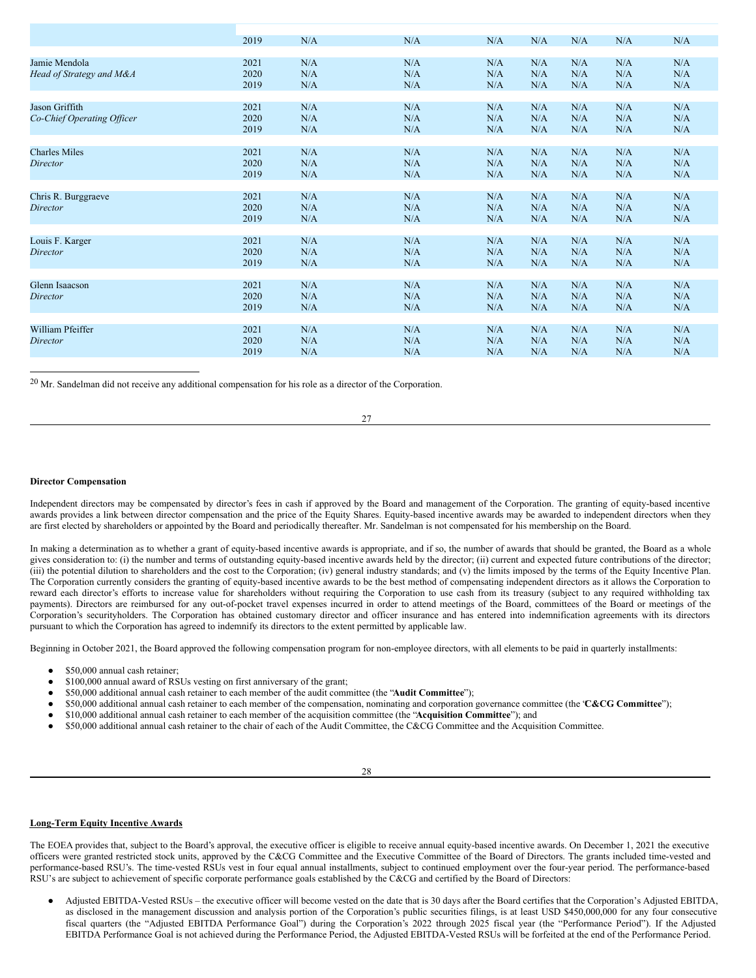|                            | 2019 | N/A | N/A | N/A | N/A | N/A | N/A | N/A |
|----------------------------|------|-----|-----|-----|-----|-----|-----|-----|
|                            |      |     |     |     |     |     |     |     |
| Jamie Mendola              | 2021 | N/A | N/A | N/A | N/A | N/A | N/A | N/A |
| Head of Strategy and M&A   | 2020 | N/A | N/A | N/A | N/A | N/A | N/A | N/A |
|                            | 2019 | N/A | N/A | N/A | N/A | N/A | N/A | N/A |
|                            |      |     |     |     |     |     |     |     |
|                            |      |     |     |     |     |     |     |     |
| Jason Griffith             | 2021 | N/A | N/A | N/A | N/A | N/A | N/A | N/A |
| Co-Chief Operating Officer | 2020 | N/A | N/A | N/A | N/A | N/A | N/A | N/A |
|                            | 2019 | N/A | N/A | N/A | N/A | N/A | N/A | N/A |
|                            |      |     |     |     |     |     |     |     |
| <b>Charles Miles</b>       | 2021 | N/A | N/A | N/A | N/A | N/A | N/A | N/A |
| Director                   | 2020 | N/A | N/A | N/A | N/A | N/A | N/A | N/A |
|                            |      |     |     |     |     |     |     |     |
|                            | 2019 | N/A | N/A | N/A | N/A | N/A | N/A | N/A |
|                            |      |     |     |     |     |     |     |     |
| Chris R. Burggraeve        | 2021 | N/A | N/A | N/A | N/A | N/A | N/A | N/A |
| <b>Director</b>            | 2020 | N/A | N/A | N/A | N/A | N/A | N/A | N/A |
|                            | 2019 | N/A | N/A | N/A | N/A | N/A | N/A | N/A |
|                            |      |     |     |     |     |     |     |     |
| Louis F. Karger            | 2021 | N/A | N/A | N/A | N/A | N/A | N/A | N/A |
| Director                   | 2020 | N/A | N/A | N/A | N/A | N/A | N/A | N/A |
|                            |      |     |     |     |     |     |     |     |
|                            | 2019 | N/A | N/A | N/A | N/A | N/A | N/A | N/A |
|                            |      |     |     |     |     |     |     |     |
| Glenn Isaacson             | 2021 | N/A | N/A | N/A | N/A | N/A | N/A | N/A |
| Director                   | 2020 | N/A | N/A | N/A | N/A | N/A | N/A | N/A |
|                            | 2019 | N/A | N/A | N/A | N/A | N/A | N/A | N/A |
|                            |      |     |     |     |     |     |     |     |
| <b>William Pfeiffer</b>    | 2021 | N/A | N/A | N/A | N/A | N/A | N/A | N/A |
| Director                   | 2020 | N/A | N/A | N/A | N/A | N/A | N/A | N/A |
|                            |      |     |     |     |     |     |     |     |
|                            | 2019 | N/A | N/A | N/A | N/A | N/A | N/A | N/A |

 $20$  Mr. Sandelman did not receive any additional compensation for his role as a director of the Corporation.

27

## **Director Compensation**

Independent directors may be compensated by director's fees in cash if approved by the Board and management of the Corporation. The granting of equity-based incentive awards provides a link between director compensation and the price of the Equity Shares. Equity-based incentive awards may be awarded to independent directors when they are first elected by shareholders or appointed by the Board and periodically thereafter. Mr. Sandelman is not compensated for his membership on the Board.

In making a determination as to whether a grant of equity-based incentive awards is appropriate, and if so, the number of awards that should be granted, the Board as a whole gives consideration to: (i) the number and terms of outstanding equity-based incentive awards held by the director; (ii) current and expected future contributions of the director; (iii) the potential dilution to shareholders and the cost to the Corporation; (iv) general industry standards; and (v) the limits imposed by the terms of the Equity Incentive Plan. The Corporation currently considers the granting of equity-based incentive awards to be the best method of compensating independent directors as it allows the Corporation to reward each director's efforts to increase value for shareholders without requiring the Corporation to use cash from its treasury (subject to any required withholding tax payments). Directors are reimbursed for any out-of-pocket travel expenses incurred in order to attend meetings of the Board, committees of the Board or meetings of the Corporation's securityholders. The Corporation has obtained customary director and officer insurance and has entered into indemnification agreements with its directors pursuant to which the Corporation has agreed to indemnify its directors to the extent permitted by applicable law.

Beginning in October 2021, the Board approved the following compensation program for non-employee directors, with all elements to be paid in quarterly installments:

- \$50,000 annual cash retainer;
- \$100,000 annual award of RSUs vesting on first anniversary of the grant;
- \$50,000 additional annual cash retainer to each member of the audit committee (the "**Audit Committee**");
- \$50,000 additional annual cash retainer to each member of the compensation, nominating and corporation governance committee (the "**C&CG Committee**");
- \$10,000 additional annual cash retainer to each member of the acquisition committee (the "**Acquisition Committee**"); and
- \$50,000 additional annual cash retainer to the chair of each of the Audit Committee, the C&CG Committee and the Acquisition Committee.

28

#### **Long-Term Equity Incentive Awards**

The EOEA provides that, subject to the Board's approval, the executive officer is eligible to receive annual equity-based incentive awards. On December 1, 2021 the executive officers were granted restricted stock units, approved by the C&CG Committee and the Executive Committee of the Board of Directors. The grants included time-vested and performance-based RSU's. The time-vested RSUs vest in four equal annual installments, subject to continued employment over the four-year period. The performance-based RSU's are subject to achievement of specific corporate performance goals established by the C&CG and certified by the Board of Directors:

Adjusted EBITDA-Vested RSUs – the executive officer will become vested on the date that is 30 days after the Board certifies that the Corporation's Adjusted EBITDA. as disclosed in the management discussion and analysis portion of the Corporation's public securities filings, is at least USD \$450,000,000 for any four consecutive fiscal quarters (the "Adjusted EBITDA Performance Goal") during the Corporation's 2022 through 2025 fiscal year (the "Performance Period"). If the Adjusted EBITDA Performance Goal is not achieved during the Performance Period, the Adjusted EBITDA-Vested RSUs will be forfeited at the end of the Performance Period.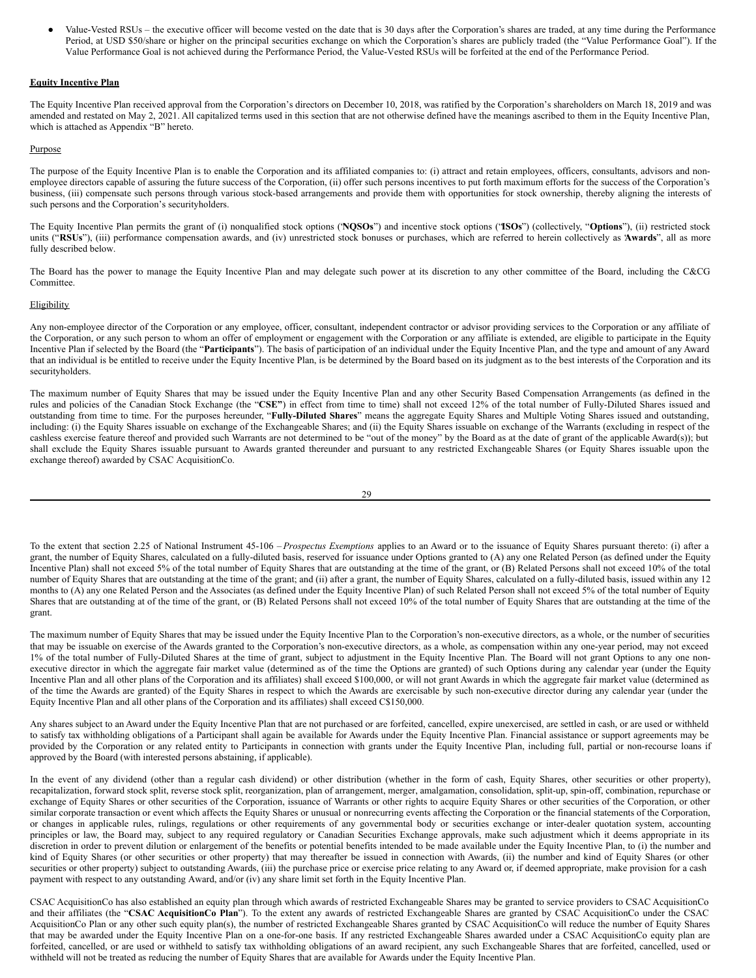Value-Vested RSUs – the executive officer will become vested on the date that is 30 days after the Corporation's shares are traded, at any time during the Performance Period, at USD \$50/share or higher on the principal securities exchange on which the Corporation's shares are publicly traded (the "Value Performance Goal"). If the Value Performance Goal is not achieved during the Performance Period, the Value-Vested RSUs will be forfeited at the end of the Performance Period.

## **Equity Incentive Plan**

The Equity Incentive Plan received approval from the Corporation's directors on December 10, 2018, was ratified by the Corporation's shareholders on March 18, 2019 and was amended and restated on May 2, 2021. All capitalized terms used in this section that are not otherwise defined have the meanings ascribed to them in the Equity Incentive Plan, which is attached as Appendix "B" hereto.

### Purpose

The purpose of the Equity Incentive Plan is to enable the Corporation and its affiliated companies to: (i) attract and retain employees, officers, consultants, advisors and nonemployee directors capable of assuring the future success of the Corporation, (ii) offer such persons incentives to put forth maximum efforts for the success of the Corporation's business, (iii) compensate such persons through various stock-based arrangements and provide them with opportunities for stock ownership, thereby aligning the interests of such persons and the Corporation's securityholders.

The Equity Incentive Plan permits the grant of (i) nonqualified stock options ("**NQSOs**") and incentive stock options ("**ISOs**") (collectively, "**Options**"), (ii) restricted stock units ("RSUs"), (iii) performance compensation awards, and (iv) unrestricted stock bonuses or purchases, which are referred to herein collectively as Awards", all as more fully described below.

The Board has the power to manage the Equity Incentive Plan and may delegate such power at its discretion to any other committee of the Board, including the C&CG Committee.

## Eligibility

Any non-employee director of the Corporation or any employee, officer, consultant, independent contractor or advisor providing services to the Corporation or any affiliate of the Corporation, or any such person to whom an offer of employment or engagement with the Corporation or any affiliate is extended, are eligible to participate in the Equity Incentive Plan if selected by the Board (the "**Participants**"). The basis of participation of an individual under the Equity Incentive Plan, and the type and amount of any Award that an individual is be entitled to receive under the Equity Incentive Plan, is be determined by the Board based on its judgment as to the best interests of the Corporation and its securityholders.

The maximum number of Equity Shares that may be issued under the Equity Incentive Plan and any other Security Based Compensation Arrangements (as defined in the rules and policies of the Canadian Stock Exchange (the "**CSE"**) in effect from time to time) shall not exceed 12% of the total number of Fully-Diluted Shares issued and outstanding from time to time. For the purposes hereunder, "**Fully-Diluted Shares**" means the aggregate Equity Shares and Multiple Voting Shares issued and outstanding, including: (i) the Equity Shares issuable on exchange of the Exchangeable Shares; and (ii) the Equity Shares issuable on exchange of the Warrants (excluding in respect of the cashless exercise feature thereof and provided such Warrants are not determined to be "out of the money" by the Board as at the date of grant of the applicable Award(s)); but shall exclude the Equity Shares issuable pursuant to Awards granted thereunder and pursuant to any restricted Exchangeable Shares (or Equity Shares issuable upon the exchange thereof) awarded by CSAC AcquisitionCo.

| ×<br>ł |         |
|--------|---------|
| i<br>I | ۰.      |
|        | ۰,<br>٧ |

To the extent that section 2.25 of National Instrument 45-106 – *Prospectus Exemptions* applies to an Award or to the issuance of Equity Shares pursuant thereto: (i) after a grant, the number of Equity Shares, calculated on a fully-diluted basis, reserved for issuance under Options granted to (A) any one Related Person (as defined under the Equity Incentive Plan) shall not exceed 5% of the total number of Equity Shares that are outstanding at the time of the grant, or (B) Related Persons shall not exceed 10% of the total number of Equity Shares that are outstanding at the time of the grant; and (ii) after a grant, the number of Equity Shares, calculated on a fully-diluted basis, issued within any 12 months to (A) any one Related Person and the Associates (as defined under the Equity Incentive Plan) of such Related Person shall not exceed 5% of the total number of Equity Shares that are outstanding at of the time of the grant, or (B) Related Persons shall not exceed 10% of the total number of Equity Shares that are outstanding at the time of the grant.

The maximum number of Equity Shares that may be issued under the Equity Incentive Plan to the Corporation's non-executive directors, as a whole, or the number of securities that may be issuable on exercise of the Awards granted to the Corporation's non-executive directors, as a whole, as compensation within any one-year period, may not exceed 1% of the total number of Fully-Diluted Shares at the time of grant, subject to adjustment in the Equity Incentive Plan. The Board will not grant Options to any one nonexecutive director in which the aggregate fair market value (determined as of the time the Options are granted) of such Options during any calendar year (under the Equity Incentive Plan and all other plans of the Corporation and its affiliates) shall exceed \$100,000, or will not grant Awards in which the aggregate fair market value (determined as of the time the Awards are granted) of the Equity Shares in respect to which the Awards are exercisable by such non-executive director during any calendar year (under the Equity Incentive Plan and all other plans of the Corporation and its affiliates) shall exceed C\$150,000.

Any shares subject to an Award under the Equity Incentive Plan that are not purchased or are forfeited, cancelled, expire unexercised, are settled in cash, or are used or withheld to satisfy tax withholding obligations of a Participant shall again be available for Awards under the Equity Incentive Plan. Financial assistance or support agreements may be provided by the Corporation or any related entity to Participants in connection with grants under the Equity Incentive Plan, including full, partial or non-recourse loans if approved by the Board (with interested persons abstaining, if applicable).

In the event of any dividend (other than a regular cash dividend) or other distribution (whether in the form of cash, Equity Shares, other securities or other property), recapitalization, forward stock split, reverse stock split, reorganization, plan of arrangement, merger, amalgamation, consolidation, split-up, spin-off, combination, repurchase or exchange of Equity Shares or other securities of the Corporation, issuance of Warrants or other rights to acquire Equity Shares or other securities of the Corporation, or other similar corporate transaction or event which affects the Equity Shares or unusual or nonrecurring events affecting the Corporation or the financial statements of the Corporation, or changes in applicable rules, rulings, regulations or other requirements of any governmental body or securities exchange or inter-dealer quotation system, accounting principles or law, the Board may, subject to any required regulatory or Canadian Securities Exchange approvals, make such adjustment which it deems appropriate in its discretion in order to prevent dilution or enlargement of the benefits or potential benefits intended to be made available under the Equity Incentive Plan, to (i) the number and kind of Equity Shares (or other securities or other property) that may thereafter be issued in connection with Awards, (ii) the number and kind of Equity Shares (or other securities or other property) subject to outstanding Awards, (iii) the purchase price or exercise price relating to any Award or, if deemed appropriate, make provision for a cash payment with respect to any outstanding Award, and/or (iv) any share limit set forth in the Equity Incentive Plan.

CSAC AcquisitionCo has also established an equity plan through which awards of restricted Exchangeable Shares may be granted to service providers to CSAC AcquisitionCo and their affiliates (the "**CSAC AcquisitionCo Plan**"). To the extent any awards of restricted Exchangeable Shares are granted by CSAC AcquisitionCo under the CSAC AcquisitionCo Plan or any other such equity plan(s), the number of restricted Exchangeable Shares granted by CSAC AcquisitionCo will reduce the number of Equity Shares that may be awarded under the Equity Incentive Plan on a one-for-one basis. If any restricted Exchangeable Shares awarded under a CSAC AcquisitionCo equity plan are forfeited, cancelled, or are used or withheld to satisfy tax withholding obligations of an award recipient, any such Exchangeable Shares that are forfeited, cancelled, used or withheld will not be treated as reducing the number of Equity Shares that are available for Awards under the Equity Incentive Plan.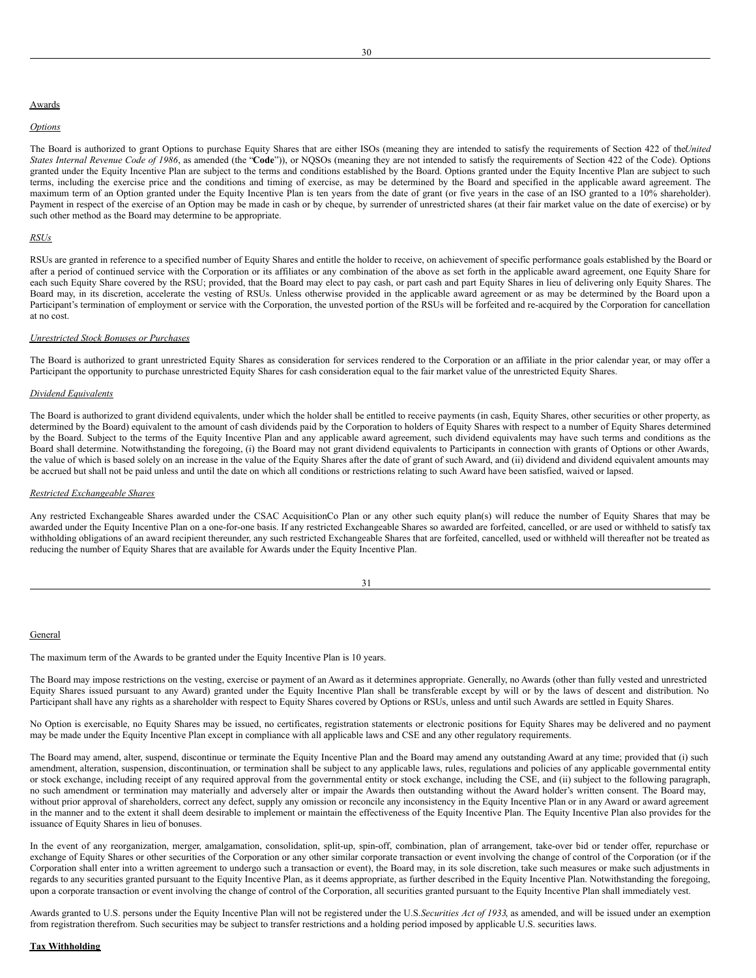## Awards

#### *Options*

The Board is authorized to grant Options to purchase Equity Shares that are either ISOs (meaning they are intended to satisfy the requirements of Section 422 of the*United States Internal Revenue Code of 1986*, as amended (the "**Code**")), or NQSOs (meaning they are not intended to satisfy the requirements of Section 422 of the Code). Options granted under the Equity Incentive Plan are subject to the terms and conditions established by the Board. Options granted under the Equity Incentive Plan are subject to such terms, including the exercise price and the conditions and timing of exercise, as may be determined by the Board and specified in the applicable award agreement. The maximum term of an Option granted under the Equity Incentive Plan is ten years from the date of grant (or five years in the case of an ISO granted to a 10% shareholder). Payment in respect of the exercise of an Option may be made in cash or by cheque, by surrender of unrestricted shares (at their fair market value on the date of exercise) or by such other method as the Board may determine to be appropriate.

## *RSUs*

RSUs are granted in reference to a specified number of Equity Shares and entitle the holder to receive, on achievement of specific performance goals established by the Board or after a period of continued service with the Corporation or its affiliates or any combination of the above as set forth in the applicable award agreement, one Equity Share for each such Equity Share covered by the RSU; provided, that the Board may elect to pay cash, or part cash and part Equity Shares in lieu of delivering only Equity Shares. The Board may, in its discretion, accelerate the vesting of RSUs. Unless otherwise provided in the applicable award agreement or as may be determined by the Board upon a Participant's termination of employment or service with the Corporation, the unvested portion of the RSUs will be forfeited and re-acquired by the Corporation for cancellation at no cost.

### *Unrestricted Stock Bonuses or Purchases*

The Board is authorized to grant unrestricted Equity Shares as consideration for services rendered to the Corporation or an affiliate in the prior calendar year, or may offer a Participant the opportunity to purchase unrestricted Equity Shares for cash consideration equal to the fair market value of the unrestricted Equity Shares.

### *Dividend Equivalents*

The Board is authorized to grant dividend equivalents, under which the holder shall be entitled to receive payments (in cash, Equity Shares, other securities or other property, as determined by the Board) equivalent to the amount of cash dividends paid by the Corporation to holders of Equity Shares with respect to a number of Equity Shares determined by the Board. Subject to the terms of the Equity Incentive Plan and any applicable award agreement, such dividend equivalents may have such terms and conditions as the Board shall determine. Notwithstanding the foregoing, (i) the Board may not grant dividend equivalents to Participants in connection with grants of Options or other Awards, the value of which is based solely on an increase in the value of the Equity Shares after the date of grant of such Award, and (ii) dividend and dividend equivalent amounts may be accrued but shall not be paid unless and until the date on which all conditions or restrictions relating to such Award have been satisfied, waived or lapsed.

### *Restricted Exchangeable Shares*

Any restricted Exchangeable Shares awarded under the CSAC AcquisitionCo Plan or any other such equity plan(s) will reduce the number of Equity Shares that may be awarded under the Equity Incentive Plan on a one-for-one basis. If any restricted Exchangeable Shares so awarded are forfeited, cancelled, or are used or withheld to satisfy tax withholding obligations of an award recipient thereunder, any such restricted Exchangeable Shares that are forfeited, cancelled, used or withheld will thereafter not be treated as reducing the number of Equity Shares that are available for Awards under the Equity Incentive Plan.

| I<br>I<br>×<br>۰. |  |
|-------------------|--|

## General

The maximum term of the Awards to be granted under the Equity Incentive Plan is 10 years.

The Board may impose restrictions on the vesting, exercise or payment of an Award as it determines appropriate. Generally, no Awards (other than fully vested and unrestricted Equity Shares issued pursuant to any Award) granted under the Equity Incentive Plan shall be transferable except by will or by the laws of descent and distribution. No Participant shall have any rights as a shareholder with respect to Equity Shares covered by Options or RSUs, unless and until such Awards are settled in Equity Shares.

No Option is exercisable, no Equity Shares may be issued, no certificates, registration statements or electronic positions for Equity Shares may be delivered and no payment may be made under the Equity Incentive Plan except in compliance with all applicable laws and CSE and any other regulatory requirements.

The Board may amend, alter, suspend, discontinue or terminate the Equity Incentive Plan and the Board may amend any outstanding Award at any time; provided that (i) such amendment, alteration, suspension, discontinuation, or termination shall be subject to any applicable laws, rules, regulations and policies of any applicable governmental entity or stock exchange, including receipt of any required approval from the governmental entity or stock exchange, including the CSE, and (ii) subject to the following paragraph, no such amendment or termination may materially and adversely alter or impair the Awards then outstanding without the Award holder's written consent. The Board may, without prior approval of shareholders, correct any defect, supply any omission or reconcile any inconsistency in the Equity Incentive Plan or in any Award or award agreement in the manner and to the extent it shall deem desirable to implement or maintain the effectiveness of the Equity Incentive Plan. The Equity Incentive Plan also provides for the issuance of Equity Shares in lieu of bonuses.

In the event of any reorganization, merger, amalgamation, consolidation, split-up, spin-off, combination, plan of arrangement, take-over bid or tender offer, repurchase or exchange of Equity Shares or other securities of the Corporation or any other similar corporate transaction or event involving the change of control of the Corporation (or if the Corporation shall enter into a written agreement to undergo such a transaction or event), the Board may, in its sole discretion, take such measures or make such adjustments in regards to any securities granted pursuant to the Equity Incentive Plan, as it deems appropriate, as further described in the Equity Incentive Plan. Notwithstanding the foregoing, upon a corporate transaction or event involving the change of control of the Corporation, all securities granted pursuant to the Equity Incentive Plan shall immediately vest.

Awards granted to U.S. persons under the Equity Incentive Plan will not be registered under the U.S.*Securities Act of 1933*, as amended, and will be issued under an exemption from registration therefrom. Such securities may be subject to transfer restrictions and a holding period imposed by applicable U.S. securities laws.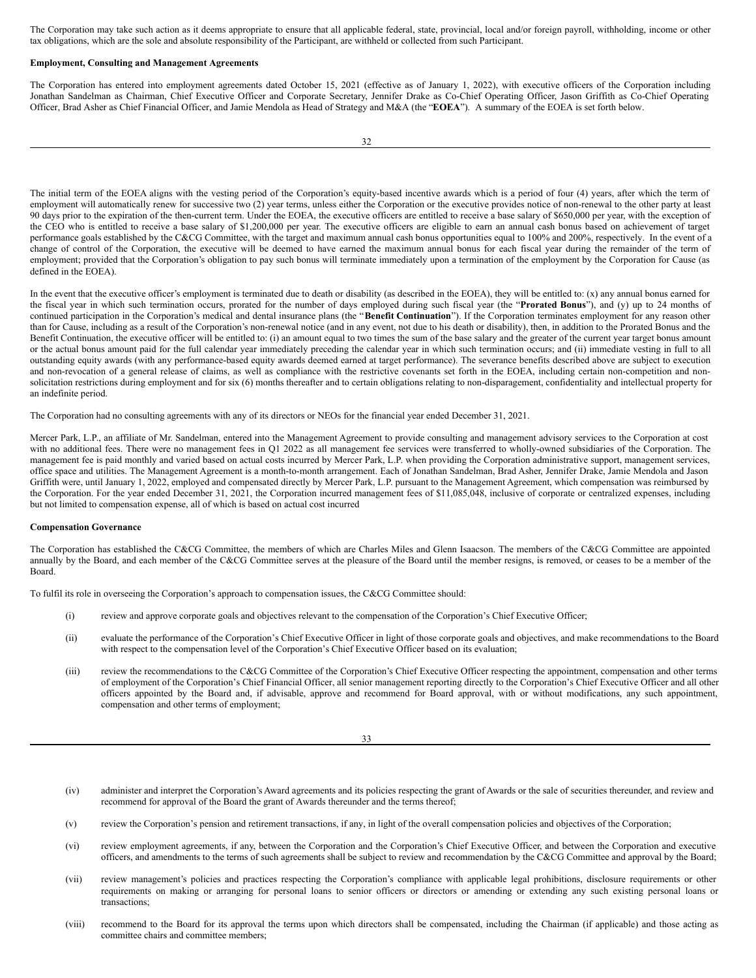The Corporation may take such action as it deems appropriate to ensure that all applicable federal, state, provincial, local and/or foreign payroll, withholding, income or other tax obligations, which are the sole and absolute responsibility of the Participant, are withheld or collected from such Participant.

#### **Employment, Consulting and Management Agreements**

The Corporation has entered into employment agreements dated October 15, 2021 (effective as of January 1, 2022), with executive officers of the Corporation including Jonathan Sandelman as Chairman, Chief Executive Officer and Corporate Secretary, Jennifer Drake as Co-Chief Operating Officer, Jason Griffith as Co-Chief Operating Officer, Brad Asher as Chief Financial Officer, and Jamie Mendola as Head of Strategy and M&A (the "**EOEA**"). A summary of the EOEA is set forth below.

The initial term of the EOEA aligns with the vesting period of the Corporation's equity-based incentive awards which is a period of four (4) years, after which the term of employment will automatically renew for successive two (2) year terms, unless either the Corporation or the executive provides notice of non-renewal to the other party at least 90 days prior to the expiration of the then-current term. Under the EOEA, the executive officers are entitled to receive a base salary of \$650,000 per year, with the exception of the CEO who is entitled to receive a base salary of \$1,200,000 per year. The executive officers are eligible to earn an annual cash bonus based on achievement of target performance goals established by the C&CG Committee, with the target and maximum annual cash bonus opportunities equal to 100% and 200%, respectively. In the event of a change of control of the Corporation, the executive will be deemed to have earned the maximum annual bonus for each fiscal year during the remainder of the term of employment; provided that the Corporation's obligation to pay such bonus will terminate immediately upon a termination of the employment by the Corporation for Cause (as defined in the EOEA).

In the event that the executive officer's employment is terminated due to death or disability (as described in the EOEA), they will be entitled to: (x) any annual bonus earned for the fiscal year in which such termination occurs, prorated for the number of days employed during such fiscal year (the "**Prorated Bonus**"), and (y) up to 24 months of continued participation in the Corporation's medical and dental insurance plans (the "**Benefit Continuation**"). If the Corporation terminates employment for any reason other than for Cause, including as a result of the Corporation's non-renewal notice (and in any event, not due to his death or disability), then, in addition to the Prorated Bonus and the Benefit Continuation, the executive officer will be entitled to: (i) an amount equal to two times the sum of the base salary and the greater of the current year target bonus amount or the actual bonus amount paid for the full calendar year immediately preceding the calendar year in which such termination occurs; and (ii) immediate vesting in full to all outstanding equity awards (with any performance-based equity awards deemed earned at target performance). The severance benefits described above are subject to execution and non-revocation of a general release of claims, as well as compliance with the restrictive covenants set forth in the EOEA, including certain non-competition and nonsolicitation restrictions during employment and for six (6) months thereafter and to certain obligations relating to non-disparagement, confidentiality and intellectual property for an indefinite period.

The Corporation had no consulting agreements with any of its directors or NEOs for the financial year ended December 31, 2021.

Mercer Park, L.P., an affiliate of Mr. Sandelman, entered into the Management Agreement to provide consulting and management advisory services to the Corporation at cost with no additional fees. There were no management fees in Q1 2022 as all management fee services were transferred to wholly-owned subsidiaries of the Corporation. The management fee is paid monthly and varied based on actual costs incurred by Mercer Park, L.P. when providing the Corporation administrative support, management services, office space and utilities. The Management Agreement is a month-to-month arrangement. Each of Jonathan Sandelman, Brad Asher, Jennifer Drake, Jamie Mendola and Jason Griffith were, until January 1, 2022, employed and compensated directly by Mercer Park, L.P. pursuant to the Management Agreement, which compensation was reimbursed by the Corporation. For the year ended December 31, 2021, the Corporation incurred management fees of \$11,085,048, inclusive of corporate or centralized expenses, including but not limited to compensation expense, all of which is based on actual cost incurred

#### **Compensation Governance**

The Corporation has established the C&CG Committee, the members of which are Charles Miles and Glenn Isaacson. The members of the C&CG Committee are appointed annually by the Board, and each member of the C&CG Committee serves at the pleasure of the Board until the member resigns, is removed, or ceases to be a member of the Board.

To fulfil its role in overseeing the Corporation's approach to compensation issues, the C&CG Committee should:

- (i) review and approve corporate goals and objectives relevant to the compensation of the Corporation's Chief Executive Officer;
- (ii) evaluate the performance of the Corporation's Chief Executive Officer in light of those corporate goals and objectives, and make recommendations to the Board with respect to the compensation level of the Corporation's Chief Executive Officer based on its evaluation;
- (iii) review the recommendations to the C&CG Committee of the Corporation's Chief Executive Officer respecting the appointment, compensation and other terms of employment of the Corporation's Chief Financial Officer, all senior management reporting directly to the Corporation's Chief Executive Officer and all other officers appointed by the Board and, if advisable, approve and recommend for Board approval, with or without modifications, any such appointment, compensation and other terms of employment;

33

- (iv) administer and interpret the Corporation's Award agreements and its policies respecting the grant of Awards or the sale of securities thereunder, and review and recommend for approval of the Board the grant of Awards thereunder and the terms thereof;
- (v) review the Corporation's pension and retirement transactions, if any, in light of the overall compensation policies and objectives of the Corporation;
- (vi) review employment agreements, if any, between the Corporation and the Corporation's Chief Executive Officer, and between the Corporation and executive officers, and amendments to the terms of such agreements shall be subject to review and recommendation by the C&CG Committee and approval by the Board;
- (vii) review management's policies and practices respecting the Corporation's compliance with applicable legal prohibitions, disclosure requirements or other requirements on making or arranging for personal loans to senior officers or directors or amending or extending any such existing personal loans or transactions;
- (viii) recommend to the Board for its approval the terms upon which directors shall be compensated, including the Chairman (if applicable) and those acting as committee chairs and committee members;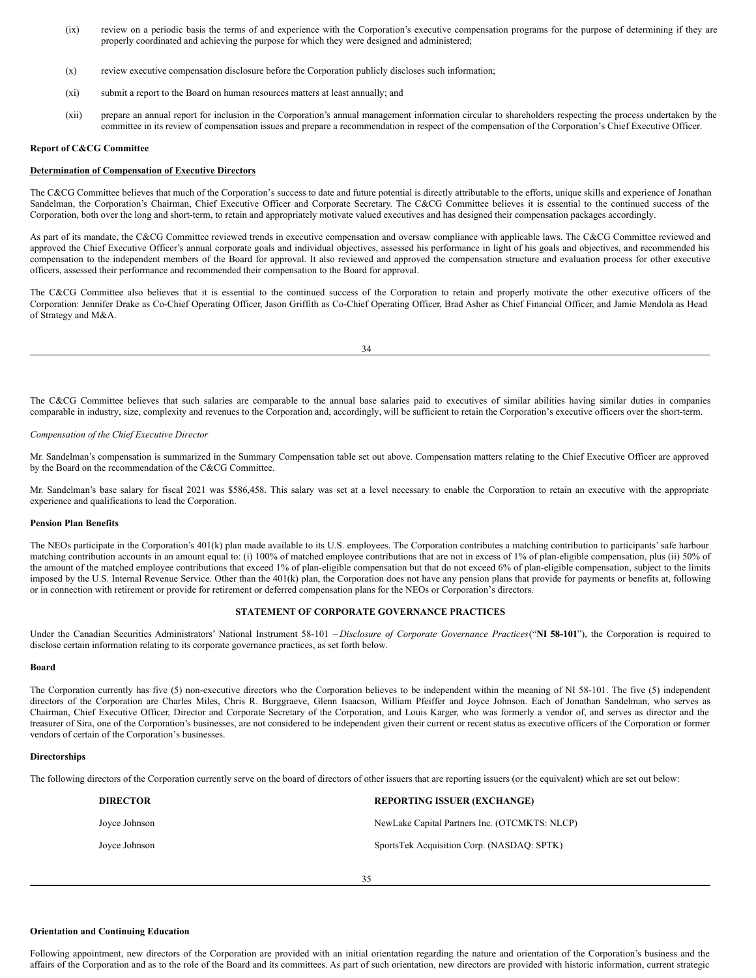- (ix) review on a periodic basis the terms of and experience with the Corporation's executive compensation programs for the purpose of determining if they are properly coordinated and achieving the purpose for which they were designed and administered;
- (x) review executive compensation disclosure before the Corporation publicly discloses such information;
- (xi) submit a report to the Board on human resources matters at least annually; and
- (xii) prepare an annual report for inclusion in the Corporation's annual management information circular to shareholders respecting the process undertaken by the committee in its review of compensation issues and prepare a recommendation in respect of the compensation of the Corporation's Chief Executive Officer.

#### **Report of C&CG Committee**

## **Determination of Compensation of Executive Directors**

The C&CG Committee believes that much of the Corporation's success to date and future potential is directly attributable to the efforts, unique skills and experience of Jonathan Sandelman, the Corporation's Chairman, Chief Executive Officer and Corporate Secretary. The C&CG Committee believes it is essential to the continued success of the Corporation, both over the long and short-term, to retain and appropriately motivate valued executives and has designed their compensation packages accordingly.

As part of its mandate, the C&CG Committee reviewed trends in executive compensation and oversaw compliance with applicable laws. The C&CG Committee reviewed and approved the Chief Executive Officer's annual corporate goals and individual objectives, assessed his performance in light of his goals and objectives, and recommended his compensation to the independent members of the Board for approval. It also reviewed and approved the compensation structure and evaluation process for other executive officers, assessed their performance and recommended their compensation to the Board for approval.

The C&CG Committee also believes that it is essential to the continued success of the Corporation to retain and properly motivate the other executive officers of the Corporation: Jennifer Drake as Co-Chief Operating Officer, Jason Griffith as Co-Chief Operating Officer, Brad Asher as Chief Financial Officer, and Jamie Mendola as Head of Strategy and M&A.

34

The C&CG Committee believes that such salaries are comparable to the annual base salaries paid to executives of similar abilities having similar duties in companies comparable in industry, size, complexity and revenues to the Corporation and, accordingly, will be sufficient to retain the Corporation's executive officers over the short-term.

### *Compensation of the Chief Executive Director*

Mr. Sandelman's compensation is summarized in the Summary Compensation table set out above. Compensation matters relating to the Chief Executive Officer are approved by the Board on the recommendation of the C&CG Committee.

Mr. Sandelman's base salary for fiscal 2021 was \$586,458. This salary was set at a level necessary to enable the Corporation to retain an executive with the appropriate experience and qualifications to lead the Corporation.

#### **Pension Plan Benefits**

The NEOs participate in the Corporation's 401(k) plan made available to its U.S. employees. The Corporation contributes a matching contribution to participants' safe harbour matching contribution accounts in an amount equal to: (i) 100% of matched employee contributions that are not in excess of 1% of plan-eligible compensation, plus (ii) 50% of the amount of the matched employee contributions that exceed 1% of plan-eligible compensation but that do not exceed 6% of plan-eligible compensation, subject to the limits imposed by the U.S. Internal Revenue Service. Other than the 401(k) plan, the Corporation does not have any pension plans that provide for payments or benefits at, following or in connection with retirement or provide for retirement or deferred compensation plans for the NEOs or Corporation's directors.

#### **STATEMENT OF CORPORATE GOVERNANCE PRACTICES**

Under the Canadian Securities Administrators' National Instrument 58-101 – *Disclosure of Corporate Governance Practices*("**NI 58-101**"), the Corporation is required to disclose certain information relating to its corporate governance practices, as set forth below.

#### **Board**

The Corporation currently has five (5) non-executive directors who the Corporation believes to be independent within the meaning of NI 58-101. The five (5) independent directors of the Corporation are Charles Miles, Chris R. Burggraeve, Glenn Isaacson, William Pfeiffer and Joyce Johnson. Each of Jonathan Sandelman, who serves as Chairman, Chief Executive Officer, Director and Corporate Secretary of the Corporation, and Louis Karger, who was formerly a vendor of, and serves as director and the treasurer of Sira, one of the Corporation's businesses, are not considered to be independent given their current or recent status as executive officers of the Corporation or former vendors of certain of the Corporation's businesses.

### **Directorships**

The following directors of the Corporation currently serve on the board of directors of other issuers that are reporting issuers (or the equivalent) which are set out below:

| <b>DIRECTOR</b> | <b>REPORTING ISSUER (EXCHANGE)</b>            |
|-----------------|-----------------------------------------------|
| Joyce Johnson   | NewLake Capital Partners Inc. (OTCMKTS: NLCP) |
| Joyce Johnson   | SportsTek Acquisition Corp. (NASDAO: SPTK)    |

#### **Orientation and Continuing Education**

Following appointment, new directors of the Corporation are provided with an initial orientation regarding the nature and orientation of the Corporation's business and the affairs of the Corporation and as to the role of the Board and its committees. As part of such orientation, new directors are provided with historic information, current strategic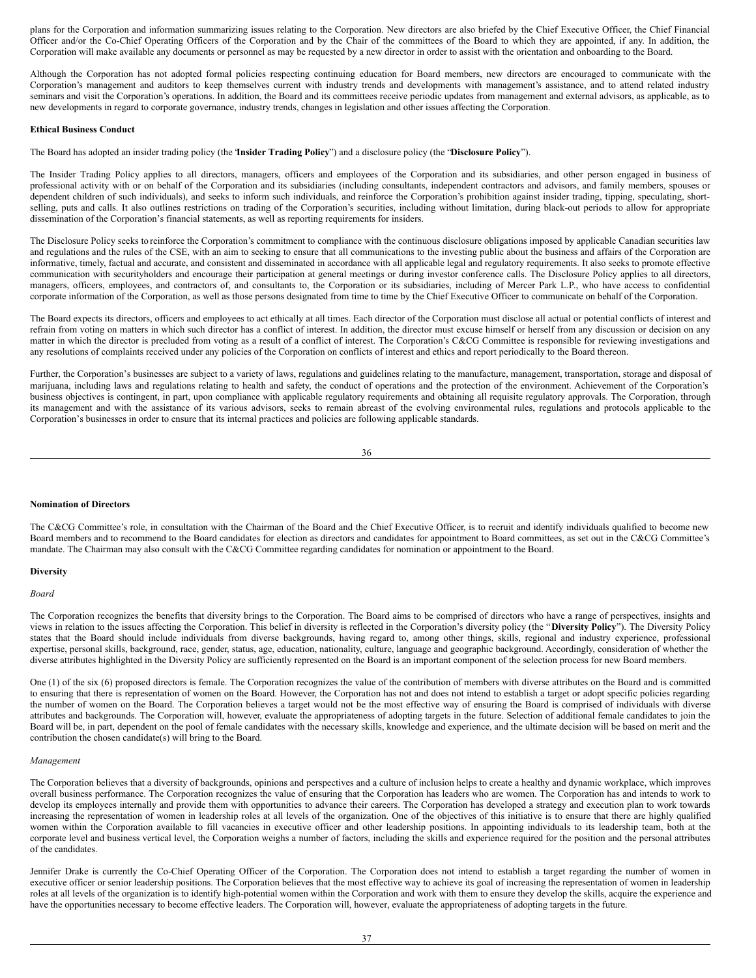plans for the Corporation and information summarizing issues relating to the Corporation. New directors are also briefed by the Chief Executive Officer, the Chief Financial Officer and/or the Co-Chief Operating Officers of the Corporation and by the Chair of the committees of the Board to which they are appointed, if any. In addition, the Corporation will make available any documents or personnel as may be requested by a new director in order to assist with the orientation and onboarding to the Board.

Although the Corporation has not adopted formal policies respecting continuing education for Board members, new directors are encouraged to communicate with the Corporation's management and auditors to keep themselves current with industry trends and developments with management's assistance, and to attend related industry seminars and visit the Corporation's operations. In addition, the Board and its committees receive periodic updates from management and external advisors, as applicable, as to new developments in regard to corporate governance, industry trends, changes in legislation and other issues affecting the Corporation.

#### **Ethical Business Conduct**

The Board has adopted an insider trading policy (the "**Insider Trading Policy**") and a disclosure policy (the "**Disclosure Policy**").

The Insider Trading Policy applies to all directors, managers, officers and employees of the Corporation and its subsidiaries, and other person engaged in business of professional activity with or on behalf of the Corporation and its subsidiaries (including consultants, independent contractors and advisors, and family members, spouses or dependent children of such individuals), and seeks to inform such individuals, and reinforce the Corporation's prohibition against insider trading, tipping, speculating, shortselling, puts and calls. It also outlines restrictions on trading of the Corporation's securities, including without limitation, during black-out periods to allow for appropriate dissemination of the Corporation's financial statements, as well as reporting requirements for insiders.

The Disclosure Policy seeks to reinforce the Corporation's commitment to compliance with the continuous disclosure obligations imposed by applicable Canadian securities law and regulations and the rules of the CSE, with an aim to seeking to ensure that all communications to the investing public about the business and affairs of the Corporation are informative, timely, factual and accurate, and consistent and disseminated in accordance with all applicable legal and regulatory requirements. It also seeks to promote effective communication with securityholders and encourage their participation at general meetings or during investor conference calls. The Disclosure Policy applies to all directors, managers, officers, employees, and contractors of, and consultants to, the Corporation or its subsidiaries, including of Mercer Park L.P., who have access to confidential corporate information of the Corporation, as well as those persons designated from time to time by the Chief Executive Officer to communicate on behalf of the Corporation.

The Board expects its directors, officers and employees to act ethically at all times. Each director of the Corporation must disclose all actual or potential conflicts of interest and refrain from voting on matters in which such director has a conflict of interest. In addition, the director must excuse himself or herself from any discussion or decision on any matter in which the director is precluded from voting as a result of a conflict of interest. The Corporation's C&CG Committee is responsible for reviewing investigations and any resolutions of complaints received under any policies of the Corporation on conflicts of interest and ethics and report periodically to the Board thereon.

Further, the Corporation's businesses are subject to a variety of laws, regulations and guidelines relating to the manufacture, management, transportation, storage and disposal of marijuana, including laws and regulations relating to health and safety, the conduct of operations and the protection of the environment. Achievement of the Corporation's business objectives is contingent, in part, upon compliance with applicable regulatory requirements and obtaining all requisite regulatory approvals. The Corporation, through its management and with the assistance of its various advisors, seeks to remain abreast of the evolving environmental rules, regulations and protocols applicable to the Corporation's businesses in order to ensure that its internal practices and policies are following applicable standards.

36

#### **Nomination of Directors**

The C&CG Committee's role, in consultation with the Chairman of the Board and the Chief Executive Officer, is to recruit and identify individuals qualified to become new Board members and to recommend to the Board candidates for election as directors and candidates for appointment to Board committees, as set out in the C&CG Committee's mandate. The Chairman may also consult with the C&CG Committee regarding candidates for nomination or appointment to the Board.

## **Diversity**

#### *Board*

The Corporation recognizes the benefits that diversity brings to the Corporation. The Board aims to be comprised of directors who have a range of perspectives, insights and views in relation to the issues affecting the Corporation. This belief in diversity is reflected in the Corporation's diversity policy (the "**Diversity Policy**"). The Diversity Policy states that the Board should include individuals from diverse backgrounds, having regard to, among other things, skills, regional and industry experience, professional expertise, personal skills, background, race, gender, status, age, education, nationality, culture, language and geographic background. Accordingly, consideration of whether the diverse attributes highlighted in the Diversity Policy are sufficiently represented on the Board is an important component of the selection process for new Board members.

One (1) of the six (6) proposed directors is female. The Corporation recognizes the value of the contribution of members with diverse attributes on the Board and is committed to ensuring that there is representation of women on the Board. However, the Corporation has not and does not intend to establish a target or adopt specific policies regarding the number of women on the Board. The Corporation believes a target would not be the most effective way of ensuring the Board is comprised of individuals with diverse attributes and backgrounds. The Corporation will, however, evaluate the appropriateness of adopting targets in the future. Selection of additional female candidates to join the Board will be, in part, dependent on the pool of female candidates with the necessary skills, knowledge and experience, and the ultimate decision will be based on merit and the contribution the chosen candidate(s) will bring to the Board.

## *Management*

The Corporation believes that a diversity of backgrounds, opinions and perspectives and a culture of inclusion helps to create a healthy and dynamic workplace, which improves overall business performance. The Corporation recognizes the value of ensuring that the Corporation has leaders who are women. The Corporation has and intends to work to develop its employees internally and provide them with opportunities to advance their careers. The Corporation has developed a strategy and execution plan to work towards increasing the representation of women in leadership roles at all levels of the organization. One of the objectives of this initiative is to ensure that there are highly qualified women within the Corporation available to fill vacancies in executive officer and other leadership positions. In appointing individuals to its leadership team, both at the corporate level and business vertical level, the Corporation weighs a number of factors, including the skills and experience required for the position and the personal attributes of the candidates.

Jennifer Drake is currently the Co-Chief Operating Officer of the Corporation. The Corporation does not intend to establish a target regarding the number of women in executive officer or senior leadership positions. The Corporation believes that the most effective way to achieve its goal of increasing the representation of women in leadership roles at all levels of the organization is to identify high-potential women within the Corporation and work with them to ensure they develop the skills, acquire the experience and have the opportunities necessary to become effective leaders. The Corporation will, however, evaluate the appropriateness of adopting targets in the future.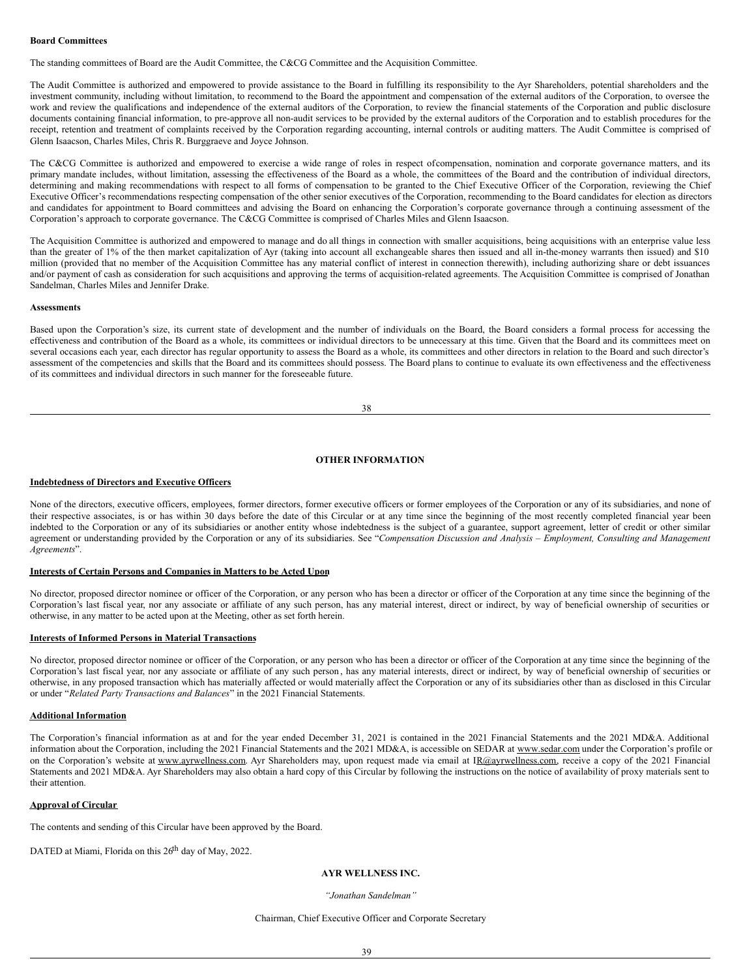### **Board Committees**

The standing committees of Board are the Audit Committee, the C&CG Committee and the Acquisition Committee.

The Audit Committee is authorized and empowered to provide assistance to the Board in fulfilling its responsibility to the Ayr Shareholders, potential shareholders and the investment community, including without limitation, to recommend to the Board the appointment and compensation of the external auditors of the Corporation, to oversee the work and review the qualifications and independence of the external auditors of the Corporation, to review the financial statements of the Corporation and public disclosure documents containing financial information, to pre-approve all non-audit services to be provided by the external auditors of the Corporation and to establish procedures for the receipt, retention and treatment of complaints received by the Corporation regarding accounting, internal controls or auditing matters. The Audit Committee is comprised of Glenn Isaacson, Charles Miles, Chris R. Burggraeve and Joyce Johnson.

The C&CG Committee is authorized and empowered to exercise a wide range of roles in respect ofcompensation, nomination and corporate governance matters, and its primary mandate includes, without limitation, assessing the effectiveness of the Board as a whole, the committees of the Board and the contribution of individual directors, determining and making recommendations with respect to all forms of compensation to be granted to the Chief Executive Officer of the Corporation, reviewing the Chief Executive Officer's recommendations respecting compensation of the other senior executives of the Corporation, recommending to the Board candidates for election as directors and candidates for appointment to Board committees and advising the Board on enhancing the Corporation's corporate governance through a continuing assessment of the Corporation's approach to corporate governance. The C&CG Committee is comprised of Charles Miles and Glenn Isaacson.

The Acquisition Committee is authorized and empowered to manage and do all things in connection with smaller acquisitions, being acquisitions with an enterprise value less than the greater of 1% of the then market capitalization of Ayr (taking into account all exchangeable shares then issued and all in-the-money warrants then issued) and \$10 million (provided that no member of the Acquisition Committee has any material conflict of interest in connection therewith), including authorizing share or debt issuances and/or payment of cash as consideration for such acquisitions and approving the terms of acquisition-related agreements. The Acquisition Committee is comprised of Jonathan Sandelman, Charles Miles and Jennifer Drake.

#### **Assessments**

Based upon the Corporation's size, its current state of development and the number of individuals on the Board, the Board considers a formal process for accessing the effectiveness and contribution of the Board as a whole, its committees or individual directors to be unnecessary at this time. Given that the Board and its committees meet on several occasions each year, each director has regular opportunity to assess the Board as a whole, its committees and other directors in relation to the Board and such director's assessment of the competencies and skills that the Board and its committees should possess. The Board plans to continue to evaluate its own effectiveness and the effectiveness of its committees and individual directors in such manner for the foreseeable future.

| I<br>i<br>۰. | I<br>×<br>w<br>۹ |  |
|--------------|------------------|--|

## **OTHER INFORMATION**

## **Indebtedness of Directors and Executive Officers**

None of the directors, executive officers, employees, former directors, former executive officers or former employees of the Corporation or any of its subsidiaries, and none of their respective associates, is or has within 30 days before the date of this Circular or at any time since the beginning of the most recently completed financial year been indebted to the Corporation or any of its subsidiaries or another entity whose indebtedness is the subject of a guarantee, support agreement, letter of credit or other similar agreement or understanding provided by the Corporation or any of its subsidiaries. See "Compensation Discussion and Analysis - Employment, Consulting and Management *Agreements*".

### **Interests of Certain Persons and Companies in Matters to be Acted Upon**

No director, proposed director nominee or officer of the Corporation, or any person who has been a director or officer of the Corporation at any time since the beginning of the Corporation's last fiscal year, nor any associate or affiliate of any such person, has any material interest, direct or indirect, by way of beneficial ownership of securities or otherwise, in any matter to be acted upon at the Meeting, other as set forth herein.

#### **Interests of Informed Persons in Material Transactions**

No director, proposed director nominee or officer of the Corporation, or any person who has been a director or officer of the Corporation at any time since the beginning of the Corporation's last fiscal year, nor any associate or affiliate of any such person , has any material interests, direct or indirect, by way of beneficial ownership of securities or otherwise, in any proposed transaction which has materially affected or would materially affect the Corporation or any of its subsidiaries other than as disclosed in this Circular or under "*Related Party Transactions and Balances*" in the 2021 Financial Statements.

#### **Additional Information**

The Corporation's financial information as at and for the year ended December 31, 2021 is contained in the 2021 Financial Statements and the 2021 MD&A. Additional information about the Corporation, including the 2021 Financial Statements and the 2021 MD&A, is accessible on SEDAR at www.sedar.com under the Corporation's profile or on the Corporation's website at www.ayrwellness.com. Ayr Shareholders may, upon request made via email at IR@ayrwellness.com, receive a copy of the 2021 Financial Statements and 2021 MD&A. Ayr Shareholders may also obtain a hard copy of this Circular by following the instructions on the notice of availability of proxy materials sent to their attention.

## **Approval of Circular**

The contents and sending of this Circular have been approved by the Board.

DATED at Miami, Florida on this 26<sup>th</sup> day of May, 2022.

## **AYR WELLNESS INC.**

#### *"Jonathan Sandelman"*

### Chairman, Chief Executive Officer and Corporate Secretary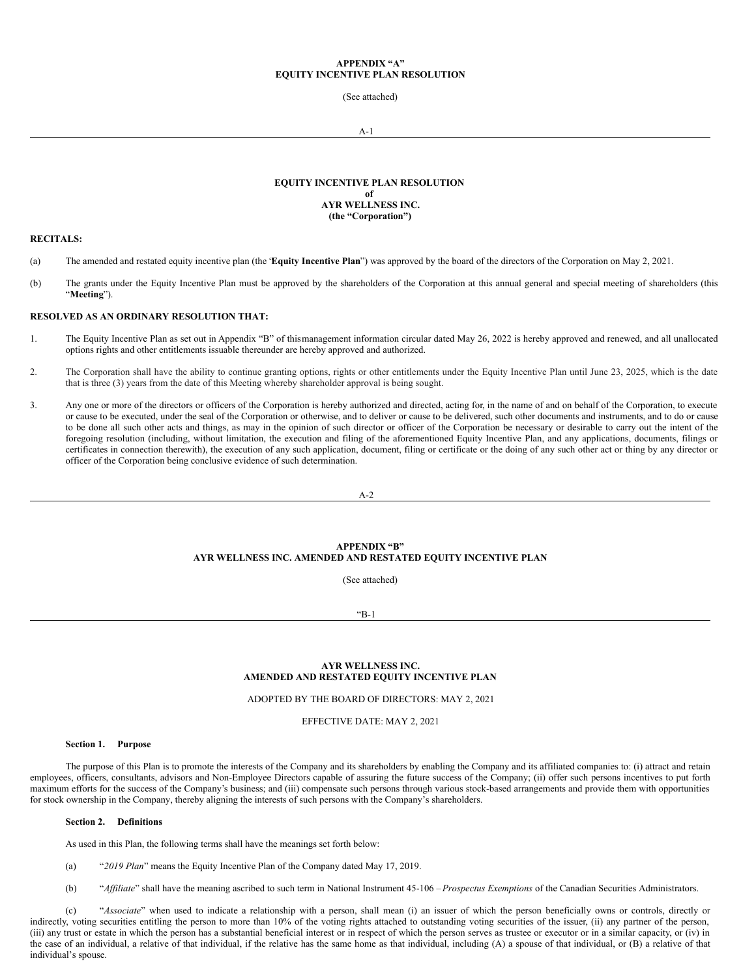## **APPENDIX "A" EQUITY INCENTIVE PLAN RESOLUTION**

(See attached)

A-1

## **EQUITY INCENTIVE PLAN RESOLUTION of AYR WELLNESS INC. (the "Corporation")**

## **RECITALS:**

- (a) The amended and restated equity incentive plan (the "**Equity Incentive Plan**") was approved by the board of the directors of the Corporation on May 2, 2021.
- (b) The grants under the Equity Incentive Plan must be approved by the shareholders of the Corporation at this annual general and special meeting of shareholders (this "**Meeting**").

## **RESOLVED AS AN ORDINARY RESOLUTION THAT:**

- 1. The Equity Incentive Plan as set out in Appendix "B" of thismanagement information circular dated May 26, 2022 is hereby approved and renewed, and all unallocated options rights and other entitlements issuable thereunder are hereby approved and authorized.
- 2. The Corporation shall have the ability to continue granting options, rights or other entitlements under the Equity Incentive Plan until June 23, 2025, which is the date that is three (3) years from the date of this Meeting whereby shareholder approval is being sought.
- 3. Any one or more of the directors or officers of the Corporation is hereby authorized and directed, acting for, in the name of and on behalf of the Corporation, to execute or cause to be executed, under the seal of the Corporation or otherwise, and to deliver or cause to be delivered, such other documents and instruments, and to do or cause to be done all such other acts and things, as may in the opinion of such director or officer of the Corporation be necessary or desirable to carry out the intent of the foregoing resolution (including, without limitation, the execution and filing of the aforementioned Equity Incentive Plan, and any applications, documents, filings or certificates in connection therewith), the execution of any such application, document, filing or certificate or the doing of any such other act or thing by any director or officer of the Corporation being conclusive evidence of such determination.

A-2

## **APPENDIX "B" AYR WELLNESS INC. AMENDED AND RESTATED EQUITY INCENTIVE PLAN**

(See attached)

"B-1

## **AYR WELLNESS INC. AMENDED AND RESTATED EQUITY INCENTIVE PLAN**

ADOPTED BY THE BOARD OF DIRECTORS: MAY 2, 2021

EFFECTIVE DATE: MAY 2, 2021

#### **Section 1. Purpose**

The purpose of this Plan is to promote the interests of the Company and its shareholders by enabling the Company and its affiliated companies to: (i) attract and retain employees, officers, consultants, advisors and Non-Employee Directors capable of assuring the future success of the Company; (ii) offer such persons incentives to put forth maximum efforts for the success of the Company's business; and (iii) compensate such persons through various stock-based arrangements and provide them with opportunities for stock ownership in the Company, thereby aligning the interests of such persons with the Company's shareholders.

## **Section 2. Definitions**

As used in this Plan, the following terms shall have the meanings set forth below:

- (a) "*2019 Plan*" means the Equity Incentive Plan of the Company dated May 17, 2019.
- (b) "*Af iliate*" shall have the meaning ascribed to such term in National Instrument 45-106 –*Prospectus Exemptions* of the Canadian Securities Administrators.

(c) "*Associate*" when used to indicate a relationship with a person, shall mean (i) an issuer of which the person beneficially owns or controls, directly or indirectly, voting securities entitling the person to more than 10% of the voting rights attached to outstanding voting securities of the issuer, (ii) any partner of the person, (iii) any trust or estate in which the person has a substantial beneficial interest or in respect of which the person serves as trustee or executor or in a similar capacity, or (iv) in the case of an individual, a relative of that individual, if the relative has the same home as that individual, including (A) a spouse of that individual, or (B) a relative of that individual's spouse.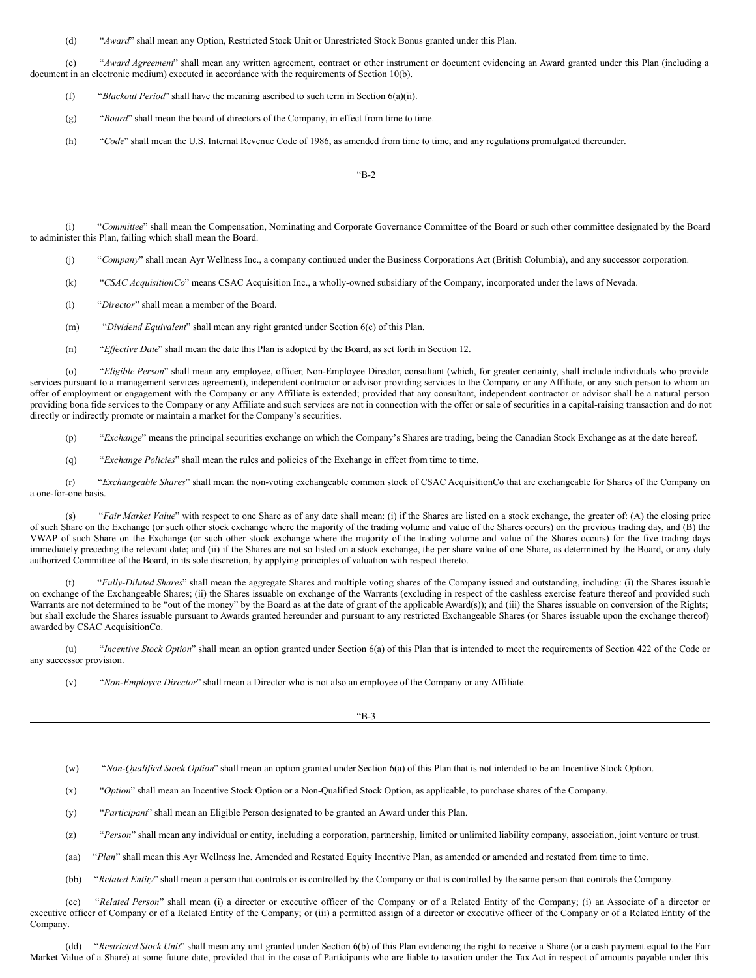(d) "*Award*" shall mean any Option, Restricted Stock Unit or Unrestricted Stock Bonus granted under this Plan.

(e) "*Award Agreement*" shall mean any written agreement, contract or other instrument or document evidencing an Award granted under this Plan (including a document in an electronic medium) executed in accordance with the requirements of Section 10(b).

- (f) "*Blackout Period*" shall have the meaning ascribed to such term in Section 6(a)(ii).
- (g) "*Board*" shall mean the board of directors of the Company, in effect from time to time.
- (h) "*Code*" shall mean the U.S. Internal Revenue Code of 1986, as amended from time to time, and any regulations promulgated thereunder.

"B-2

(i) "*Committee*" shall mean the Compensation, Nominating and Corporate Governance Committee of the Board or such other committee designated by the Board to administer this Plan, failing which shall mean the Board.

- (j) "*Company*" shall mean Ayr Wellness Inc., a company continued under the Business Corporations Act (British Columbia), and any successor corporation.
- (k) "*CSAC AcquisitionCo*" means CSAC Acquisition Inc., a wholly-owned subsidiary of the Company, incorporated under the laws of Nevada.
- (l) "*Director*" shall mean a member of the Board.
- (m) "*Dividend Equivalent*" shall mean any right granted under Section 6(c) of this Plan.
- (n) "*Ef ective Date*" shall mean the date this Plan is adopted by the Board, as set forth in Section 12.

(o) "*Eligible Person*" shall mean any employee, officer, Non-Employee Director, consultant (which, for greater certainty, shall include individuals who provide services pursuant to a management services agreement), independent contractor or advisor providing services to the Company or any Affiliate, or any such person to whom an offer of employment or engagement with the Company or any Affiliate is extended; provided that any consultant, independent contractor or advisor shall be a natural person providing bona fide services to the Company or any Affiliate and such services are not in connection with the offer or sale of securities in a capital-raising transaction and do not directly or indirectly promote or maintain a market for the Company's securities.

(p) "*Exchange*" means the principal securities exchange on which the Company's Shares are trading, being the Canadian Stock Exchange as at the date hereof.

(q) "*Exchange Policies*" shall mean the rules and policies of the Exchange in effect from time to time.

(r) "*Exchangeable Shares*" shall mean the non-voting exchangeable common stock of CSAC AcquisitionCo that are exchangeable for Shares of the Company on a one-for-one basis.

(s) "*Fair Market Value*" with respect to one Share as of any date shall mean: (i) if the Shares are listed on a stock exchange, the greater of: (A) the closing price of such Share on the Exchange (or such other stock exchange where the majority of the trading volume and value of the Shares occurs) on the previous trading day, and (B) the VWAP of such Share on the Exchange (or such other stock exchange where the majority of the trading volume and value of the Shares occurs) for the five trading days immediately preceding the relevant date; and (ii) if the Shares are not so listed on a stock exchange, the per share value of one Share, as determined by the Board, or any duly authorized Committee of the Board, in its sole discretion, by applying principles of valuation with respect thereto.

(t) "*Fully-Diluted Shares*" shall mean the aggregate Shares and multiple voting shares of the Company issued and outstanding, including: (i) the Shares issuable on exchange of the Exchangeable Shares; (ii) the Shares issuable on exchange of the Warrants (excluding in respect of the cashless exercise feature thereof and provided such Warrants are not determined to be "out of the money" by the Board as at the date of grant of the applicable Award(s)); and (iii) the Shares issuable on conversion of the Rights; but shall exclude the Shares issuable pursuant to Awards granted hereunder and pursuant to any restricted Exchangeable Shares (or Shares issuable upon the exchange thereof) awarded by CSAC AcquisitionCo.

(u) "*Incentive Stock Option*" shall mean an option granted under Section 6(a) of this Plan that is intended to meet the requirements of Section 422 of the Code or any successor provision.

(v) "*Non-Employee Director*" shall mean a Director who is not also an employee of the Company or any Affiliate.

"B-3

(w) "*Non-Qualified Stock Option*" shall mean an option granted under Section 6(a) of this Plan that is not intended to be an Incentive Stock Option.

- (x) "*Option*" shall mean an Incentive Stock Option or a Non-Qualified Stock Option, as applicable, to purchase shares of the Company.
- (y) "*Participant*" shall mean an Eligible Person designated to be granted an Award under this Plan.
- (z) "*Person*" shall mean any individual or entity, including a corporation, partnership, limited or unlimited liability company, association, joint venture or trust.
- (aa) "Plan" shall mean this Ayr Wellness Inc. Amended and Restated Equity Incentive Plan, as amended or amended and restated from time to time.
- (bb) "*Related Entity*" shall mean a person that controls or is controlled by the Company or that is controlled by the same person that controls the Company.

(cc) "*Related Person*" shall mean (i) a director or executive officer of the Company or of a Related Entity of the Company; (i) an Associate of a director or executive officer of Company or of a Related Entity of the Company; or (iii) a permitted assign of a director or executive officer of the Company or of a Related Entity of the Company.

(dd) "*Restricted Stock Unit*" shall mean any unit granted under Section 6(b) of this Plan evidencing the right to receive a Share (or a cash payment equal to the Fair Market Value of a Share) at some future date, provided that in the case of Participants who are liable to taxation under the Tax Act in respect of amounts payable under this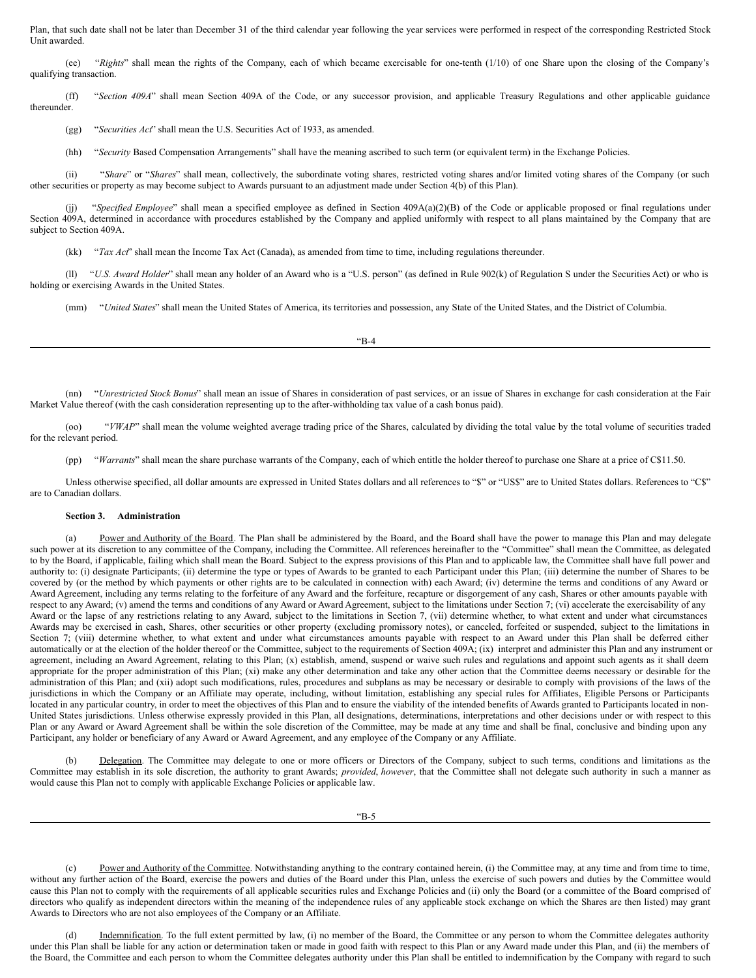Plan, that such date shall not be later than December 31 of the third calendar year following the year services were performed in respect of the corresponding Restricted Stock Unit awarded.

(ee) "*Rights*" shall mean the rights of the Company, each of which became exercisable for one-tenth (1/10) of one Share upon the closing of the Company's qualifying transaction.

(ff) "*Section 409A*" shall mean Section 409A of the Code, or any successor provision, and applicable Treasury Regulations and other applicable guidance thereunder.

(gg) "*Securities Act*" shall mean the U.S. Securities Act of 1933, as amended.

(hh) "*Security* Based Compensation Arrangements" shall have the meaning ascribed to such term (or equivalent term) in the Exchange Policies.

(ii) "Share" or "Shares" shall mean, collectively, the subordinate voting shares, restricted voting shares and/or limited voting shares of the Company (or such other securities or property as may become subject to Awards pursuant to an adjustment made under Section 4(b) of this Plan).

(jj) "*Specified Employee*" shall mean a specified employee as defined in Section 409A(a)(2)(B) of the Code or applicable proposed or final regulations under Section 409A, determined in accordance with procedures established by the Company and applied uniformly with respect to all plans maintained by the Company that are subject to Section 409A.

(kk) "*Tax Act*" shall mean the Income Tax Act (Canada), as amended from time to time, including regulations thereunder.

(ll) "*U.S. Award Holder*" shall mean any holder of an Award who is a "U.S. person" (as defined in Rule 902(k) of Regulation S under the Securities Act) or who is holding or exercising Awards in the United States.

(mm) "*United States*" shall mean the United States of America, its territories and possession, any State of the United States, and the District of Columbia.

"B-4

(nn) "*Unrestricted Stock Bonus*" shall mean an issue of Shares in consideration of past services, or an issue of Shares in exchange for cash consideration at the Fair Market Value thereof (with the cash consideration representing up to the after-withholding tax value of a cash bonus paid).

(oo) "*VWAP*" shall mean the volume weighted average trading price of the Shares, calculated by dividing the total value by the total volume of securities traded for the relevant period.

(pp) "*Warrants*" shall mean the share purchase warrants of the Company, each of which entitle the holder thereof to purchase one Share at a price of C\$11.50.

Unless otherwise specified, all dollar amounts are expressed in United States dollars and all references to "\$" or "US\$" are to United States dollars. References to "C\$" are to Canadian dollars.

## **Section 3. Administration**

(a) Power and Authority of the Board. The Plan shall be administered by the Board, and the Board shall have the power to manage this Plan and may delegate such power at its discretion to any committee of the Company, including the Committee. All references hereinafter to the "Committee" shall mean the Committee, as delegated to by the Board, if applicable, failing which shall mean the Board. Subject to the express provisions of this Plan and to applicable law, the Committee shall have full power and authority to: (i) designate Participants; (ii) determine the type or types of Awards to be granted to each Participant under this Plan; (iii) determine the number of Shares to be covered by (or the method by which payments or other rights are to be calculated in connection with) each Award; (iv) determine the terms and conditions of any Award or Award Agreement, including any terms relating to the forfeiture of any Award and the forfeiture, recapture or disgorgement of any cash, Shares or other amounts payable with respect to any Award; (v) amend the terms and conditions of any Award or Award Agreement, subject to the limitations under Section 7; (vi) accelerate the exercisability of any Award or the lapse of any restrictions relating to any Award, subject to the limitations in Section 7, (vii) determine whether, to what extent and under what circumstances Awards may be exercised in cash, Shares, other securities or other property (excluding promissory notes), or canceled, forfeited or suspended, subject to the limitations in Section 7; (viii) determine whether, to what extent and under what circumstances amounts payable with respect to an Award under this Plan shall be deferred either automatically or at the election of the holder thereof or the Committee, subject to the requirements of Section 409A; (ix) interpret and administer this Plan and any instrument or agreement, including an Award Agreement, relating to this Plan; (x) establish, amend, suspend or waive such rules and regulations and appoint such agents as it shall deem appropriate for the proper administration of this Plan; (xi) make any other determination and take any other action that the Committee deems necessary or desirable for the administration of this Plan; and (xii) adopt such modifications, rules, procedures and subplans as may be necessary or desirable to comply with provisions of the laws of the jurisdictions in which the Company or an Affiliate may operate, including, without limitation, establishing any special rules for Affiliates, Eligible Persons or Participants located in any particular country, in order to meet the objectives of this Plan and to ensure the viability of the intended benefits of Awards granted to Participants located in non-United States jurisdictions. Unless otherwise expressly provided in this Plan, all designations, determinations, interpretations and other decisions under or with respect to this Plan or any Award or Award Agreement shall be within the sole discretion of the Committee, may be made at any time and shall be final, conclusive and binding upon any Participant, any holder or beneficiary of any Award or Award Agreement, and any employee of the Company or any Affiliate.

(b) Delegation. The Committee may delegate to one or more officers or Directors of the Company, subject to such terms, conditions and limitations as the Committee may establish in its sole discretion, the authority to grant Awards; *provided*, *however*, that the Committee shall not delegate such authority in such a manner as would cause this Plan not to comply with applicable Exchange Policies or applicable law.

(c) Power and Authority of the Committee. Notwithstanding anything to the contrary contained herein, (i) the Committee may, at any time and from time to time, without any further action of the Board, exercise the powers and duties of the Board under this Plan, unless the exercise of such powers and duties by the Committee would cause this Plan not to comply with the requirements of all applicable securities rules and Exchange Policies and (ii) only the Board (or a committee of the Board comprised of directors who qualify as independent directors within the meaning of the independence rules of any applicable stock exchange on which the Shares are then listed) may grant Awards to Directors who are not also employees of the Company or an Affiliate.

Indemnification. To the full extent permitted by law, (i) no member of the Board, the Committee or any person to whom the Committee delegates authority under this Plan shall be liable for any action or determination taken or made in good faith with respect to this Plan or any Award made under this Plan, and (ii) the members of the Board, the Committee and each person to whom the Committee delegates authority under this Plan shall be entitled to indemnification by the Company with regard to such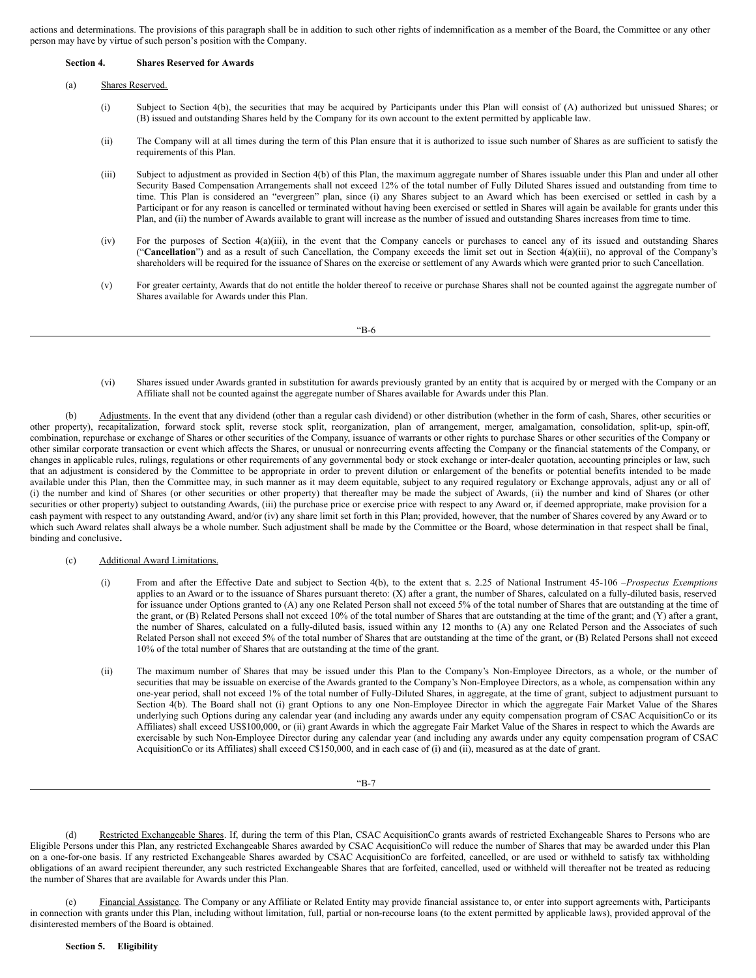actions and determinations. The provisions of this paragraph shall be in addition to such other rights of indemnification as a member of the Board, the Committee or any other person may have by virtue of such person's position with the Company.

| Section 4. | <b>Shares Reserved for Awards</b> |  |
|------------|-----------------------------------|--|
|            |                                   |  |

#### (a) Shares Reserved.

- (i) Subject to Section 4(b), the securities that may be acquired by Participants under this Plan will consist of (A) authorized but unissued Shares; or (B) issued and outstanding Shares held by the Company for its own account to the extent permitted by applicable law.
- (ii) The Company will at all times during the term of this Plan ensure that it is authorized to issue such number of Shares as are sufficient to satisfy the requirements of this Plan.
- (iii) Subject to adjustment as provided in Section 4(b) of this Plan, the maximum aggregate number of Shares issuable under this Plan and under all other Security Based Compensation Arrangements shall not exceed 12% of the total number of Fully Diluted Shares issued and outstanding from time to time. This Plan is considered an "evergreen" plan, since (i) any Shares subject to an Award which has been exercised or settled in cash by a Participant or for any reason is cancelled or terminated without having been exercised or settled in Shares will again be available for grants under this Plan, and (ii) the number of Awards available to grant will increase as the number of issued and outstanding Shares increases from time to time.
- (iv) For the purposes of Section 4(a)(iii), in the event that the Company cancels or purchases to cancel any of its issued and outstanding Shares ("**Cancellation**") and as a result of such Cancellation, the Company exceeds the limit set out in Section 4(a)(iii), no approval of the Company's shareholders will be required for the issuance of Shares on the exercise or settlement of any Awards which were granted prior to such Cancellation.
- (v) For greater certainty, Awards that do not entitle the holder thereof to receive or purchase Shares shall not be counted against the aggregate number of Shares available for Awards under this Plan.

"B-6

(vi) Shares issued under Awards granted in substitution for awards previously granted by an entity that is acquired by or merged with the Company or an Affiliate shall not be counted against the aggregate number of Shares available for Awards under this Plan.

(b) Adjustments. In the event that any dividend (other than a regular cash dividend) or other distribution (whether in the form of cash, Shares, other securities or other property), recapitalization, forward stock split, reverse stock split, reorganization, plan of arrangement, merger, amalgamation, consolidation, split-up, spin-off, combination, repurchase or exchange of Shares or other securities of the Company, issuance of warrants or other rights to purchase Shares or other securities of the Company or other similar corporate transaction or event which affects the Shares, or unusual or nonrecurring events affecting the Company or the financial statements of the Company, or changes in applicable rules, rulings, regulations or other requirements of any governmental body or stock exchange or inter-dealer quotation, accounting principles or law, such that an adjustment is considered by the Committee to be appropriate in order to prevent dilution or enlargement of the benefits or potential benefits intended to be made available under this Plan, then the Committee may, in such manner as it may deem equitable, subject to any required regulatory or Exchange approvals, adjust any or all of (i) the number and kind of Shares (or other securities or other property) that thereafter may be made the subject of Awards, (ii) the number and kind of Shares (or other securities or other property) subject to outstanding Awards, (iii) the purchase price or exercise price with respect to any Award or, if deemed appropriate, make provision for a cash payment with respect to any outstanding Award, and/or (iv) any share limit set forth in this Plan; provided, however, that the number of Shares covered by any Award or to which such Award relates shall always be a whole number. Such adjustment shall be made by the Committee or the Board, whose determination in that respect shall be final, binding and conclusive**.**

- (c) Additional Award Limitations.
	- (i) From and after the Effective Date and subject to Section 4(b), to the extent that s. 2.25 of National Instrument 45-106 –*Prospectus Exemptions* applies to an Award or to the issuance of Shares pursuant thereto:  $(X)$  after a grant, the number of Shares, calculated on a fully-diluted basis, reserved for issuance under Options granted to (A) any one Related Person shall not exceed 5% of the total number of Shares that are outstanding at the time of the grant, or (B) Related Persons shall not exceed 10% of the total number of Shares that are outstanding at the time of the grant; and  $(Y)$  after a grant, the number of Shares, calculated on a fully-diluted basis, issued within any 12 months to (A) any one Related Person and the Associates of such Related Person shall not exceed 5% of the total number of Shares that are outstanding at the time of the grant, or (B) Related Persons shall not exceed 10% of the total number of Shares that are outstanding at the time of the grant.
	- (ii) The maximum number of Shares that may be issued under this Plan to the Company's Non-Employee Directors, as a whole, or the number of securities that may be issuable on exercise of the Awards granted to the Company's Non-Employee Directors, as a whole, as compensation within any one-year period, shall not exceed 1% of the total number of Fully-Diluted Shares, in aggregate, at the time of grant, subject to adjustment pursuant to Section 4(b). The Board shall not (i) grant Options to any one Non-Employee Director in which the aggregate Fair Market Value of the Shares underlying such Options during any calendar year (and including any awards under any equity compensation program of CSAC AcquisitionCo or its Affiliates) shall exceed US\$100,000, or (ii) grant Awards in which the aggregate Fair Market Value of the Shares in respect to which the Awards are exercisable by such Non-Employee Director during any calendar year (and including any awards under any equity compensation program of CSAC AcquisitionCo or its Affiliates) shall exceed C\$150,000, and in each case of (i) and (ii), measured as at the date of grant.

"B-7

(d) Restricted Exchangeable Shares. If, during the term of this Plan, CSAC AcquisitionCo grants awards of restricted Exchangeable Shares to Persons who are Eligible Persons under this Plan, any restricted Exchangeable Shares awarded by CSAC AcquisitionCo will reduce the number of Shares that may be awarded under this Plan on a one-for-one basis. If any restricted Exchangeable Shares awarded by CSAC AcquisitionCo are forfeited, cancelled, or are used or withheld to satisfy tax withholding obligations of an award recipient thereunder, any such restricted Exchangeable Shares that are forfeited, cancelled, used or withheld will thereafter not be treated as reducing the number of Shares that are available for Awards under this Plan.

(e) Financial Assistance. The Company or any Affiliate or Related Entity may provide financial assistance to, or enter into support agreements with, Participants in connection with grants under this Plan, including without limitation, full, partial or non-recourse loans (to the extent permitted by applicable laws), provided approval of the disinterested members of the Board is obtained.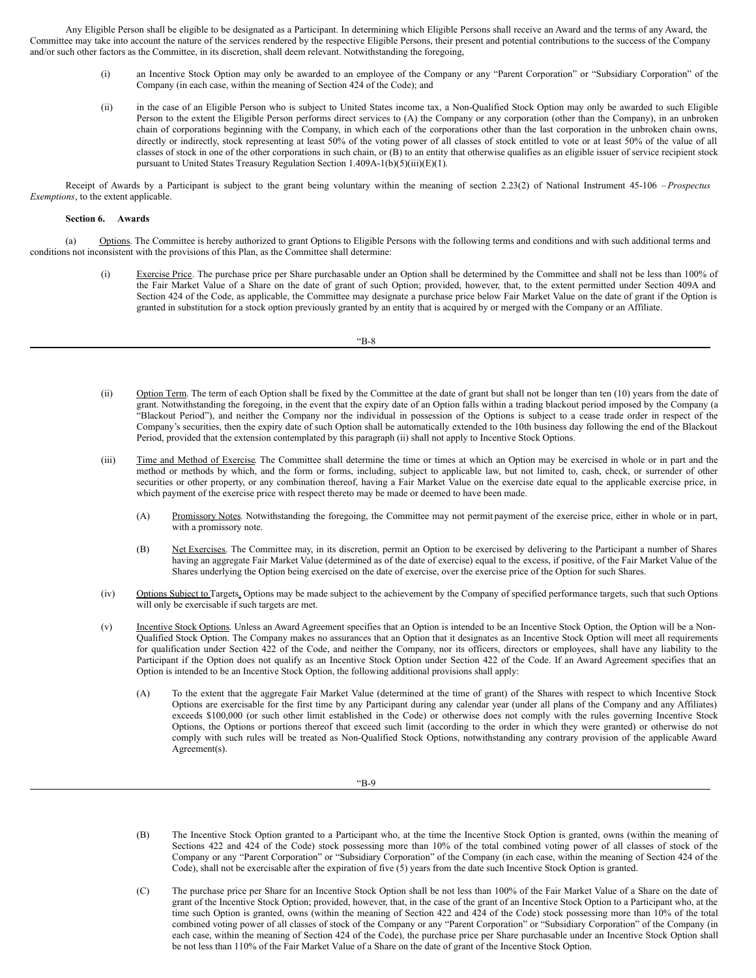Any Eligible Person shall be eligible to be designated as a Participant. In determining which Eligible Persons shall receive an Award and the terms of any Award, the Committee may take into account the nature of the services rendered by the respective Eligible Persons, their present and potential contributions to the success of the Company and/or such other factors as the Committee, in its discretion, shall deem relevant. Notwithstanding the foregoing,

- (i) an Incentive Stock Option may only be awarded to an employee of the Company or any "Parent Corporation" or "Subsidiary Corporation" of the Company (in each case, within the meaning of Section 424 of the Code); and
- (ii) in the case of an Eligible Person who is subject to United States income tax, a Non-Qualified Stock Option may only be awarded to such Eligible Person to the extent the Eligible Person performs direct services to (A) the Company or any corporation (other than the Company), in an unbroken chain of corporations beginning with the Company, in which each of the corporations other than the last corporation in the unbroken chain owns, directly or indirectly, stock representing at least 50% of the voting power of all classes of stock entitled to vote or at least 50% of the value of all classes of stock in one of the other corporations in such chain, or (B) to an entity that otherwise qualifies as an eligible issuer of service recipient stock pursuant to United States Treasury Regulation Section 1.409A-1(b)(5)(iii)(E)(1).

Receipt of Awards by a Participant is subject to the grant being voluntary within the meaning of section 2.23(2) of National Instrument 45-106 – *Prospectus Exemptions*, to the extent applicable.

## **Section 6. Awards**

(a) Options. The Committee is hereby authorized to grant Options to Eligible Persons with the following terms and conditions and with such additional terms and conditions not inconsistent with the provisions of this Plan, as the Committee shall determine:

> (i) Exercise Price. The purchase price per Share purchasable under an Option shall be determined by the Committee and shall not be less than 100% of the Fair Market Value of a Share on the date of grant of such Option; provided, however, that, to the extent permitted under Section 409A and Section 424 of the Code, as applicable, the Committee may designate a purchase price below Fair Market Value on the date of grant if the Option is granted in substitution for a stock option previously granted by an entity that is acquired by or merged with the Company or an Affiliate.

- (ii) Option Term. The term of each Option shall be fixed by the Committee at the date of grant but shall not be longer than ten (10) years from the date of grant. Notwithstanding the foregoing, in the event that the expiry date of an Option falls within a trading blackout period imposed by the Company (a "Blackout Period"), and neither the Company nor the individual in possession of the Options is subject to a cease trade order in respect of the Company's securities, then the expiry date of such Option shall be automatically extended to the 10th business day following the end of the Blackout Period, provided that the extension contemplated by this paragraph (ii) shall not apply to Incentive Stock Options.
- (iii) Time and Method of Exercise. The Committee shall determine the time or times at which an Option may be exercised in whole or in part and the method or methods by which, and the form or forms, including, subject to applicable law, but not limited to, cash, check, or surrender of other securities or other property, or any combination thereof, having a Fair Market Value on the exercise date equal to the applicable exercise price, in which payment of the exercise price with respect thereto may be made or deemed to have been made.
	- (A) Promissory Notes. Notwithstanding the foregoing, the Committee may not permit payment of the exercise price, either in whole or in part, with a promissory note.
	- (B) Net Exercises. The Committee may, in its discretion, permit an Option to be exercised by delivering to the Participant a number of Shares having an aggregate Fair Market Value (determined as of the date of exercise) equal to the excess, if positive, of the Fair Market Value of the Shares underlying the Option being exercised on the date of exercise, over the exercise price of the Option for such Shares.
- (iv) Options Subject to Targets. Options may be made subject to the achievement by the Company of specified performance targets, such that such Options will only be exercisable if such targets are met.
- (v) Incentive Stock Options. Unless an Award Agreement specifies that an Option is intended to be an Incentive Stock Option, the Option will be a Non-Qualified Stock Option. The Company makes no assurances that an Option that it designates as an Incentive Stock Option will meet all requirements for qualification under Section 422 of the Code, and neither the Company, nor its officers, directors or employees, shall have any liability to the Participant if the Option does not qualify as an Incentive Stock Option under Section 422 of the Code. If an Award Agreement specifies that an Option is intended to be an Incentive Stock Option, the following additional provisions shall apply:
	- (A) To the extent that the aggregate Fair Market Value (determined at the time of grant) of the Shares with respect to which Incentive Stock Options are exercisable for the first time by any Participant during any calendar year (under all plans of the Company and any Affiliates) exceeds \$100,000 (or such other limit established in the Code) or otherwise does not comply with the rules governing Incentive Stock Options, the Options or portions thereof that exceed such limit (according to the order in which they were granted) or otherwise do not comply with such rules will be treated as Non-Qualified Stock Options, notwithstanding any contrary provision of the applicable Award Agreement(s).

- (B) The Incentive Stock Option granted to a Participant who, at the time the Incentive Stock Option is granted, owns (within the meaning of Sections 422 and 424 of the Code) stock possessing more than 10% of the total combined voting power of all classes of stock of the Company or any "Parent Corporation" or "Subsidiary Corporation" of the Company (in each case, within the meaning of Section 424 of the Code), shall not be exercisable after the expiration of five (5) years from the date such Incentive Stock Option is granted.
- (C) The purchase price per Share for an Incentive Stock Option shall be not less than 100% of the Fair Market Value of a Share on the date of grant of the Incentive Stock Option; provided, however, that, in the case of the grant of an Incentive Stock Option to a Participant who, at the time such Option is granted, owns (within the meaning of Section 422 and 424 of the Code) stock possessing more than 10% of the total combined voting power of all classes of stock of the Company or any "Parent Corporation" or "Subsidiary Corporation" of the Company (in each case, within the meaning of Section 424 of the Code), the purchase price per Share purchasable under an Incentive Stock Option shall be not less than 110% of the Fair Market Value of a Share on the date of grant of the Incentive Stock Option.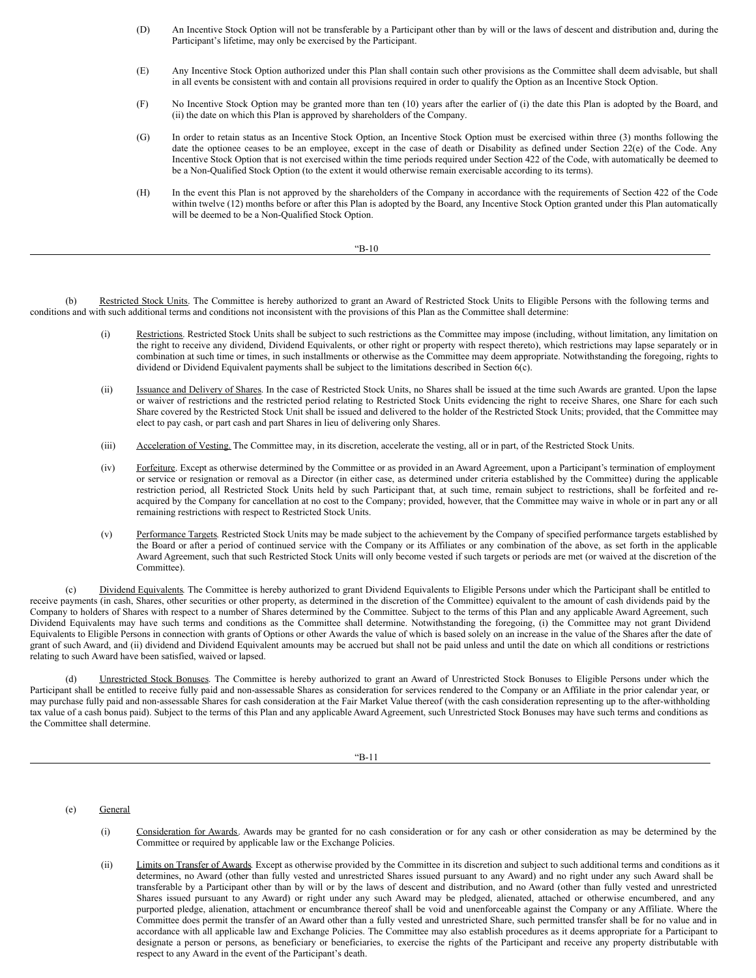- (D) An Incentive Stock Option will not be transferable by a Participant other than by will or the laws of descent and distribution and, during the Participant's lifetime, may only be exercised by the Participant.
- (E) Any Incentive Stock Option authorized under this Plan shall contain such other provisions as the Committee shall deem advisable, but shall in all events be consistent with and contain all provisions required in order to qualify the Option as an Incentive Stock Option.
- (F) No Incentive Stock Option may be granted more than ten (10) years after the earlier of (i) the date this Plan is adopted by the Board, and (ii) the date on which this Plan is approved by shareholders of the Company.
- (G) In order to retain status as an Incentive Stock Option, an Incentive Stock Option must be exercised within three (3) months following the date the optionee ceases to be an employee, except in the case of death or Disability as defined under Section 22(e) of the Code. Any Incentive Stock Option that is not exercised within the time periods required under Section 422 of the Code, with automatically be deemed to be a Non-Qualified Stock Option (to the extent it would otherwise remain exercisable according to its terms).
- (H) In the event this Plan is not approved by the shareholders of the Company in accordance with the requirements of Section 422 of the Code within twelve (12) months before or after this Plan is adopted by the Board, any Incentive Stock Option granted under this Plan automatically will be deemed to be a Non-Qualified Stock Option.

"B-10

(b) Restricted Stock Units. The Committee is hereby authorized to grant an Award of Restricted Stock Units to Eligible Persons with the following terms and conditions and with such additional terms and conditions not inconsistent with the provisions of this Plan as the Committee shall determine:

- (i) Restrictions. Restricted Stock Units shall be subject to such restrictions as the Committee may impose (including, without limitation, any limitation on the right to receive any dividend, Dividend Equivalents, or other right or property with respect thereto), which restrictions may lapse separately or in combination at such time or times, in such installments or otherwise as the Committee may deem appropriate. Notwithstanding the foregoing, rights to dividend or Dividend Equivalent payments shall be subject to the limitations described in Section 6(c).
- (ii) Issuance and Delivery of Shares. In the case of Restricted Stock Units, no Shares shall be issued at the time such Awards are granted. Upon the lapse or waiver of restrictions and the restricted period relating to Restricted Stock Units evidencing the right to receive Shares, one Share for each such Share covered by the Restricted Stock Unit shall be issued and delivered to the holder of the Restricted Stock Units; provided, that the Committee may elect to pay cash, or part cash and part Shares in lieu of delivering only Shares.
- (iii) Acceleration of Vesting. The Committee may, in its discretion, accelerate the vesting, all or in part, of the Restricted Stock Units.
- (iv) Forfeiture. Except as otherwise determined by the Committee or as provided in an Award Agreement, upon a Participant's termination of employment or service or resignation or removal as a Director (in either case, as determined under criteria established by the Committee) during the applicable restriction period, all Restricted Stock Units held by such Participant that, at such time, remain subject to restrictions, shall be forfeited and reacquired by the Company for cancellation at no cost to the Company; provided, however, that the Committee may waive in whole or in part any or all remaining restrictions with respect to Restricted Stock Units.
- (v) Performance Targets. Restricted Stock Units may be made subject to the achievement by the Company of specified performance targets established by the Board or after a period of continued service with the Company or its Affiliates or any combination of the above, as set forth in the applicable Award Agreement, such that such Restricted Stock Units will only become vested if such targets or periods are met (or waived at the discretion of the Committee).

(c) Dividend Equivalents. The Committee is hereby authorized to grant Dividend Equivalents to Eligible Persons under which the Participant shall be entitled to receive payments (in cash, Shares, other securities or other property, as determined in the discretion of the Committee) equivalent to the amount of cash dividends paid by the Company to holders of Shares with respect to a number of Shares determined by the Committee. Subject to the terms of this Plan and any applicable Award Agreement, such Dividend Equivalents may have such terms and conditions as the Committee shall determine. Notwithstanding the foregoing, (i) the Committee may not grant Dividend Equivalents to Eligible Persons in connection with grants of Options or other Awards the value of which is based solely on an increase in the value of the Shares after the date of grant of such Award, and (ii) dividend and Dividend Equivalent amounts may be accrued but shall not be paid unless and until the date on which all conditions or restrictions relating to such Award have been satisfied, waived or lapsed.

(d) Unrestricted Stock Bonuses. The Committee is hereby authorized to grant an Award of Unrestricted Stock Bonuses to Eligible Persons under which the Participant shall be entitled to receive fully paid and non-assessable Shares as consideration for services rendered to the Company or an Affiliate in the prior calendar year, or may purchase fully paid and non-assessable Shares for cash consideration at the Fair Market Value thereof (with the cash consideration representing up to the after-withholding tax value of a cash bonus paid). Subject to the terms of this Plan and any applicable Award Agreement, such Unrestricted Stock Bonuses may have such terms and conditions as the Committee shall determine.

"B-11

- (e) General
	- (i) Consideration for Awards. Awards may be granted for no cash consideration or for any cash or other consideration as may be determined by the Committee or required by applicable law or the Exchange Policies.
	- (ii) Limits on Transfer of Awards. Except as otherwise provided by the Committee in its discretion and subject to such additional terms and conditions as it determines, no Award (other than fully vested and unrestricted Shares issued pursuant to any Award) and no right under any such Award shall be transferable by a Participant other than by will or by the laws of descent and distribution, and no Award (other than fully vested and unrestricted Shares issued pursuant to any Award) or right under any such Award may be pledged, alienated, attached or otherwise encumbered, and any purported pledge, alienation, attachment or encumbrance thereof shall be void and unenforceable against the Company or any Affiliate. Where the Committee does permit the transfer of an Award other than a fully vested and unrestricted Share, such permitted transfer shall be for no value and in accordance with all applicable law and Exchange Policies. The Committee may also establish procedures as it deems appropriate for a Participant to designate a person or persons, as beneficiary or beneficiaries, to exercise the rights of the Participant and receive any property distributable with respect to any Award in the event of the Participant's death.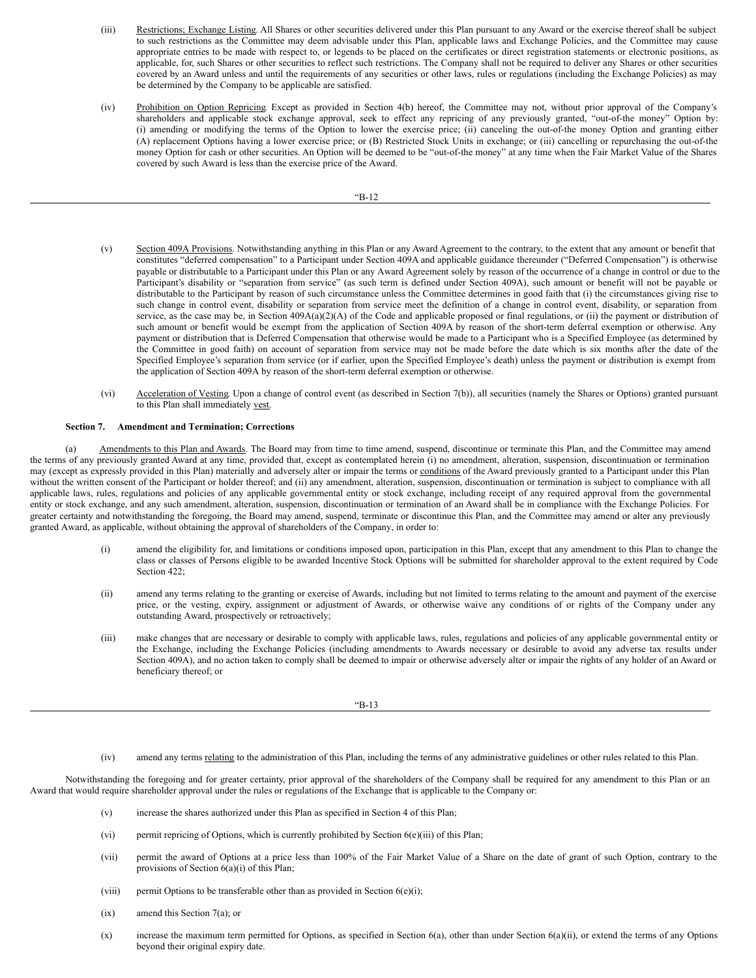- (iii) Restrictions; Exchange Listing. All Shares or other securities delivered under this Plan pursuant to any Award or the exercise thereof shall be subject to such restrictions as the Committee may deem advisable under this Plan, applicable laws and Exchange Policies, and the Committee may cause appropriate entries to be made with respect to, or legends to be placed on the certificates or direct registration statements or electronic positions, as applicable, for, such Shares or other securities to reflect such restrictions. The Company shall not be required to deliver any Shares or other securities covered by an Award unless and until the requirements of any securities or other laws, rules or regulations (including the Exchange Policies) as may be determined by the Company to be applicable are satisfied.
- (iv) Prohibition on Option Repricing. Except as provided in Section 4(b) hereof, the Committee may not, without prior approval of the Company's shareholders and applicable stock exchange approval, seek to effect any repricing of any previously granted, "out-of-the money" Option by: (i) amending or modifying the terms of the Option to lower the exercise price; (ii) canceling the out-of-the money Option and granting either (A) replacement Options having a lower exercise price; or (B) Restricted Stock Units in exchange; or (iii) cancelling or repurchasing the out-of-the money Option for cash or other securities. An Option will be deemed to be "out-of-the money" at any time when the Fair Market Value of the Shares covered by such Award is less than the exercise price of the Award.

- (v) Section 409A Provisions. Notwithstanding anything in this Plan or any Award Agreement to the contrary, to the extent that any amount or benefit that constitutes "deferred compensation" to a Participant under Section 409A and applicable guidance thereunder ("Deferred Compensation") is otherwise payable or distributable to a Participant under this Plan or any Award Agreement solely by reason of the occurrence of a change in control or due to the Participant's disability or "separation from service" (as such term is defined under Section 409A), such amount or benefit will not be payable or distributable to the Participant by reason of such circumstance unless the Committee determines in good faith that (i) the circumstances giving rise to such change in control event, disability or separation from service meet the definition of a change in control event, disability, or separation from service, as the case may be, in Section  $409A(a)(2)(A)$  of the Code and applicable proposed or final regulations, or (ii) the payment or distribution of such amount or benefit would be exempt from the application of Section 409A by reason of the short-term deferral exemption or otherwise. Any payment or distribution that is Deferred Compensation that otherwise would be made to a Participant who is a Specified Employee (as determined by the Committee in good faith) on account of separation from service may not be made before the date which is six months after the date of the Specified Employee's separation from service (or if earlier, upon the Specified Employee's death) unless the payment or distribution is exempt from the application of Section 409A by reason of the short-term deferral exemption or otherwise.
- (vi) Acceleration of Vesting. Upon a change of control event (as described in Section 7(b)), all securities (namely the Shares or Options) granted pursuant to this Plan shall immediately vest.

## **Section 7. Amendment and Termination; Corrections**

(a) Amendments to this Plan and Awards. The Board may from time to time amend, suspend, discontinue or terminate this Plan, and the Committee may amend the terms of any previously granted Award at any time, provided that, except as contemplated herein (i) no amendment, alteration, suspension, discontinuation or termination may (except as expressly provided in this Plan) materially and adversely alter or impair the terms or conditions of the Award previously granted to a Participant under this Plan without the written consent of the Participant or holder thereof; and (ii) any amendment, alteration, suspension, discontinuation or termination is subject to compliance with all applicable laws, rules, regulations and policies of any applicable governmental entity or stock exchange, including receipt of any required approval from the governmental entity or stock exchange, and any such amendment, alteration, suspension, discontinuation or termination of an Award shall be in compliance with the Exchange Policies. For greater certainty and notwithstanding the foregoing, the Board may amend, suspend, terminate or discontinue this Plan, and the Committee may amend or alter any previously granted Award, as applicable, without obtaining the approval of shareholders of the Company, in order to:

- (i) amend the eligibility for, and limitations or conditions imposed upon, participation in this Plan, except that any amendment to this Plan to change the class or classes of Persons eligible to be awarded Incentive Stock Options will be submitted for shareholder approval to the extent required by Code Section 422;
- (ii) amend any terms relating to the granting or exercise of Awards, including but not limited to terms relating to the amount and payment of the exercise price, or the vesting, expiry, assignment or adjustment of Awards, or otherwise waive any conditions of or rights of the Company under any outstanding Award, prospectively or retroactively;
- (iii) make changes that are necessary or desirable to comply with applicable laws, rules, regulations and policies of any applicable governmental entity or the Exchange, including the Exchange Policies (including amendments to Awards necessary or desirable to avoid any adverse tax results under Section 409A), and no action taken to comply shall be deemed to impair or otherwise adversely alter or impair the rights of any holder of an Award or beneficiary thereof; or

#### "B-13

(iv) amend any terms relating to the administration of this Plan, including the terms of any administrative guidelines or other rules related to this Plan.

Notwithstanding the foregoing and for greater certainty, prior approval of the shareholders of the Company shall be required for any amendment to this Plan or an Award that would require shareholder approval under the rules or regulations of the Exchange that is applicable to the Company or:

- (v) increase the shares authorized under this Plan as specified in Section 4 of this Plan;
- (vi) permit repricing of Options, which is currently prohibited by Section 6(e)(iii) of this Plan;
- (vii) permit the award of Options at a price less than 100% of the Fair Market Value of a Share on the date of grant of such Option, contrary to the provisions of Section 6(a)(i) of this Plan;
- (viii) permit Options to be transferable other than as provided in Section  $6(e)(i)$ ;
- (ix) amend this Section 7(a); or
- (x) increase the maximum term permitted for Options, as specified in Section 6(a), other than under Section 6(a)(ii), or extend the terms of any Options beyond their original expiry date.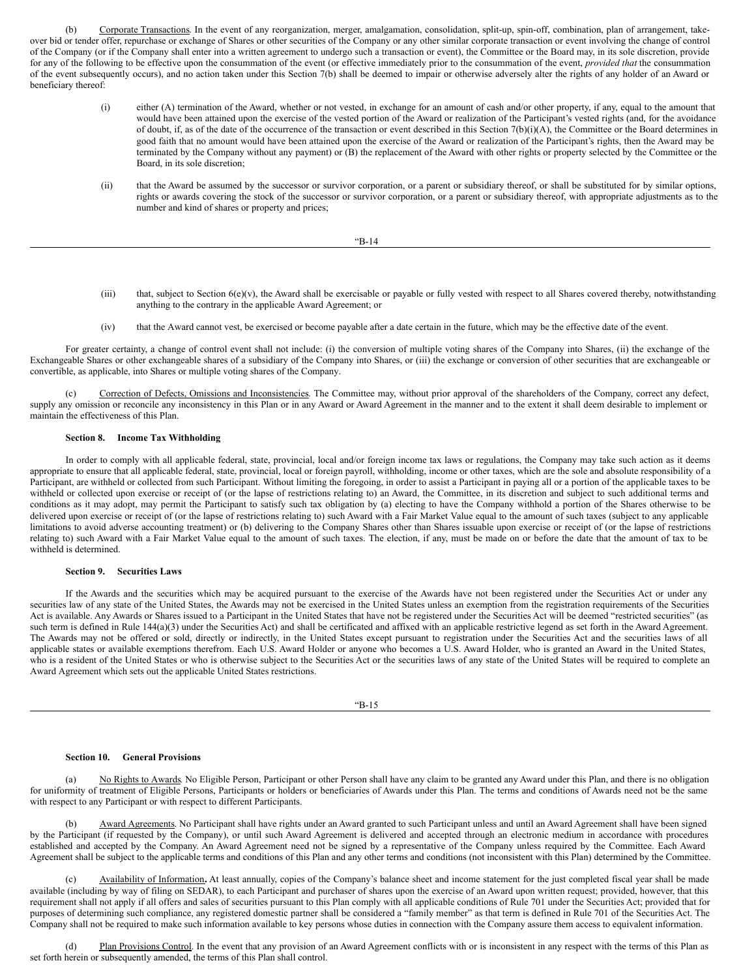(b) Corporate Transactions. In the event of any reorganization, merger, amalgamation, consolidation, split-up, spin-off, combination, plan of arrangement, takeover bid or tender offer, repurchase or exchange of Shares or other securities of the Company or any other similar corporate transaction or event involving the change of control of the Company (or if the Company shall enter into a written agreement to undergo such a transaction or event), the Committee or the Board may, in its sole discretion, provide for any of the following to be effective upon the consummation of the event (or effective immediately prior to the consummation of the event, *provided that* the consummation of the event subsequently occurs), and no action taken under this Section 7(b) shall be deemed to impair or otherwise adversely alter the rights of any holder of an Award or beneficiary thereof:

- (i) either (A) termination of the Award, whether or not vested, in exchange for an amount of cash and/or other property, if any, equal to the amount that would have been attained upon the exercise of the vested portion of the Award or realization of the Participant's vested rights (and, for the avoidance of doubt, if, as of the date of the occurrence of the transaction or event described in this Section 7(b)(i)(A), the Committee or the Board determines in good faith that no amount would have been attained upon the exercise of the Award or realization of the Participant's rights, then the Award may be terminated by the Company without any payment) or (B) the replacement of the Award with other rights or property selected by the Committee or the Board, in its sole discretion;
- (ii) that the Award be assumed by the successor or survivor corporation, or a parent or subsidiary thereof, or shall be substituted for by similar options, rights or awards covering the stock of the successor or survivor corporation, or a parent or subsidiary thereof, with appropriate adjustments as to the number and kind of shares or property and prices;

$$
B-14
$$

- (iii) that, subject to Section  $6(e)(v)$ , the Award shall be exercisable or payable or fully vested with respect to all Shares covered thereby, notwithstanding anything to the contrary in the applicable Award Agreement; or
- (iv) that the Award cannot vest, be exercised or become payable after a date certain in the future, which may be the effective date of the event.

For greater certainty, a change of control event shall not include: (i) the conversion of multiple voting shares of the Company into Shares, (ii) the exchange of the Exchangeable Shares or other exchangeable shares of a subsidiary of the Company into Shares, or (iii) the exchange or conversion of other securities that are exchangeable or convertible, as applicable, into Shares or multiple voting shares of the Company.

(c) Correction of Defects, Omissions and Inconsistencies. The Committee may, without prior approval of the shareholders of the Company, correct any defect, supply any omission or reconcile any inconsistency in this Plan or in any Award or Award Agreement in the manner and to the extent it shall deem desirable to implement or maintain the effectiveness of this Plan.

### **Section 8. Income Tax Withholding**

In order to comply with all applicable federal, state, provincial, local and/or foreign income tax laws or regulations, the Company may take such action as it deems appropriate to ensure that all applicable federal, state, provincial, local or foreign payroll, withholding, income or other taxes, which are the sole and absolute responsibility of a Participant, are withheld or collected from such Participant. Without limiting the foregoing, in order to assist a Participant in paying all or a portion of the applicable taxes to be withheld or collected upon exercise or receipt of (or the lapse of restrictions relating to) an Award, the Committee, in its discretion and subject to such additional terms and conditions as it may adopt, may permit the Participant to satisfy such tax obligation by (a) electing to have the Company withhold a portion of the Shares otherwise to be delivered upon exercise or receipt of (or the lapse of restrictions relating to) such Award with a Fair Market Value equal to the amount of such taxes (subject to any applicable limitations to avoid adverse accounting treatment) or (b) delivering to the Company Shares other than Shares issuable upon exercise or receipt of (or the lapse of restrictions relating to) such Award with a Fair Market Value equal to the amount of such taxes. The election, if any, must be made on or before the date that the amount of tax to be withheld is determined.

## **Section 9. Securities Laws**

If the Awards and the securities which may be acquired pursuant to the exercise of the Awards have not been registered under the Securities Act or under any securities law of any state of the United States, the Awards may not be exercised in the United States unless an exemption from the registration requirements of the Securities Act is available. Any Awards or Shares issued to a Participant in the United States that have not be registered under the Securities Act will be deemed "restricted securities" (as such term is defined in Rule 144(a)(3) under the Securities Act) and shall be certificated and affixed with an applicable restrictive legend as set forth in the Award Agreement. The Awards may not be offered or sold, directly or indirectly, in the United States except pursuant to registration under the Securities Act and the securities laws of all applicable states or available exemptions therefrom. Each U.S. Award Holder or anyone who becomes a U.S. Award Holder, who is granted an Award in the United States, who is a resident of the United States or who is otherwise subject to the Securities Act or the securities laws of any state of the United States will be required to complete an Award Agreement which sets out the applicable United States restrictions.

|   | I  |
|---|----|
| × | ۰. |
| u | ×  |
| ٦ |    |

### **Section 10. General Provisions**

No Rights to Awards. No Eligible Person, Participant or other Person shall have any claim to be granted any Award under this Plan, and there is no obligation for uniformity of treatment of Eligible Persons, Participants or holders or beneficiaries of Awards under this Plan. The terms and conditions of Awards need not be the same with respect to any Participant or with respect to different Participants.

Award Agreements. No Participant shall have rights under an Award granted to such Participant unless and until an Award Agreement shall have been signed by the Participant (if requested by the Company), or until such Award Agreement is delivered and accepted through an electronic medium in accordance with procedures established and accepted by the Company. An Award Agreement need not be signed by a representative of the Company unless required by the Committee. Each Award Agreement shall be subject to the applicable terms and conditions of this Plan and any other terms and conditions (not inconsistent with this Plan) determined by the Committee.

Availability of Information. At least annually, copies of the Company's balance sheet and income statement for the just completed fiscal year shall be made available (including by way of filing on SEDAR), to each Participant and purchaser of shares upon the exercise of an Award upon written request; provided, however, that this requirement shall not apply if all offers and sales of securities pursuant to this Plan comply with all applicable conditions of Rule 701 under the Securities Act; provided that for purposes of determining such compliance, any registered domestic partner shall be considered a "family member" as that term is defined in Rule 701 of the Securities Act. The Company shall not be required to make such information available to key persons whose duties in connection with the Company assure them access to equivalent information.

(d) Plan Provisions Control. In the event that any provision of an Award Agreement conflicts with or is inconsistent in any respect with the terms of this Plan as set forth herein or subsequently amended, the terms of this Plan shall control.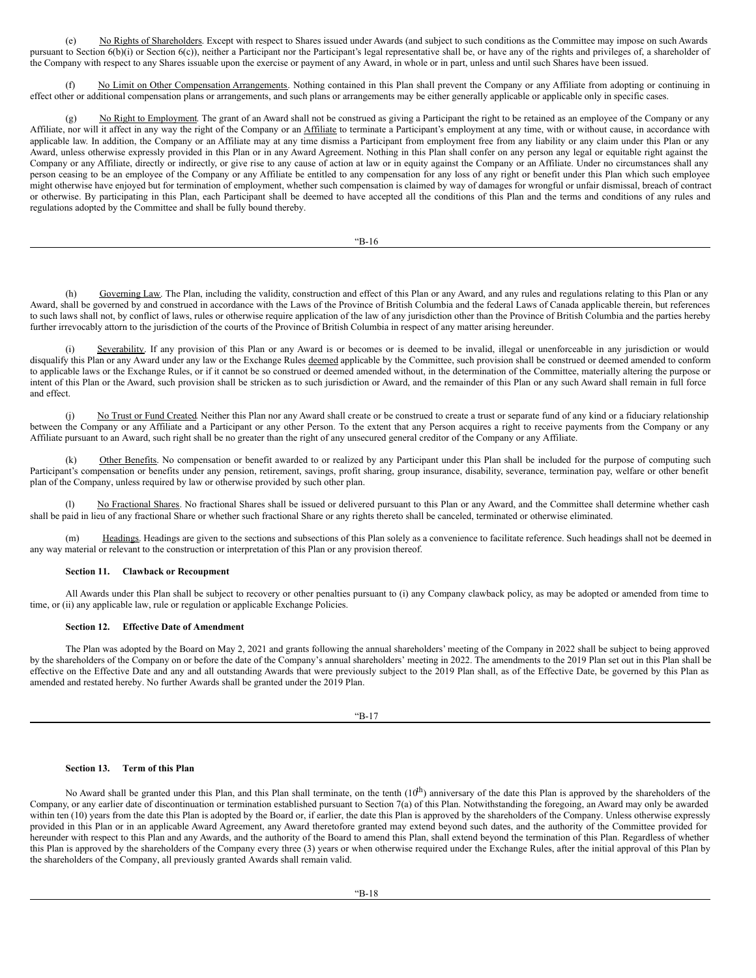(e) No Rights of Shareholders. Except with respect to Shares issued under Awards (and subject to such conditions as the Committee may impose on such Awards pursuant to Section 6(b)(i) or Section 6(c)), neither a Participant nor the Participant's legal representative shall be, or have any of the rights and privileges of, a shareholder of the Company with respect to any Shares issuable upon the exercise or payment of any Award, in whole or in part, unless and until such Shares have been issued.

(f) No Limit on Other Compensation Arrangements. Nothing contained in this Plan shall prevent the Company or any Affiliate from adopting or continuing in effect other or additional compensation plans or arrangements, and such plans or arrangements may be either generally applicable or applicable only in specific cases.

(g) No Right to Employment. The grant of an Award shall not be construed as giving a Participant the right to be retained as an employee of the Company or any Affiliate, nor will it affect in any way the right of the Company or an Affiliate to terminate a Participant's employment at any time, with or without cause, in accordance with applicable law. In addition, the Company or an Affiliate may at any time dismiss a Participant from employment free from any liability or any claim under this Plan or any Award, unless otherwise expressly provided in this Plan or in any Award Agreement. Nothing in this Plan shall confer on any person any legal or equitable right against the Company or any Affiliate, directly or indirectly, or give rise to any cause of action at law or in equity against the Company or an Affiliate. Under no circumstances shall any person ceasing to be an employee of the Company or any Affiliate be entitled to any compensation for any loss of any right or benefit under this Plan which such employee might otherwise have enjoyed but for termination of employment, whether such compensation is claimed by way of damages for wrongful or unfair dismissal, breach of contract or otherwise. By participating in this Plan, each Participant shall be deemed to have accepted all the conditions of this Plan and the terms and conditions of any rules and regulations adopted by the Committee and shall be fully bound thereby.

"B-16

(h) Governing Law. The Plan, including the validity, construction and effect of this Plan or any Award, and any rules and regulations relating to this Plan or any Award, shall be governed by and construed in accordance with the Laws of the Province of British Columbia and the federal Laws of Canada applicable therein, but references to such laws shall not, by conflict of laws, rules or otherwise require application of the law of any jurisdiction other than the Province of British Columbia and the parties hereby further irrevocably attorn to the jurisdiction of the courts of the Province of British Columbia in respect of any matter arising hereunder.

(i) Severability. If any provision of this Plan or any Award is or becomes or is deemed to be invalid, illegal or unenforceable in any jurisdiction or would disqualify this Plan or any Award under any law or the Exchange Rules deemed applicable by the Committee, such provision shall be construed or deemed amended to conform to applicable laws or the Exchange Rules, or if it cannot be so construed or deemed amended without, in the determination of the Committee, materially altering the purpose or intent of this Plan or the Award, such provision shall be stricken as to such jurisdiction or Award, and the remainder of this Plan or any such Award shall remain in full force and effect.

No Trust or Fund Created. Neither this Plan nor any Award shall create or be construed to create a trust or separate fund of any kind or a fiduciary relationship between the Company or any Affiliate and a Participant or any other Person. To the extent that any Person acquires a right to receive payments from the Company or any Affiliate pursuant to an Award, such right shall be no greater than the right of any unsecured general creditor of the Company or any Affiliate.

Other Benefits. No compensation or benefit awarded to or realized by any Participant under this Plan shall be included for the purpose of computing such Participant's compensation or benefits under any pension, retirement, savings, profit sharing, group insurance, disability, severance, termination pay, welfare or other benefit plan of the Company, unless required by law or otherwise provided by such other plan.

No Fractional Shares. No fractional Shares shall be issued or delivered pursuant to this Plan or any Award, and the Committee shall determine whether cash shall be paid in lieu of any fractional Share or whether such fractional Share or any rights thereto shall be canceled, terminated or otherwise eliminated.

(m) Headings. Headings are given to the sections and subsections of this Plan solely as a convenience to facilitate reference. Such headings shall not be deemed in any way material or relevant to the construction or interpretation of this Plan or any provision thereof.

## **Section 11. Clawback or Recoupment**

All Awards under this Plan shall be subject to recovery or other penalties pursuant to (i) any Company clawback policy, as may be adopted or amended from time to time, or (ii) any applicable law, rule or regulation or applicable Exchange Policies.

## **Section 12. Effective Date of Amendment**

The Plan was adopted by the Board on May 2, 2021 and grants following the annual shareholders' meeting of the Company in 2022 shall be subject to being approved by the shareholders of the Company on or before the date of the Company's annual shareholders' meeting in 2022. The amendments to the 2019 Plan set out in this Plan shall be effective on the Effective Date and any and all outstanding Awards that were previously subject to the 2019 Plan shall, as of the Effective Date, be governed by this Plan as amended and restated hereby. No further Awards shall be granted under the 2019 Plan.

| ×<br>u<br>٦ |  |
|-------------|--|
|-------------|--|

## **Section 13. Term of this Plan**

No Award shall be granted under this Plan, and this Plan shall terminate, on the tenth  $(10<sup>th</sup>)$  anniversary of the date this Plan is approved by the shareholders of the Company, or any earlier date of discontinuation or termination established pursuant to Section 7(a) of this Plan. Notwithstanding the foregoing, an Award may only be awarded within ten (10) years from the date this Plan is adopted by the Board or, if earlier, the date this Plan is approved by the shareholders of the Company. Unless otherwise expressly provided in this Plan or in an applicable Award Agreement, any Award theretofore granted may extend beyond such dates, and the authority of the Committee provided for hereunder with respect to this Plan and any Awards, and the authority of the Board to amend this Plan, shall extend beyond the termination of this Plan. Regardless of whether this Plan is approved by the shareholders of the Company every three (3) years or when otherwise required under the Exchange Rules, after the initial approval of this Plan by the shareholders of the Company, all previously granted Awards shall remain valid.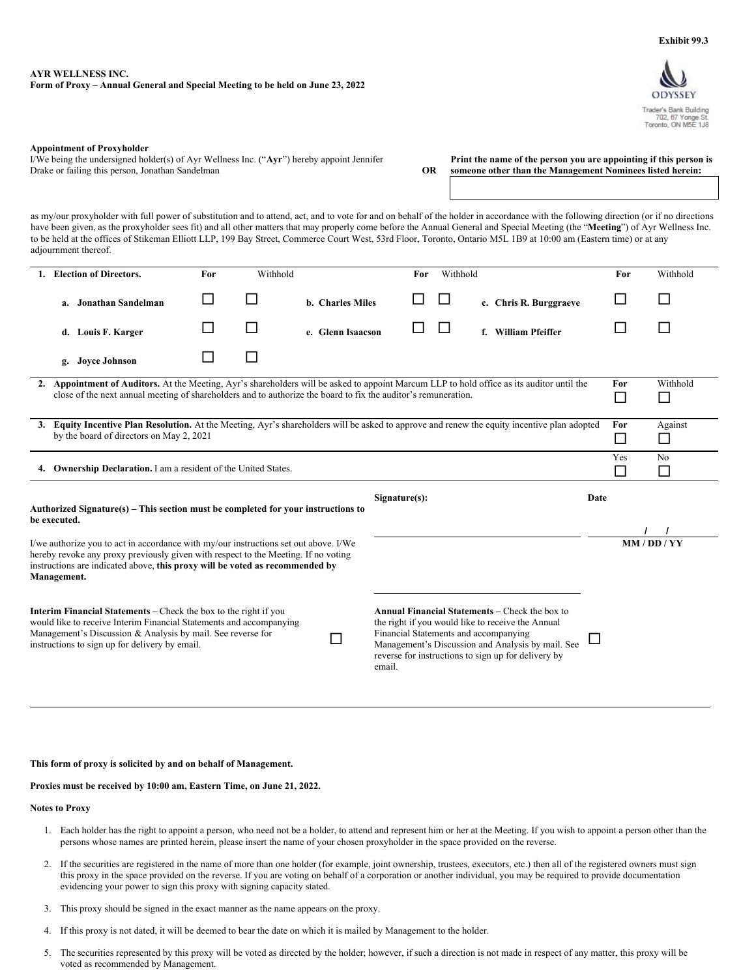Trader's Bank Building<br>702, 67 Yonge St.<br>Toronto, ON M5E 1J8

## <span id="page-34-0"></span>**AYR WELLNESS INC. Form of Proxy – Annual General and Special Meeting to be held on June 23, 2022**

### **Appointment of Proxyholder**

I/We being the undersigned holder(s) of Ayr Wellness Inc. ("**Ayr**") hereby appoint Jennifer Drake or failing this person, Jonathan Sandelman

**Print the name of the person you are appointing if this person is OR someone other than the Management Nominees listed herein:**

as my/our proxyholder with full power of substitution and to attend, act, and to vote for and on behalf of the holder in accordance with the following direction (or if no directions have been given, as the proxyholder sees fit) and all other matters that may properly come before the Annual General and Special Meeting (the "**Meeting**") of Ayr Wellness Inc. to be held at the offices of Stikeman Elliott LLP, 199 Bay Street, Commerce Court West, 53rd Floor, Toronto, Ontario M5L 1B9 at 10:00 am (Eastern time) or at any adjournment thereof.

| <b>Election of Directors.</b>                                                                                                                                                                                                                                             | For           | Withhold |                   | For                                             | Withhold |                                                                                                                                                                                                                        | For                      | Withhold       |
|---------------------------------------------------------------------------------------------------------------------------------------------------------------------------------------------------------------------------------------------------------------------------|---------------|----------|-------------------|-------------------------------------------------|----------|------------------------------------------------------------------------------------------------------------------------------------------------------------------------------------------------------------------------|--------------------------|----------------|
| a. Jonathan Sandelman                                                                                                                                                                                                                                                     | $\mathcal{L}$ |          | b. Charles Miles  |                                                 |          | c. Chris R. Burggraeve                                                                                                                                                                                                 |                          | ΙI             |
| Louis F. Karger<br>d.                                                                                                                                                                                                                                                     |               |          | e. Glenn Isaacson |                                                 |          | f. William Pfeiffer                                                                                                                                                                                                    |                          |                |
| <b>Joyce Johnson</b><br>g.                                                                                                                                                                                                                                                |               |          |                   |                                                 |          |                                                                                                                                                                                                                        |                          |                |
| 2. Appointment of Auditors. At the Meeting, Ayr's shareholders will be asked to appoint Marcum LLP to hold office as its auditor until the<br>close of the next annual meeting of shareholders and to authorize the board to fix the auditor's remuneration.              |               |          |                   |                                                 |          | For<br>$\Box$                                                                                                                                                                                                          | Withhold<br>$\mathsf{L}$ |                |
| 3. Equity Incentive Plan Resolution. At the Meeting, Ayr's shareholders will be asked to approve and renew the equity incentive plan adopted<br>by the board of directors on May 2, 2021                                                                                  |               |          |                   |                                                 |          | For<br>$\Box$                                                                                                                                                                                                          | Against<br>$\Box$        |                |
| 4. Ownership Declaration. I am a resident of the United States.                                                                                                                                                                                                           |               |          |                   |                                                 |          |                                                                                                                                                                                                                        | Yes<br>$\Box$            | N <sub>0</sub> |
| Authorized Signature( $s$ ) – This section must be completed for your instructions to<br>be executed.                                                                                                                                                                     |               |          |                   | Signature(s):                                   |          |                                                                                                                                                                                                                        | Date                     |                |
| I/we authorize you to act in accordance with my/our instructions set out above. I/We<br>hereby revoke any proxy previously given with respect to the Meeting. If no voting<br>instructions are indicated above, this proxy will be voted as recommended by<br>Management. |               |          |                   |                                                 |          |                                                                                                                                                                                                                        |                          | MM / DD / YY   |
| <b>Interim Financial Statements</b> – Check the box to the right if you<br>would like to receive Interim Financial Statements and accompanying<br>Management's Discussion & Analysis by mail. See reverse for<br>instructions to sign up for delivery by email.           |               |          |                   | Financial Statements and accompanying<br>email. |          | <b>Annual Financial Statements – Check the box to</b><br>the right if you would like to receive the Annual<br>Management's Discussion and Analysis by mail. See<br>reverse for instructions to sign up for delivery by |                          |                |

#### **This form of proxy is solicited by and on behalf of Management.**

## **Proxies must be received by 10:00 am, Eastern Time, on June 21, 2022.**

## **Notes to Proxy**

- 1. Each holder has the right to appoint a person, who need not be a holder, to attend and represent him or her at the Meeting. If you wish to appoint a person other than the persons whose names are printed herein, please insert the name of your chosen proxyholder in the space provided on the reverse.
- 2. If the securities are registered in the name of more than one holder (for example, joint ownership, trustees, executors, etc.) then all of the registered owners must sign this proxy in the space provided on the reverse. If you are voting on behalf of a corporation or another individual, you may be required to provide documentation evidencing your power to sign this proxy with signing capacity stated.
- 3. This proxy should be signed in the exact manner as the name appears on the proxy.
- 4. If this proxy is not dated, it will be deemed to bear the date on which it is mailed by Management to the holder.
- 5. The securities represented by this proxy will be voted as directed by the holder; however, if such a direction is not made in respect of any matter, this proxy will be voted as recommended by Management.